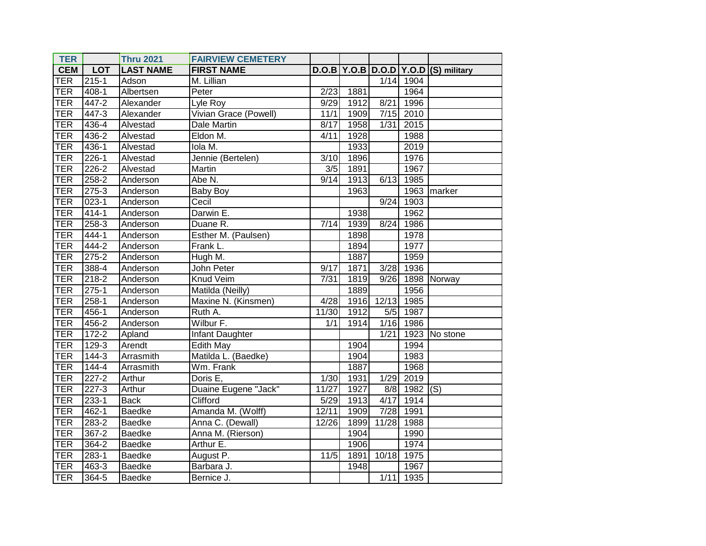| <b>TER</b> |            | <b>Thru 2021</b> | <b>FAIRVIEW CEMETERY</b> |       |      |       |                        |                                          |
|------------|------------|------------------|--------------------------|-------|------|-------|------------------------|------------------------------------------|
| <b>CEM</b> | <b>LOT</b> | <b>LAST NAME</b> | <b>FIRST NAME</b>        |       |      |       |                        | $D.O.B$ Y.O.B $D.O.D$ Y.O.D (S) military |
| <b>TER</b> | $215 - 1$  | Adson            | M. Lillian               |       |      |       | $\overline{1/14}$ 1904 |                                          |
| <b>TER</b> | $408 - 1$  | Albertsen        | Peter                    | 2/23  | 1881 |       | 1964                   |                                          |
| <b>TER</b> | 447-2      | Alexander        | Lyle Roy                 | 9/29  | 1912 | 8/21  | 1996                   |                                          |
| <b>TER</b> | 447-3      | Alexander        | Vivian Grace (Powell)    | 11/1  | 1909 | 7/15  | 2010                   |                                          |
| <b>TER</b> | 436-4      | Alvestad         | Dale Martin              | 8/17  | 1958 | 1/31  | 2015                   |                                          |
| <b>TER</b> | 436-2      | Alvestad         | Eldon M.                 | 4/11  | 1928 |       | 1988                   |                                          |
| <b>TER</b> | $436 - 1$  | Alvestad         | lola M.                  |       | 1933 |       | 2019                   |                                          |
| <b>TER</b> | $226 - 1$  | Alvestad         | Jennie (Bertelen)        | 3/10  | 1896 |       | 1976                   |                                          |
| <b>TER</b> | 226-2      | Alvestad         | Martin                   | 3/5   | 1891 |       | 1967                   |                                          |
| <b>TER</b> | 258-2      | Anderson         | Abe N.                   | 9/14  | 1913 | 6/13  | 1985                   |                                          |
| <b>TER</b> | $275 - 3$  | Anderson         | <b>Baby Boy</b>          |       | 1963 |       | 1963                   | marker                                   |
| <b>TER</b> | $023-1$    | Anderson         | Cecil                    |       |      | 9/24  | 1903                   |                                          |
| <b>TER</b> | 414-1      | Anderson         | Darwin E.                |       | 1938 |       | 1962                   |                                          |
| <b>TER</b> | $258-3$    | Anderson         | Duane R.                 | 7/14  | 1939 | 8/24  | 1986                   |                                          |
| <b>TER</b> | $444 - 1$  | Anderson         | Esther M. (Paulsen)      |       | 1898 |       | 1978                   |                                          |
| <b>TER</b> | 444-2      | Anderson         | Frank L.                 |       | 1894 |       | 1977                   |                                          |
| <b>TER</b> | $275 - 2$  | Anderson         | Hugh M.                  |       | 1887 |       | 1959                   |                                          |
| <b>TER</b> | $388-4$    | Anderson         | John Peter               | 9/17  | 1871 | 3/28  | 1936                   |                                          |
| <b>TER</b> | $218 - 2$  | Anderson         | <b>Knud Veim</b>         | 7/31  | 1819 | 9/26  |                        | 1898 Norway                              |
| <b>TER</b> | $275-1$    | Anderson         | Matilda (Neilly)         |       | 1889 |       | 1956                   |                                          |
| <b>TER</b> | $258-1$    | Anderson         | Maxine N. (Kinsmen)      | 4/28  | 1916 | 12/13 | 1985                   |                                          |
| <b>TER</b> | 456-1      | Anderson         | Ruth A.                  | 11/30 | 1912 | 5/5   | 1987                   |                                          |
| <b>TER</b> | 456-2      | Anderson         | Wilbur F.                | 1/1   | 1914 | 1/16  | 1986                   |                                          |
| <b>TER</b> | $172 - 2$  | Apland           | <b>Infant Daughter</b>   |       |      | 1/21  |                        | 1923 No stone                            |
| <b>TER</b> | $129-3$    | Arendt           | Edith May                |       | 1904 |       | 1994                   |                                          |
| <b>TER</b> | $144-3$    | Arrasmith        | Matilda L. (Baedke)      |       | 1904 |       | 1983                   |                                          |
| <b>TER</b> | $144 - 4$  | Arrasmith        | Wm. Frank                |       | 1887 |       | 1968                   |                                          |
| <b>TER</b> | $227 - 2$  | Arthur           | Doris E,                 | 1/30  | 1931 | 1/29  | 2019                   |                                          |
| <b>TER</b> | $227 - 3$  | Arthur           | Duaine Eugene "Jack"     | 11/27 | 1927 |       | 8/8 1982               | $\overline{(\mathsf{S})}$                |
| <b>TER</b> | $233 - 1$  | <b>Back</b>      | Clifford                 | 5/29  | 1913 | 4/17  | 1914                   |                                          |
| <b>TER</b> | 462-1      | <b>Baedke</b>    | Amanda M. (Wolff)        | 12/11 | 1909 | 7/28  | 1991                   |                                          |
| <b>TER</b> | 283-2      | <b>Baedke</b>    | Anna C. (Dewall)         | 12/26 | 1899 | 11/28 | 1988                   |                                          |
| <b>TER</b> | $367 - 2$  | <b>Baedke</b>    | Anna M. (Rierson)        |       | 1904 |       | 1990                   |                                          |
| <b>TER</b> | 364-2      | <b>Baedke</b>    | Arthur E.                |       | 1906 |       | 1974                   |                                          |
| <b>TER</b> | 283-1      | <b>Baedke</b>    | August P.                | 11/5  | 1891 | 10/18 | 1975                   |                                          |
| <b>TER</b> | 463-3      | <b>Baedke</b>    | Barbara J.               |       | 1948 |       | 1967                   |                                          |
| TER        | 364-5      | <b>Baedke</b>    | Bernice J.               |       |      | 1/11  | 1935                   |                                          |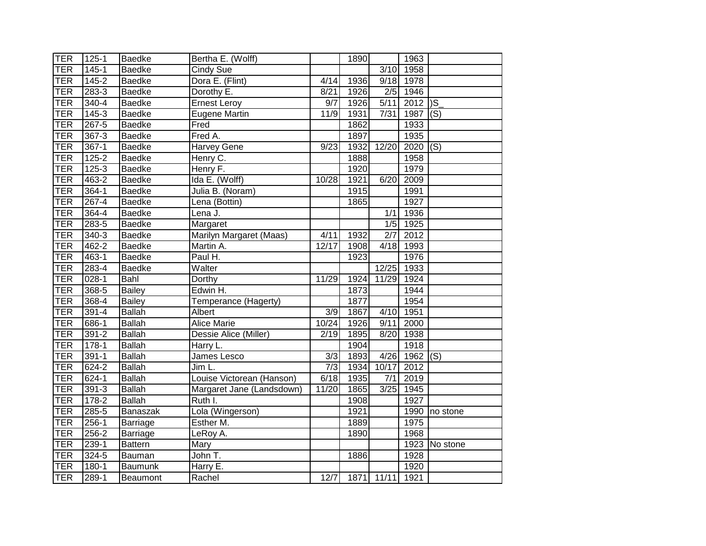| <b>TER</b> | $125 - 1$ | <b>Baedke</b>   | Bertha E. (Wolff)         |                  | 1890 |                   | 1963 |                |
|------------|-----------|-----------------|---------------------------|------------------|------|-------------------|------|----------------|
| <b>TER</b> | $145 - 1$ | <b>Baedke</b>   | Cindy Sue                 |                  |      | $\overline{3/10}$ | 1958 |                |
| <b>TER</b> | $145 - 2$ | <b>Baedke</b>   | Dora E. (Flint)           | 4/14             | 1936 | 9/18              | 1978 |                |
| <b>TER</b> | $283 - 3$ | <b>Baedke</b>   | Dorothy E.                | 8/21             | 1926 | $\overline{2/5}$  | 1946 |                |
| <b>TER</b> | $340 - 4$ | <b>Baedke</b>   | <b>Ernest Leroy</b>       | $\overline{9/7}$ | 1926 | 5/11              | 2012 | $\overline{S}$ |
| <b>TER</b> | 145-3     | <b>Baedke</b>   | <b>Eugene Martin</b>      | 11/9             | 1931 | 7/31              | 1987 | (S)            |
| <b>TER</b> | 267-5     | Baedke          | Fred                      |                  | 1862 |                   | 1933 |                |
| <b>TER</b> | $367 - 3$ | <b>Baedke</b>   | Fred A.                   |                  | 1897 |                   | 1935 |                |
| <b>TER</b> | $367-1$   | <b>Baedke</b>   | <b>Harvey Gene</b>        | 9/23             | 1932 | 12/20             | 2020 | (S)            |
| <b>TER</b> | $125 - 2$ | Baedke          | Henry C.                  |                  | 1888 |                   | 1958 |                |
| <b>TER</b> | $125 - 3$ | <b>Baedke</b>   | Henry F.                  |                  | 1920 |                   | 1979 |                |
| <b>TER</b> | 463-2     | <b>Baedke</b>   | Ida E. (Wolff)            | 10/28            | 1921 | 6/20              | 2009 |                |
| <b>TER</b> | 364-1     | Baedke          | Julia B. (Noram)          |                  | 1915 |                   | 1991 |                |
| <b>TER</b> | $267 - 4$ | <b>Baedke</b>   | Lena (Bottin)             |                  | 1865 |                   | 1927 |                |
| <b>TER</b> | 364-4     | <b>Baedke</b>   | Lena J.                   |                  |      | 1/1               | 1936 |                |
| <b>TER</b> | 283-5     | <b>Baedke</b>   | Margaret                  |                  |      | 1/5               | 1925 |                |
| <b>TER</b> | $340 - 3$ | <b>Baedke</b>   | Marilyn Margaret (Maas)   | 4/11             | 1932 | 2/7               | 2012 |                |
| <b>TER</b> | 462-2     | <b>Baedke</b>   | Martin A.                 | 12/17            | 1908 | 4/18              | 1993 |                |
| <b>TER</b> | $463 - 1$ | <b>Baedke</b>   | Paul H.                   |                  | 1923 |                   | 1976 |                |
| <b>TER</b> | $283 - 4$ | <b>Baedke</b>   | Walter                    |                  |      | 12/25             | 1933 |                |
| <b>TER</b> | $028 - 1$ | Bahl            | Dorthy                    | 11/29            | 1924 | 11/29             | 1924 |                |
| <b>TER</b> | $368 - 5$ | <b>Bailey</b>   | Edwin H.                  |                  | 1873 |                   | 1944 |                |
| <b>TER</b> | 368-4     | <b>Bailey</b>   | Temperance (Hagerty)      |                  | 1877 |                   | 1954 |                |
| <b>TER</b> | $391 - 4$ | <b>Ballah</b>   | Albert                    | $\overline{3/9}$ | 1867 | 4/10              | 1951 |                |
| <b>TER</b> | 686-1     | <b>Ballah</b>   | <b>Alice Marie</b>        | 10/24            | 1926 | 9/11              | 2000 |                |
| <b>TER</b> | $391 - 2$ | <b>Ballah</b>   | Dessie Alice (Miller)     | $\frac{2}{19}$   | 1895 | 8/20              | 1938 |                |
| <b>TER</b> | $178-1$   | <b>Ballah</b>   | Harry L.                  |                  | 1904 |                   | 1918 |                |
| <b>TER</b> | $391 - 1$ | <b>Ballah</b>   | James Lesco               | $\overline{3/3}$ | 1893 | 4/26              | 1962 | (S)            |
| <b>TER</b> | $624 - 2$ | <b>Ballah</b>   | Jim L.                    | $\overline{7/3}$ | 1934 | 10/17             | 2012 |                |
| <b>TER</b> | $624 - 1$ | <b>Ballah</b>   | Louise Victorean (Hanson) | 6/18             | 1935 | 7/1               | 2019 |                |
| <b>TER</b> | $391 - 3$ | <b>Ballah</b>   | Margaret Jane (Landsdown) | 11/20            | 1865 | 3/25              | 1945 |                |
| <b>TER</b> | $178-2$   | <b>Ballah</b>   | Ruth I.                   |                  | 1908 |                   | 1927 |                |
| <b>TER</b> | $285 - 5$ | Banaszak        | Lola (Wingerson)          |                  | 1921 |                   | 1990 | no stone       |
| <b>TER</b> | $256-1$   | Barriage        | Esther M.                 |                  | 1889 |                   | 1975 |                |
| <b>TER</b> | 256-2     | <b>Barriage</b> | LeRoy A.                  |                  | 1890 |                   | 1968 |                |
| <b>TER</b> | 239-1     | <b>Battern</b>  | Mary                      |                  |      |                   |      | 1923 No stone  |
| <b>TER</b> | 324-5     | Bauman          | John T.                   |                  | 1886 |                   | 1928 |                |
| <b>TER</b> | 180-1     | Baumunk         | Harry E.                  |                  |      |                   | 1920 |                |
| TER        | 289-1     | <b>Beaumont</b> | Rachel                    | 12/7             | 1871 | 11/11             | 1921 |                |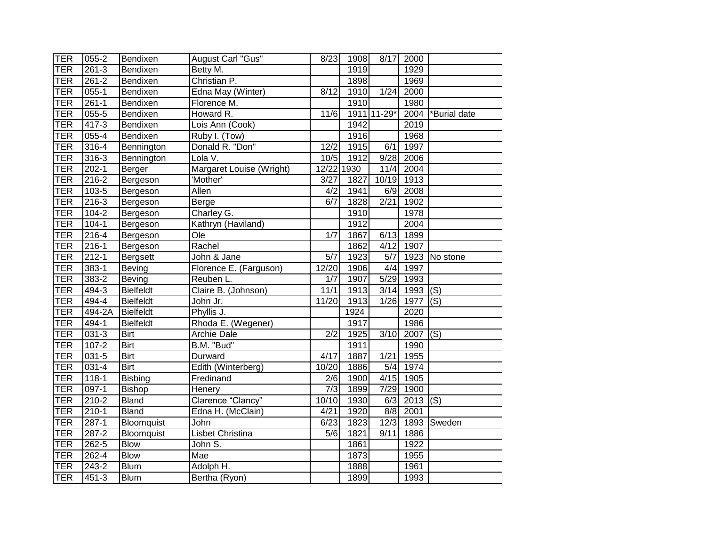| <b>TER</b> | 055-2     | Bendixen         | <b>August Carl "Gus"</b> | $\overline{8}/23$ | 1908              | 8/17               | 2000       |                           |
|------------|-----------|------------------|--------------------------|-------------------|-------------------|--------------------|------------|---------------------------|
| <b>TER</b> | $261 - 3$ | Bendixen         | Betty M.                 |                   | 1919              |                    | 1929       |                           |
| <b>TER</b> | $261 - 2$ | Bendixen         | Christian P.             |                   | 1898              |                    | 1969       |                           |
| <b>TER</b> | $055 - 1$ | Bendixen         | Edna May (Winter)        | 8/12              | $\overline{1910}$ | 1/24               | 2000       |                           |
| <b>TER</b> | $261 - 1$ | Bendixen         | Florence M.              |                   | 1910              |                    | 1980       |                           |
| <b>TER</b> | 055-5     | Bendixen         | Howard R.                | 11/6              |                   | 1911 11-29*        | 2004       | *Burial date              |
| <b>TER</b> | 417-3     | Bendixen         | Lois Ann (Cook)          |                   | 1942              |                    | 2019       |                           |
| <b>TER</b> | $055 - 4$ | Bendixen         | Ruby I. (Tow)            |                   | 1916              |                    | 1968       |                           |
| <b>TER</b> | 316-4     | Bennington       | Donald R. "Don"          | 12/2              | 1915              | 6/1                | 1997       |                           |
| <b>TER</b> | 316-3     | Bennington       | Lola V.                  | 10/5              | 1912              | 9/28               | 2006       |                           |
| <b>TER</b> | $202 - 1$ | Berger           | Margaret Louise (Wright) | 12/22 1930        |                   | $11/4$             | 2004       |                           |
| <b>TER</b> | 216-2     | Bergeson         | 'Mother'                 | 3/27              | 1827              | $\overline{10/19}$ | 1913       |                           |
| <b>TER</b> | 103-5     | Bergeson         | Allen                    | 4/2               | 1941              | 6/9                | 2008       |                           |
| <b>TER</b> | $216 - 3$ | Bergeson         | Berge                    | 6/7               | 1828              | 2/21               | 1902       |                           |
| <b>TER</b> | 104-2     | Bergeson         | Charley G.               |                   | 1910              |                    | 1978       |                           |
| <b>TER</b> | $104-1$   | Bergeson         | Kathryn (Haviland)       |                   | 1912              |                    | 2004       |                           |
| <b>TER</b> | $216 - 4$ | Bergeson         | $\overline{O}$ le        | 1/7               | 1867              | 6/13               | 1899       |                           |
| <b>TER</b> | $216 - 1$ | Bergeson         | Rachel                   |                   | 1862              | 4/12               | 1907       |                           |
| <b>TER</b> | $212 - 1$ | Bergsett         | John & Jane              | $\overline{5/7}$  | 1923              | 5/7                |            | 1923 No stone             |
| <b>TER</b> | $383 - 1$ | Beving           | Florence E. (Farguson)   | 12/20             | 1906              | 4/4                | 1997       |                           |
| <b>TER</b> | 383-2     | Beving           | Reuben L.                | 1/7               | 1907              | 5/29               | 1993       |                           |
| <b>TER</b> | 494-3     | <b>Bielfeldt</b> | Claire B. (Johnson)      | 11/1              | 1913              | 3/14               | 1993       | (S)                       |
| <b>TER</b> | 494-4     | <b>Bielfeldt</b> | John Jr.                 | 11/20             | 1913              | 1/26               | 1977       | (S)                       |
| <b>TER</b> | 494-2A    | <b>Bielfeldt</b> | Phyllis J.               |                   | 1924              |                    | 2020       |                           |
| <b>TER</b> | 494-1     | <b>Bielfeldt</b> | Rhoda E. (Wegener)       |                   | 1917              |                    | 1986       |                           |
| <b>TER</b> | $031 - 3$ | <b>Birt</b>      | <b>Archie Dale</b>       | 2/2               | $\overline{1925}$ | 3/10               | 2007       | $\overline{(\mathsf{S})}$ |
| <b>TER</b> | $107 - 2$ | <b>Birt</b>      | B.M. "Bud"               |                   | 1911              |                    | 1990       |                           |
| <b>TER</b> | 031-5     | <b>Birt</b>      | Durward                  | 4/17              | 1887              | 1/21               | 1955       |                           |
| <b>TER</b> | $031 - 4$ | <b>Birt</b>      | Edith (Winterberg)       | 10/20             | 1886              | 5/4                | 1974       |                           |
| <b>TER</b> | $118-1$   | <b>Bisbing</b>   | Fredinand                | 2/6               | 1900              |                    | 4/15 1905  |                           |
| <b>TER</b> | 097-1     | <b>Bishop</b>    | Henery                   | 7/3               | 1899              | 7/29               | 1900       |                           |
| <b>TER</b> | 210-2     | <b>Bland</b>     | Clarence "Clancy"        | 10/10             | 1930              | 6/3                | $2013$ (S) |                           |
| <b>TER</b> | $210 - 1$ | <b>Bland</b>     | Edna H. (McClain)        | 4/21              | 1920              | 8/8                | 2001       |                           |
| <b>TER</b> | $287-1$   | Bloomquist       | John                     | 6/23              | 1823              | 12/3               |            | 1893 Sweden               |
| <b>TER</b> | 287-2     | Bloomquist       | Lisbet Christina         | 5/6               | 1821              | 9/11               | 1886       |                           |
| <b>TER</b> | 262-5     | <b>Blow</b>      | John S.                  |                   | 1861              |                    | 1922       |                           |
| <b>TER</b> | 262-4     | <b>Blow</b>      | Mae                      |                   | 1873              |                    | 1955       |                           |
| <b>TER</b> | 243-2     | <b>Blum</b>      | Adolph H.                |                   | 1888              |                    | 1961       |                           |
| <b>TER</b> | $451 - 3$ | <b>Blum</b>      | Bertha (Ryon)            |                   | 1899              |                    | 1993       |                           |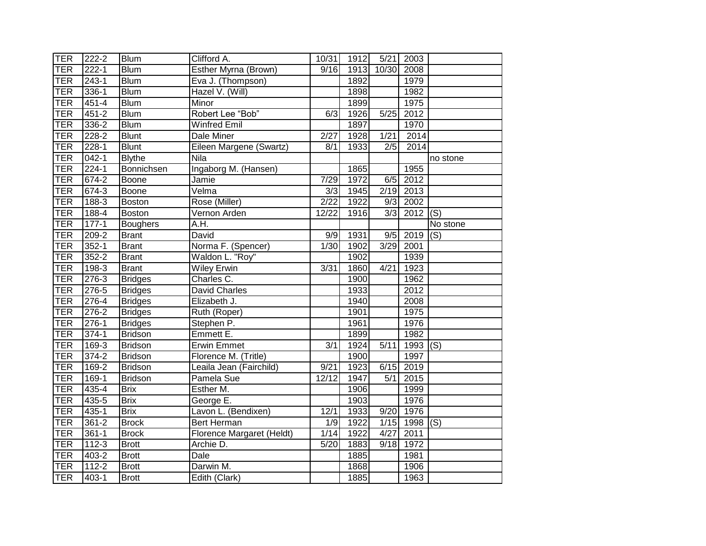| TER        | $222 - 2$ | <b>Blum</b>     | Clifford A.               | 10/31            | $\overline{1912}$ | 5/21  | 2003 |                           |
|------------|-----------|-----------------|---------------------------|------------------|-------------------|-------|------|---------------------------|
| <b>TER</b> | $222 - 1$ | <b>Blum</b>     | Esther Myrna (Brown)      | 9/16             | 1913              | 10/30 | 2008 |                           |
| <b>TER</b> | $243 - 1$ | <b>Blum</b>     | Eva J. (Thompson)         |                  | 1892              |       | 1979 |                           |
| <b>TER</b> | $336-1$   | <b>Blum</b>     | Hazel V. (Will)           |                  | 1898              |       | 1982 |                           |
| <b>TER</b> | $451 - 4$ | <b>Blum</b>     | Minor                     |                  | 1899              |       | 1975 |                           |
| <b>TER</b> | $451 - 2$ | <b>Blum</b>     | Robert Lee "Bob"          | 6/3              | 1926              | 5/25  | 2012 |                           |
| <b>TER</b> | 336-2     | <b>Blum</b>     | <b>Winfred Emil</b>       |                  | 1897              |       | 1970 |                           |
| TER        | $228 - 2$ | <b>Blunt</b>    | Dale Miner                | 2/27             | 1928              | 1/21  | 2014 |                           |
| <b>TER</b> | $228-1$   | <b>Blunt</b>    | Eileen Margene (Swartz)   | 8/1              | 1933              | 2/5   | 2014 |                           |
| <b>TER</b> | $042 - 1$ | <b>Blythe</b>   | Nila                      |                  |                   |       |      | no stone                  |
| TER        | $224 - 1$ | Bonnichsen      | Ingaborg M. (Hansen)      |                  | 1865              |       | 1955 |                           |
| <b>TER</b> | 674-2     | Boone           | Jamie                     | 7/29             | 1972              | 6/5   | 2012 |                           |
| <b>TER</b> | 674-3     | Boone           | Velma                     | 3/3              | 1945              | 2/19  | 2013 |                           |
| <b>TER</b> | $188-3$   | <b>Boston</b>   | Rose (Miller)             | $\sqrt{2/22}$    | 1922              | 9/3   | 2002 |                           |
| <b>TER</b> | 188-4     | <b>Boston</b>   | Vernon Arden              | 12/22            | 1916              | 3/3   | 2012 | (S)                       |
| <b>TER</b> | $177 - 1$ | <b>Boughers</b> | A.H.                      |                  |                   |       |      | No stone                  |
| <b>TER</b> | $209 - 2$ | <b>Brant</b>    | David                     | 9/9              | 1931              | 9/5   | 2019 | (S)                       |
| <b>TER</b> | $352 - 1$ | <b>Brant</b>    | Norma F. (Spencer)        | 1/30             | 1902              | 3/29  | 2001 |                           |
| <b>TER</b> | $352 - 2$ | <b>Brant</b>    | Waldon L. "Roy"           |                  | 1902              |       | 1939 |                           |
| TER        | $198-3$   | <b>Brant</b>    | <b>Wiley Erwin</b>        | 3/31             | 1860              | 4/21  | 1923 |                           |
| TER        | $276-3$   | <b>Bridges</b>  | Charles C.                |                  | 1900              |       | 1962 |                           |
| TER        | $276 - 5$ | <b>Bridges</b>  | <b>David Charles</b>      |                  | 1933              |       | 2012 |                           |
| <b>TER</b> | $276-4$   | <b>Bridges</b>  | Elizabeth J.              |                  | 1940              |       | 2008 |                           |
| <b>TER</b> | $276-2$   | <b>Bridges</b>  | Ruth (Roper)              |                  | 1901              |       | 1975 |                           |
| <b>TER</b> | $276-1$   | <b>Bridges</b>  | Stephen P.                |                  | 1961              |       | 1976 |                           |
| <b>TER</b> | $374 - 1$ | <b>Bridson</b>  | Emmett E.                 |                  | 1899              |       | 1982 |                           |
| <b>TER</b> | $169-3$   | <b>Bridson</b>  | <b>Erwin Emmet</b>        | $\overline{3/1}$ | 1924              | 5/11  | 1993 | $\overline{(\mathsf{S})}$ |
| <b>TER</b> | $374 - 2$ | <b>Bridson</b>  | Florence M. (Tritle)      |                  | 1900              |       | 1997 |                           |
| <b>TER</b> | 169-2     | <b>Bridson</b>  | Leaila Jean (Fairchild)   | 9/21             | 1923              | 6/15  | 2019 |                           |
| <b>TER</b> | $169-1$   | <b>Bridson</b>  | Pamela Sue                | 12/12            | 1947              | 5/1   | 2015 |                           |
| <b>TER</b> | $435 - 4$ | <b>Brix</b>     | Esther M.                 |                  | 1906              |       | 1999 |                           |
| TER        | 435-5     | <b>Brix</b>     | George E.                 |                  | 1903              |       | 1976 |                           |
| TER        | $435 - 1$ | <b>Brix</b>     | Lavon L. (Bendixen)       | 12/1             | 1933              | 9/20  | 1976 |                           |
| <b>TER</b> | $361 - 2$ | <b>Brock</b>    | Bert Herman               | 1/9              | 1922              | 1/15  | 1998 | (S)                       |
| <b>TER</b> | $361 - 1$ | <b>Brock</b>    | Florence Margaret (Heldt) | 1/14             | 1922              | 4/27  | 2011 |                           |
| <b>TER</b> | $112 - 3$ | <b>Brott</b>    | Archie D.                 | 5/20             | 1883              | 9/18  | 1972 |                           |
| <b>TER</b> | 403-2     | <b>Brott</b>    | Dale                      |                  | 1885              |       | 1981 |                           |
| <b>TER</b> | $112 - 2$ | <b>Brott</b>    | Darwin M.                 |                  | 1868              |       | 1906 |                           |
| <b>TER</b> | $403 - 1$ | <b>Brott</b>    | Edith (Clark)             |                  | 1885              |       | 1963 |                           |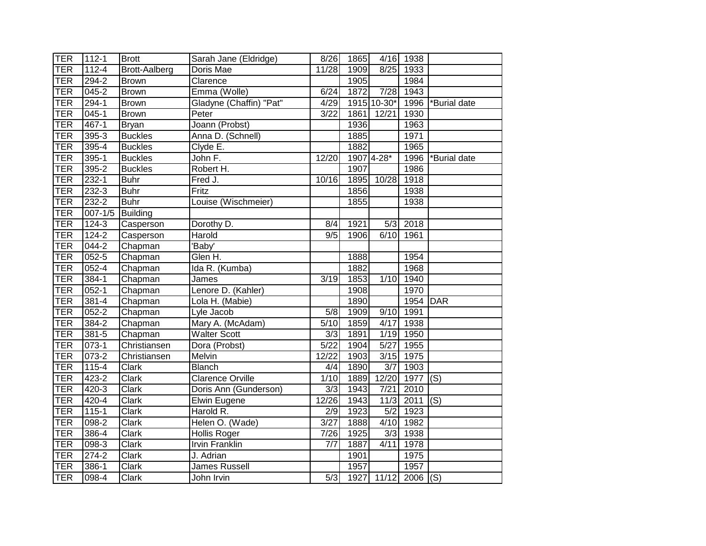| <b>TER</b> | $112 - 1$   | <b>Brott</b>              | Sarah Jane (Eldridge)   | 8/26               | 1865 |                   | 4/16 1938         |              |
|------------|-------------|---------------------------|-------------------------|--------------------|------|-------------------|-------------------|--------------|
| <b>TER</b> | $112 - 4$   | <b>Brott-Aalberg</b>      | Doris Mae               | $\overline{11/28}$ | 1909 | 8/25              | 1933              |              |
| <b>TER</b> | $294-2$     | <b>Brown</b>              | Clarence                |                    | 1905 |                   | 1984              |              |
| <b>TER</b> | $045 - 2$   | <b>Brown</b>              | Emma (Wolle)            | 6/24               | 1872 | $\overline{7/28}$ | 1943              |              |
| <b>TER</b> | $294-1$     | <b>Brown</b>              | Gladyne (Chaffin) "Pat" | 4/29               |      | 1915 10-30*       | 1996              | *Burial date |
| <b>TER</b> | $045 - 1$   | <b>Brown</b>              | Peter                   | 3/22               | 1861 | 12/21             | 1930              |              |
| <b>TER</b> | 467-1       | <b>Bryan</b>              | Joann (Probst)          |                    | 1936 |                   | 1963              |              |
| <b>TER</b> | 395-3       | <b>Buckles</b>            | Anna D. (Schnell)       |                    | 1885 |                   | 1971              |              |
| <b>TER</b> | $395 - 4$   | <b>Buckles</b>            | Clyde E.                |                    | 1882 |                   | 1965              |              |
| <b>TER</b> | $395-1$     | <b>Buckles</b>            | John F.                 | 12/20              |      | 1907 4-28*        | 1996              | *Burial date |
| <b>TER</b> | 395-2       | <b>Buckles</b>            | Robert H.               |                    | 1907 |                   | 1986              |              |
| <b>TER</b> | 232-1       | <b>Buhr</b>               | Fred J.                 | 10/16              | 1895 | 10/28             | 1918              |              |
| <b>TER</b> | $232 - 3$   | <b>Buhr</b>               | Fritz                   |                    | 1856 |                   | 1938              |              |
| <b>TER</b> | 232-2       | <b>Buhr</b>               | Louise (Wischmeier)     |                    | 1855 |                   | 1938              |              |
| <b>TER</b> | $007 - 1/5$ | Building                  |                         |                    |      |                   |                   |              |
| <b>TER</b> | $124 - 3$   | Casperson                 | Dorothy D.              | 8/4                | 1921 | $\overline{5/3}$  | 2018              |              |
| <b>TER</b> | $124 - 2$   | Casperson                 | Harold                  | 9/5                | 1906 | 6/10              | 1961              |              |
| <b>TER</b> | $044 - 2$   | Chapman                   | 'Baby'                  |                    |      |                   |                   |              |
| <b>TER</b> | $052 - 5$   | Chapman                   | Glen H.                 |                    | 1888 |                   | 1954              |              |
| <b>TER</b> | $052 - 4$   | Chapman                   | Ida R. (Kumba)          |                    | 1882 |                   | 1968              |              |
| TER        | $384 - 1$   | Chapman                   | James                   | 3/19               | 1853 | 1/10              | 1940              |              |
| TER        | $052 - 1$   | Chapman                   | Lenore D. (Kahler)      |                    | 1908 |                   | 1970              |              |
| <b>TER</b> | 381-4       | Chapman                   | Lola H. (Mabie)         |                    | 1890 |                   | 1954 DAR          |              |
| <b>TER</b> | $052 - 2$   | Chapman                   | Lyle Jacob              | 5/8                | 1909 | 9/10              | 1991              |              |
| <b>TER</b> | 384-2       | Chapman                   | Mary A. (McAdam)        | 5/10               | 1859 | 4/17              | 1938              |              |
| <b>TER</b> | $381 - 5$   | Chapman                   | <b>Walter Scott</b>     | 3/3                | 1891 | 1/19              | 1950              |              |
| <b>TER</b> | 073-1       | Christiansen              | Dora (Probst)           | $\sqrt{5/22}$      | 1904 | $\overline{5/27}$ | 1955              |              |
| <b>TER</b> | $073 - 2$   | Christiansen              | Melvin                  | 12/22              | 1903 | 3/15              | 1975              |              |
| <b>TER</b> | 115-4       | Clark                     | <b>Blanch</b>           | 4/4                | 1890 | 3/7               | 1903              |              |
| <b>TER</b> | 423-2       | Clark                     | <b>Clarence Orville</b> | 1/10               | 1889 | 12/20             | 1977              | (S)          |
| <b>TER</b> | 420-3       | Clark                     | Doris Ann (Gunderson)   | 3/3                | 1943 | $\overline{7/21}$ | 2010              |              |
| <b>TER</b> | $420 - 4$   | Clark                     | <b>Elwin Eugene</b>     | 12/26              | 1943 | 11/3              | 2011              | (S)          |
| <b>TER</b> | $115 - 1$   | Clark                     | Harold R.               | 2/9                | 1923 | 5/2               | 1923              |              |
| TER        | 098-2       | Clark                     | Helen O. (Wade)         | 3/27               | 1888 | 4/10              | 1982              |              |
| <b>TER</b> | 386-4       | Clark                     | <b>Hollis Roger</b>     | 7/26               | 1925 | 3/3               | 1938              |              |
| TER        | 098-3       | Clark                     | <b>Irvin Franklin</b>   | 7/7                | 1887 | 4/11              | 1978              |              |
| TER        | 274-2       | Clark                     | J. Adrian               |                    | 1901 |                   | 1975              |              |
| <b>TER</b> | 386-1       | $\overline{\text{Clark}}$ | James Russell           |                    | 1957 |                   | 1957              |              |
| <b>TER</b> | 098-4       | Clark                     | John Irvin              | 5/3                | 1927 | 11/12             | $\sqrt{2006}$ (S) |              |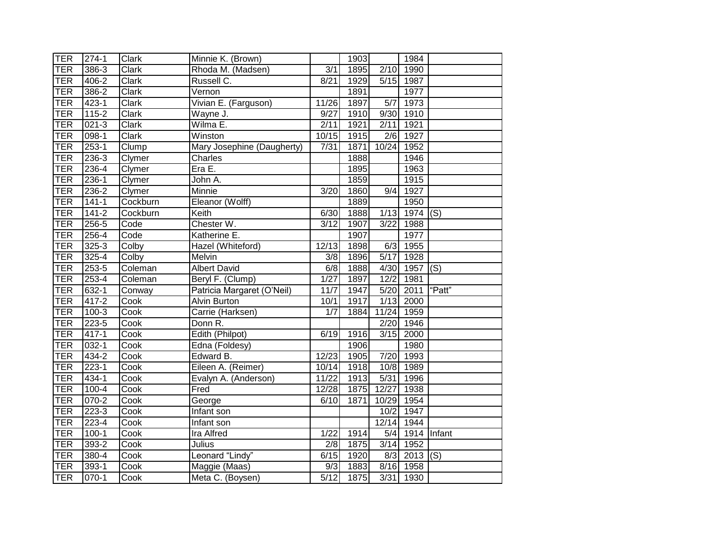| <b>TER</b> | $274-1$   | Clark                     | Minnie K. (Brown)          |                  | 1903 |                  | 1984                  |        |
|------------|-----------|---------------------------|----------------------------|------------------|------|------------------|-----------------------|--------|
| <b>TER</b> | 386-3     | Clark                     | Rhoda M. (Madsen)          | $\overline{3/1}$ | 1895 | 2/10             | 1990                  |        |
| <b>TER</b> | 406-2     | Clark                     | Russell <sub>C.</sub>      | 8/21             | 1929 |                  | 5/15 1987             |        |
| <b>TER</b> | 386-2     | $\overline{\text{Clark}}$ | Vernon                     |                  | 1891 |                  | 1977                  |        |
| <b>TER</b> | $423 - 1$ | Clark                     | Vivian E. (Farguson)       | 11/26            | 1897 | $\overline{5/7}$ | 1973                  |        |
| <b>TER</b> | $115 - 2$ | Clark                     | Wayne J.                   | 9/27             | 1910 |                  | 9/30 1910             |        |
| <b>TER</b> | $021 - 3$ | Clark                     | Wilma E.                   | 2/11             | 1921 | 2/11             | 1921                  |        |
| <b>TER</b> | $098-1$   | Clark                     | Winston                    | 10/15            | 1915 | 2/6              | 1927                  |        |
| <b>TER</b> | $253 - 1$ | Clump                     | Mary Josephine (Daugherty) | 7/31             | 1871 | 10/24            | 1952                  |        |
| <b>TER</b> | 236-3     | Clymer                    | Charles                    |                  | 1888 |                  | 1946                  |        |
| <b>TER</b> | $236 - 4$ | Clymer                    | EraE.                      |                  | 1895 |                  | 1963                  |        |
| <b>TER</b> | 236-1     | Clymer                    | John A.                    |                  | 1859 |                  | 1915                  |        |
| <b>TER</b> | 236-2     | Clymer                    | Minnie                     | 3/20             | 1860 | 9/4              | 1927                  |        |
| <b>TER</b> | $141 - 1$ | Cockburn                  | Eleanor (Wolff)            |                  | 1889 |                  | 1950                  |        |
| <b>TER</b> | $141 - 2$ | Cockburn                  | Keith                      | 6/30             | 1888 | 1/13             | 1974                  | (S)    |
| <b>TER</b> | $256 - 5$ | Code                      | Chester W.                 | 3/12             | 1907 | 3/22             | 1988                  |        |
| <b>TER</b> | $256 - 4$ | Code                      | Katherine E.               |                  | 1907 |                  | 1977                  |        |
| <b>TER</b> | $325 - 3$ | Colby                     | Hazel (Whiteford)          | 12/13            | 1898 |                  | $6/3$ 1955            |        |
| <b>TER</b> | $325 - 4$ | Colby                     | Melvin                     | $\overline{3/8}$ | 1896 | 5/17             | 1928                  |        |
| <b>TER</b> | $253 - 5$ | Coleman                   | <b>Albert David</b>        | 6/8              | 1888 | 4/30             | $1957$ (S)            |        |
| <b>TER</b> | $253 - 4$ | Coleman                   | Beryl F. (Clump)           | 1/27             | 1897 | 12/2             | 1981                  |        |
| <b>TER</b> | $632 - 1$ | Conway                    | Patricia Margaret (O'Neil) | 11/7             | 1947 | 5/20             | 2011                  | "Patt" |
| <b>TER</b> | 417-2     | Cook                      | <b>Alvin Burton</b>        | 10/1             | 1917 |                  | $1/13$ 2000           |        |
| <b>TER</b> | $100-3$   | Cook                      | Carrie (Harksen)           | 1/7              | 1884 | 11/24 1959       |                       |        |
| <b>TER</b> | $223 - 5$ | Cook                      | Donn R.                    |                  |      | 2/20             | 1946                  |        |
| <b>TER</b> | $417 - 1$ | Cook                      | Edith (Philpot)            | 6/19             | 1916 | 3/15             | 2000                  |        |
| <b>TER</b> | 032-1     | Cook                      | Edna (Foldesy)             |                  | 1906 |                  | 1980                  |        |
| <b>TER</b> | 434-2     | Cook                      | Edward B.                  | 12/23            | 1905 | 7/20             | 1993                  |        |
| <b>TER</b> | $223 - 1$ | Cook                      | Eileen A. (Reimer)         | 10/14            | 1918 | 10/8             | 1989                  |        |
| <b>TER</b> | $434 - 1$ | Cook                      | Evalyn A. (Anderson)       | 11/22            | 1913 | 5/31             | 1996                  |        |
| <b>TER</b> | $100 - 4$ | Cook                      | Fred                       | 12/28            | 1875 | 12/27            | 1938                  |        |
| TER        | $070 - 2$ | Cook                      | George                     | 6/10             | 1871 | 10/29            | 1954                  |        |
| <b>TER</b> | $223-3$   | Cook                      | Infant son                 |                  |      | 10/2             | 1947                  |        |
| <b>TER</b> | 223-4     | Cook                      | Infant son                 |                  |      | 12/14            | 1944                  |        |
| <b>TER</b> | $100 - 1$ | Cook                      | Ira Alfred                 | 1/22             | 1914 | 5/4              | 1914 Infant           |        |
| <b>TER</b> | $393 - 2$ | Cook                      | Julius                     | $\overline{2/8}$ | 1875 |                  | $3/14$ 1952           |        |
| <b>TER</b> | 380-4     | Cook                      | Leonard "Lindy"            | 6/15             | 1920 | 8/3              | $\overline{2013}$ (S) |        |
| <b>TER</b> | $393 - 1$ | Cook                      | Maggie (Maas)              | 9/3              | 1883 | 8/16             | 1958                  |        |
| <b>TER</b> | $070 - 1$ | Cook                      | Meta C. (Boysen)           | 5/12             | 1875 |                  | 3/31 1930             |        |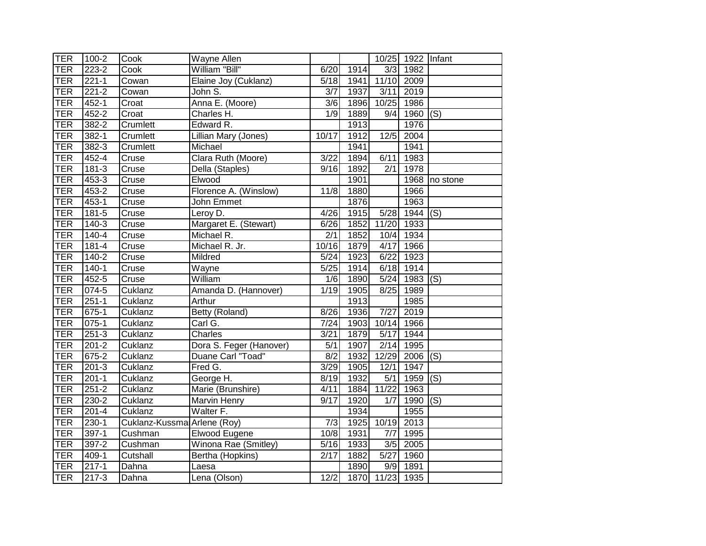| TER        | $100 - 2$ | Cook                        | Wayne Allen             |                           |      |                   | 10/25 1922 Infant |                           |
|------------|-----------|-----------------------------|-------------------------|---------------------------|------|-------------------|-------------------|---------------------------|
| <b>TER</b> | $223 - 2$ | Cook                        | William "Bill"          | 6/20                      | 1914 | 3/3               | 1982              |                           |
| <b>TER</b> | $221 - 1$ | Cowan                       | Elaine Joy (Cuklanz)    | 5/18                      | 1941 | 11/10             | 2009              |                           |
| <b>TER</b> | $221 - 2$ | Cowan                       | John S.                 | $\overline{3/7}$          | 1937 | 3/11              | 2019              |                           |
| <b>TER</b> | $452 - 1$ | Croat                       | Anna E. (Moore)         | $\overline{3/6}$          | 1896 | 10/25             | 1986              |                           |
| <b>TER</b> | $452 - 2$ | Croat                       | Charles H.              | 1/9                       | 1889 | 9/4               | 1960              | (S)                       |
| <b>TER</b> | $382 - 2$ | Crumlett                    | Edward R.               |                           | 1913 |                   | 1976              |                           |
| <b>TER</b> | 382-1     | Crumlett                    | Lillian Mary (Jones)    | 10/17                     | 1912 | $12/5$            | 2004              |                           |
| <b>TER</b> | $382 - 3$ | Crumlett                    | Michael                 |                           | 1941 |                   | 1941              |                           |
| <b>TER</b> | $452 - 4$ | Cruse                       | Clara Ruth (Moore)      | 3/22                      | 1894 | 6/11              | 1983              |                           |
| <b>TER</b> | $181 - 3$ | Cruse                       | Della (Staples)         | 9/16                      | 1892 | 2/1               | 1978              |                           |
| <b>TER</b> | 453-3     | Cruse                       | Elwood                  |                           | 1901 |                   | 1968              | no stone                  |
| <b>TER</b> | $453 - 2$ | Cruse                       | Florence A. (Winslow)   | 11/8                      | 1880 |                   | 1966              |                           |
| <b>TER</b> | $453 - 1$ | Cruse                       | John Emmet              |                           | 1876 |                   | 1963              |                           |
| <b>TER</b> | $181 - 5$ | Cruse                       | Leroy D.                | 4/26                      | 1915 | 5/28              | 1944              | (S)                       |
| <b>TER</b> | $140-3$   | Cruse                       | Margaret E. (Stewart)   | 6/26                      | 1852 | 11/20             | 1933              |                           |
| <b>TER</b> | $140 - 4$ | Cruse                       | Michael R.              | $\overline{2/1}$          | 1852 | 10/4              | 1934              |                           |
| <b>TER</b> | $181 - 4$ | Cruse                       | Michael R. Jr.          | 10/16                     | 1879 | 4/17              | 1966              |                           |
| <b>TER</b> | $140 - 2$ | Cruse                       | Mildred                 | 5/24                      | 1923 | 6/22              | 1923              |                           |
| TER        | $140 - 1$ | Cruse                       | Wayne                   | 5/25                      | 1914 | 6/18              | 1914              |                           |
| TER        | $452 - 5$ | Cruse                       | William                 | 1/6                       | 1890 | 5/24              | 1983              | $\overline{(\mathsf{S})}$ |
| TER        | $074 - 5$ | Cuklanz                     | Amanda D. (Hannover)    | 1/19                      | 1905 | 8/25              | 1989              |                           |
| <b>TER</b> | $251 - 1$ | Cuklanz                     | Arthur                  |                           | 1913 |                   | 1985              |                           |
| <b>TER</b> | $675-1$   | Cuklanz                     | Betty (Roland)          | 8/26                      | 1936 | 7/27              | 2019              |                           |
| <b>TER</b> | $075-1$   | Cuklanz                     | Carl G.                 | 7/24                      | 1903 | 10/14             | 1966              |                           |
| <b>TER</b> | $251 - 3$ | Cuklanz                     | Charles                 | 3/21                      | 1879 | $\overline{5/17}$ | 1944              |                           |
| <b>TER</b> | $201 - 2$ | Cuklanz                     | Dora S. Feger (Hanover) | $\overline{5/1}$          | 1907 | 2/14              | 1995              |                           |
| <b>TER</b> | $675 - 2$ | Cuklanz                     | Duane Carl "Toad"       | 8/2                       | 1932 | 12/29             | 2006              | $\overline{(\mathsf{S})}$ |
| <b>TER</b> | $201 - 3$ | Cuklanz                     | Fred G.                 | 3/29                      | 1905 | 12/1              | 1947              |                           |
| <b>TER</b> | $201 - 1$ | Cuklanz                     | George H.               | $\overline{\frac{8}{19}}$ | 1932 | 5/1               | 1959              | $\overline{(\mathsf{S})}$ |
| <b>TER</b> | $251 - 2$ | Cuklanz                     | Marie (Brunshire)       | 4/11                      | 1884 | 11/22             | 1963              |                           |
| <b>TER</b> | $230 - 2$ | Cuklanz                     | Marvin Henry            | 9/17                      | 1920 | 1/7               | 1990              | (S)                       |
| <b>TER</b> | $201 - 4$ | Cuklanz                     | Walter F.               |                           | 1934 |                   | 1955              |                           |
| <b>TER</b> | $230 - 1$ | Cuklanz-Kussma Arlene (Roy) |                         | 7/3                       | 1925 | 10/19             | 2013              |                           |
| <b>TER</b> | 397-1     | Cushman                     | Elwood Eugene           | 10/8                      | 1931 | 7/7               | 1995              |                           |
| <b>TER</b> | $397 - 2$ | Cushman                     | Winona Rae (Smitley)    | 5/16                      | 1933 | 3/5               | 2005              |                           |
| <b>TER</b> | 409-1     | Cutshall                    | Bertha (Hopkins)        | 2/17                      | 1882 | $\overline{5/27}$ | 1960              |                           |
| <b>TER</b> | $217 - 1$ | Dahna                       | Laesa                   |                           | 1890 | 9/9               | 1891              |                           |
| <b>TER</b> | $217 - 3$ | Dahna                       | Lena (Olson)            | 12/2                      | 1870 | 11/23 1935        |                   |                           |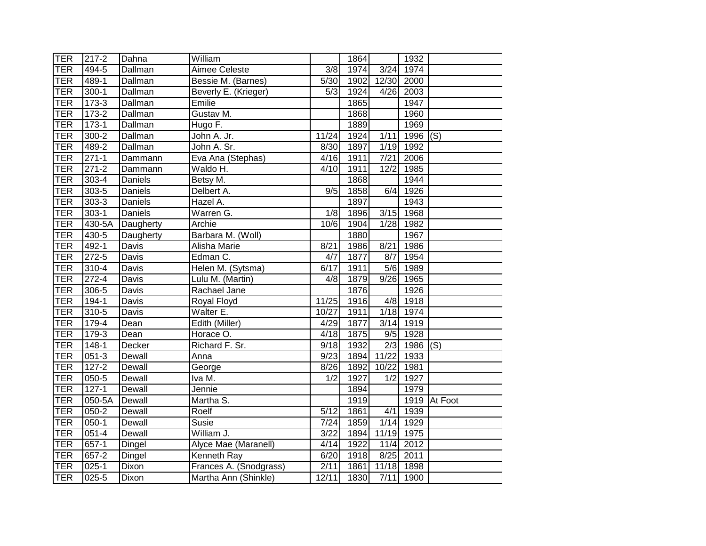| <b>TER</b> | 217-2              | Dahna          | William                |                   | 1864 |        | 1932       |              |
|------------|--------------------|----------------|------------------------|-------------------|------|--------|------------|--------------|
| <b>TER</b> | 494-5              | <b>Dallman</b> | Aimee Celeste          | $\overline{3/8}$  | 1974 | 3/24   | 1974       |              |
| <b>TER</b> | 489-1              | Dallman        | Bessie M. (Barnes)     | 5/30              | 1902 | 12/30  | 2000       |              |
| <b>TER</b> | $300-1$            | <b>Dallman</b> | Beverly E. (Krieger)   | 5/3               | 1924 | 4/26   | 2003       |              |
| <b>TER</b> | $173-3$            | <b>Dallman</b> | Emilie                 |                   | 1865 |        | 1947       |              |
| <b>TER</b> | $173-2$            | Dallman        | Gustav M.              |                   | 1868 |        | 1960       |              |
| <b>TER</b> | $173-1$            | Dallman        | Hugo F.                |                   | 1889 |        | 1969       |              |
| <b>TER</b> | $300 - 2$          | Dallman        | John A. Jr.            | 11/24             | 1924 | 1/11   | $1996$ (S) |              |
| <b>TER</b> | 489-2              | Dallman        | John A. Sr.            | 8/30              | 1897 | 1/19   | 1992       |              |
| <b>TER</b> | $\overline{271-1}$ | Dammann        | Eva Ana (Stephas)      | 4/16              | 1911 | 7/21   | 2006       |              |
| <b>TER</b> | $271 - 2$          | Dammann        | Waldo H.               | 4/10              | 1911 | 12/2   | 1985       |              |
| <b>TER</b> | 303-4              | Daniels        | Betsy M.               |                   | 1868 |        | 1944       |              |
| <b>TER</b> | 303-5              | Daniels        | Delbert A.             | 9/5               | 1858 | 6/4    | 1926       |              |
| <b>TER</b> | 303-3              | Daniels        | Hazel A.               |                   | 1897 |        | 1943       |              |
| <b>TER</b> | $303 - 1$          | Daniels        | Warren G.              | $\overline{1/8}$  | 1896 | 3/15   | 1968       |              |
| <b>TER</b> | 430-5A             | Daugherty      | Archie                 | 10/6              | 1904 | 1/28   | 1982       |              |
| <b>TER</b> | $430 - 5$          | Daugherty      | Barbara M. (Woll)      |                   | 1880 |        | 1967       |              |
| <b>TER</b> | $492 - 1$          | Davis          | <b>Alisha Marie</b>    | 8/21              | 1986 | 8/21   | 1986       |              |
| <b>TER</b> | $272 - 5$          | <b>Davis</b>   | Edman C.               | 4/7               | 1877 | 8/7    | 1954       |              |
| TER        | $310 - 4$          | Davis          | Helen M. (Sytsma)      | 6/17              | 1911 | 5/6    | 1989       |              |
| <b>TER</b> | $272 - 4$          | <b>Davis</b>   | Lulu M. (Martin)       | 4/8               | 1879 | 9/26   | 1965       |              |
| <b>TER</b> | $306 - 5$          | Davis          | Rachael Jane           |                   | 1876 |        | 1926       |              |
| <b>TER</b> | 194-1              | Davis          | Royal Floyd            | 11/25             | 1916 | 4/8    | 1918       |              |
| <b>TER</b> | $310 - 5$          | Davis          | Walter E.              | 10/27             | 1911 |        | 1/18 1974  |              |
| <b>TER</b> | 179-4              | Dean           | Edith (Miller)         | 4/29              | 1877 | $3/14$ | 1919       |              |
| <b>TER</b> | $179-3$            | Dean           | Horace O.              | 4/18              | 1875 | 9/5    | 1928       |              |
| <b>TER</b> | $148 - 1$          | Decker         | Richard F. Sr.         | 9/18              | 1932 | 2/3    | 1986       | (S)          |
| <b>TER</b> | $051 - 3$          | Dewall         | Anna                   | $\frac{1}{9}{23}$ | 1894 | 11/22  | 1933       |              |
| <b>TER</b> | $127 - 2$          | Dewall         | George                 | 8/26              | 1892 | 10/22  | 1981       |              |
| <b>TER</b> | 050-5              | Dewall         | Iva M.                 | 1/2               | 1927 | 1/2    | 1927       |              |
| <b>TER</b> | $127 - 1$          | Dewall         | Jennie                 |                   | 1894 |        | 1979       |              |
| <b>TER</b> | 050-5A             | Dewall         | Martha S.              |                   | 1919 |        |            | 1919 At Foot |
| <b>TER</b> | $050-2$            | Dewall         | Roelf                  | 5/12              | 1861 | 4/1    | 1939       |              |
| <b>TER</b> | $050 - 1$          | Dewall         | Susie                  | 7/24              | 1859 | $1/14$ | 1929       |              |
| <b>TER</b> | $051 - 4$          | Dewall         | William J.             | 3/22              | 1894 | 11/19  | 1975       |              |
| <b>TER</b> | $657 - 1$          | Dingel         | Alyce Mae (Maranell)   | 4/14              | 1922 | $11/4$ | 2012       |              |
| <b>TER</b> | 657-2              | Dingel         | Kenneth Ray            | 6/20              | 1918 | 8/25   | 2011       |              |
| <b>TER</b> | $025 - 1$          | Dixon          | Frances A. (Snodgrass) | 2/11              | 1861 | 11/18  | 1898       |              |
| TER        | $025 - 5$          | Dixon          | Martha Ann (Shinkle)   | 12/11             | 1830 | 7/11   | 1900       |              |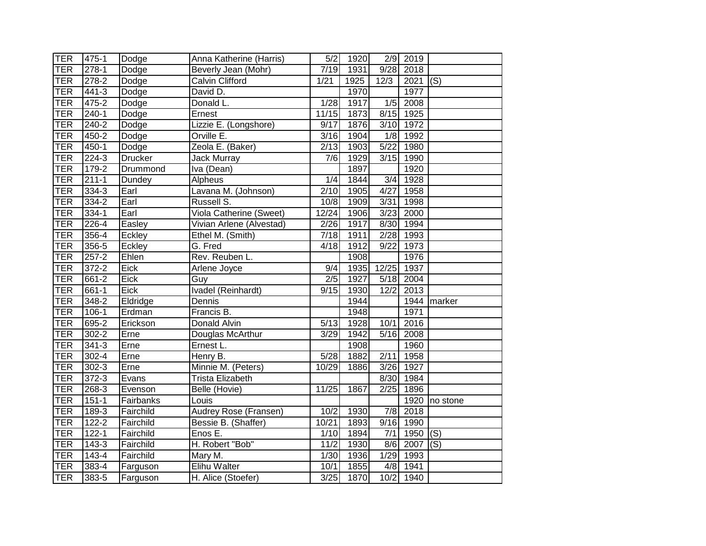| <b>TER</b> | 475-1             | Dodge          | Anna Katherine (Harris)  | 5/2               | 1920 |                  | $2/9$ 2019 |               |
|------------|-------------------|----------------|--------------------------|-------------------|------|------------------|------------|---------------|
| <b>TER</b> | $278-1$           | Dodge          | Beverly Jean (Mohr)      | 7/19              | 1931 | 9/28             | 2018       |               |
| <b>TER</b> | 278-2             | Dodge          | Calvin Clifford          | 1/21              | 1925 | 12/3             | 2021       | (S)           |
| <b>TER</b> | 441-3             | Dodge          | David D.                 |                   | 1970 |                  | 1977       |               |
| <b>TER</b> | 475-2             | Dodge          | Donald L.                | 1/28              | 1917 | 1/5              | 2008       |               |
| <b>TER</b> | $\frac{1}{240-1}$ | Dodge          | Ernest                   | 11/15             | 1873 |                  | 8/15 1925  |               |
| <b>TER</b> | 240-2             | Dodge          | Lizzie E. (Longshore)    | 9/17              | 1876 |                  | 3/10 1972  |               |
| <b>TER</b> | 450-2             | Dodge          | Orville E.               | $\overline{3}/16$ | 1904 | 1/8              | 1992       |               |
| <b>TER</b> | 450-1             | Dodge          | Zeola E. (Baker)         | 2/13              | 1903 | 5/22             | 1980       |               |
| <b>TER</b> | 224-3             | <b>Drucker</b> | <b>Jack Murray</b>       | 7/6               | 1929 | 3/15             | 1990       |               |
| TER        | $179-2$           | Drummond       | Iva (Dean)               |                   | 1897 |                  | 1920       |               |
| TER        | $211 - 1$         | Dundey         | Alpheus                  | 1/4               | 1844 | 3/4              | 1928       |               |
| <b>TER</b> | 334-3             | Earl           | Lavana M. (Johnson)      | 2/10              | 1905 | 4/27             | 1958       |               |
| <b>TER</b> | $334 - 2$         | Earl           | Russell S.               | 10/8              | 1909 | $\frac{1}{3/31}$ | 1998       |               |
| <b>TER</b> | 334-1             | Earl           | Viola Catherine (Sweet)  | 12/24             | 1906 | 3/23             | 2000       |               |
| TER        | $226 - 4$         | Easley         | Vivian Arlene (Alvestad) | $\sqrt{2/26}$     | 1917 | 8/30             | 1994       |               |
| TER        | $356 - 4$         | Eckley         | Ethel M. (Smith)         | 7/18              | 1911 | 2/28             | 1993       |               |
| TER        | 356-5             | Eckley         | G. Fred                  | 4/18              | 1912 | 9/22             | 1973       |               |
| <b>TER</b> | $257 - 2$         | Ehlen          | Rev. Reuben L.           |                   | 1908 |                  | 1976       |               |
| TER        | $372 - 2$         | Eick           | Arlene Joyce             | $\overline{9/4}$  | 1935 | 12/25            | 1937       |               |
| TER        | 661-2             | <b>Eick</b>    | Guy                      | 2/5               | 1927 | 5/18             | 2004       |               |
| TER        | 661-1             | Eick           | Ivadel (Reinhardt)       | 9/15              | 1930 | 12/2             | 2013       |               |
| TER        | 348-2             | Eldridge       | Dennis                   |                   | 1944 |                  |            | 1944 marker   |
| TER        | $106-1$           | Erdman         | Francis B.               |                   | 1948 |                  | 1971       |               |
| <b>TER</b> | 695-2             | Erickson       | Donald Alvin             | 5/13              | 1928 | 10/1             | 2016       |               |
| <b>TER</b> | $302 - 2$         | Erne           | Douglas McArthur         | 3/29              | 1942 | 5/16             | 2008       |               |
| <b>TER</b> | $341 - 3$         | Erne           | Ernest L.                |                   | 1908 |                  | 1960       |               |
| <b>TER</b> | 302-4             | Erne           | Henry B.                 | $\overline{5/28}$ | 1882 | 2/11             | 1958       |               |
| TER        | $302 - 3$         | Erne           | Minnie M. (Peters)       | 10/29             | 1886 | 3/26             | 1927       |               |
| TER        | $372 - 3$         | Evans          | <b>Trista Elizabeth</b>  |                   |      | 8/30             | 1984       |               |
| <b>TER</b> | 268-3             | Evenson        | Belle (Hovie)            | 11/25             | 1867 | 2/25             | 1896       |               |
| TER        | $151 - 1$         | Fairbanks      | Louis                    |                   |      |                  |            | 1920 no stone |
| TER        | 189-3             | Fairchild      | Audrey Rose (Fransen)    | 10/2              | 1930 | 7/8              | 2018       |               |
| TER        | 122-2             | Fairchild      | Bessie B. (Shaffer)      | 10/21             | 1893 | 9/16             | 1990       |               |
| TER        | $122 - 1$         | Fairchild      | Enos E.                  | 1/10              | 1894 | 7/1              | 1950       | (S)           |
| TER        | 143-3             | Fairchild      | H. Robert "Bob"          | 11/2              | 1930 | 8/6              | 2007       | (S)           |
| TER        | 143-4             | Fairchild      | Mary M.                  | 1/30              | 1936 | 1/29             | 1993       |               |
| <b>TER</b> | 383-4             | Farguson       | <b>Elihu Walter</b>      | 10/1              | 1855 | 4/8              | 1941       |               |
| <b>TER</b> | 383-5             | Farguson       | H. Alice (Stoefer)       | 3/25              | 1870 |                  | 10/2 1940  |               |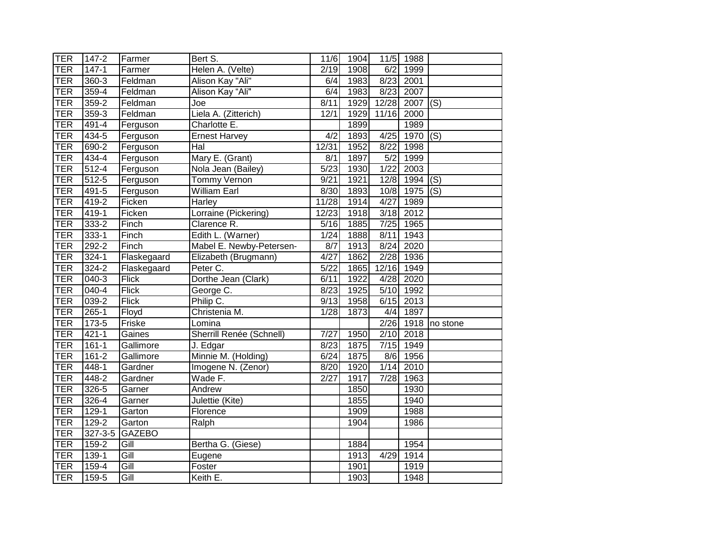| <b>TER</b> | 147-2     | Farmer             | Bert S.                  | 11/6              | 1904 |            | 11/5 1988        |                           |
|------------|-----------|--------------------|--------------------------|-------------------|------|------------|------------------|---------------------------|
| <b>TER</b> | $147 - 1$ | Farmer             | Helen A. (Velte)         | $\sqrt{2/19}$     | 1908 | 6/2        | $\frac{1}{1999}$ |                           |
| <b>TER</b> | $360 - 3$ | Feldman            | Alison Kay "Ali"         | 6/4               | 1983 |            | 8/23 2001        |                           |
| <b>TER</b> | $359 - 4$ | Feldman            | Alison Kay "Ali"         | 6/4               | 1983 | 8/23       | 2007             |                           |
| <b>TER</b> | $359 - 2$ | Feldman            | Joe                      | 8/11              | 1929 | 12/28      | 2007             | $\overline{(\mathsf{S})}$ |
| <b>TER</b> | $359-3$   | Feldman            | Liela A. (Zitterich)     | 12/1              | 1929 | 11/16 2000 |                  |                           |
| <b>TER</b> | $491 - 4$ | Ferguson           | Charlotte E.             |                   | 1899 |            | 1989             |                           |
| <b>TER</b> | 434-5     | Ferguson           | <b>Ernest Harvey</b>     | 4/2               | 1893 | 4/25       | 1970             | (S)                       |
| <b>TER</b> | $690 - 2$ | Ferguson           | Hal                      | 12/31             | 1952 | 8/22       | 1998             |                           |
| <b>TER</b> | 434-4     | Ferguson           | Mary E. (Grant)          | 8/1               | 1897 | 5/2        | 1999             |                           |
| <b>TER</b> | $512 - 4$ | Ferguson           | Nola Jean (Bailey)       | $\sqrt{5/23}$     | 1930 | 1/22       | 2003             |                           |
| <b>TER</b> | $512 - 5$ | Ferguson           | <b>Tommy Vernon</b>      | 9/21              | 1921 | 12/8       | 1994             | $\overline{(\mathsf{S})}$ |
| <b>TER</b> | 491-5     | Ferguson           | <b>William Earl</b>      | 8/30              | 1893 | 10/8       | 1975             | $\overline{(\mathsf{S})}$ |
| <b>TER</b> | 419-2     | Ficken             | Harley                   | 11/28             | 1914 | 4/27       | 1989             |                           |
| <b>TER</b> | $419-1$   | Ficken             | Lorraine (Pickering)     | 12/23             | 1918 | 3/18       | 2012             |                           |
| <b>TER</b> | $333 - 2$ | Finch              | Clarence R.              | $\overline{5/16}$ | 1885 | 7/25       | 1965             |                           |
| <b>TER</b> | $333 - 1$ | Finch              | Edith L. (Warner)        | 1/24              | 1888 | 8/11       | 1943             |                           |
| <b>TER</b> | $292 - 2$ | Finch              | Mabel E. Newby-Petersen- | 8/7               | 1913 | 8/24       | 2020             |                           |
| <b>TER</b> | $324 - 1$ | Flaskegaard        | Elizabeth (Brugmann)     | 4/27              | 1862 | 2/28       | 1936             |                           |
| TER        | $324 - 2$ | Flaskegaard        | Peter C.                 | $\sqrt{5/22}$     | 1865 | 12/16      | 1949             |                           |
| <b>TER</b> | $040 - 3$ | <b>Flick</b>       | Dorthe Jean (Clark)      | 6/11              | 1922 | 4/28       | 2020             |                           |
| <b>TER</b> | $040 - 4$ | <b>Flick</b>       | George C.                | 8/23              | 1925 | 5/10       | 1992             |                           |
| <b>TER</b> | 039-2     | <b>Flick</b>       | Philip C.                | 9/13              | 1958 | 6/15       | 2013             |                           |
| <b>TER</b> | $265 - 1$ | Floyd              | Christenia M.            | 1/28              | 1873 | 4/4        | $\frac{1}{1897}$ |                           |
| <b>TER</b> | 173-5     | Friske             | Lomina                   |                   |      | 2/26       | 1918             | no stone                  |
| <b>TER</b> | $421 - 1$ | Gaines             | Sherrill Renée (Schnell) | 7/27              | 1950 | 2/10       | 2018             |                           |
| <b>TER</b> | $161 - 1$ | Gallimore          | J. Edgar                 | 8/23              | 1875 |            | 7/15 1949        |                           |
| <b>TER</b> | $161 - 2$ | Gallimore          | Minnie M. (Holding)      | 6/24              | 1875 | 8/6        | 1956             |                           |
| <b>TER</b> | $448 - 1$ | Gardner            | Imogene N. (Zenor)       | 8/20              | 1920 | 1/14       | 2010             |                           |
| <b>TER</b> | 448-2     | Gardner            | Wade F.                  | 2/27              | 1917 | 7/28       | 1963             |                           |
| TER        | $326 - 5$ | Garner             | Andrew                   |                   | 1850 |            | 1930             |                           |
| TER        | $326 - 4$ | Garner             | Julettie (Kite)          |                   | 1855 |            | 1940             |                           |
| <b>TER</b> | 129-1     | Garton             | Florence                 |                   | 1909 |            | 1988             |                           |
| <b>TER</b> | $129 - 2$ | Garton             | Ralph                    |                   | 1904 |            | 1986             |                           |
| <b>TER</b> | 327-3-5   | <b>GAZEBO</b>      |                          |                   |      |            |                  |                           |
| <b>TER</b> | 159-2     | Gill               | Bertha G. (Giese)        |                   | 1884 |            | 1954             |                           |
| <b>TER</b> | $139-1$   | $\overline{G}$ ill | Eugene                   |                   | 1913 | 4/29       | 1914             |                           |
| <b>TER</b> | 159-4     | Gill               | Foster                   |                   | 1901 |            | 1919             |                           |
| <b>TER</b> | 159-5     | Gill               | Keith E.                 |                   | 1903 |            | 1948             |                           |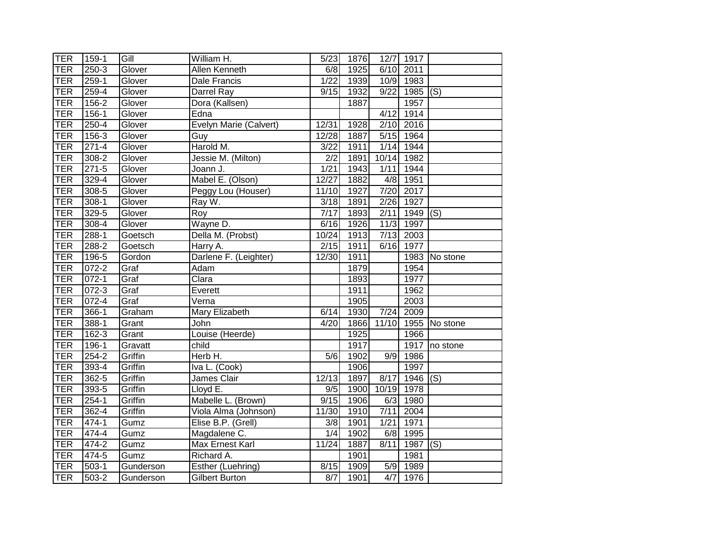| <b>TER</b> | 159-1     | Gill      | William H.             | 5/23              | 1876 |                   | 12/7 1917        |               |
|------------|-----------|-----------|------------------------|-------------------|------|-------------------|------------------|---------------|
| <b>TER</b> | $250 - 3$ | Glover    | Allen Kenneth          | 6/8               | 1925 | 6/10              | 2011             |               |
| <b>TER</b> | 259-1     | Glover    | Dale Francis           | 1/22              | 1939 |                   | 10/9 1983        |               |
| <b>TER</b> | $259 - 4$ | Glover    | Darrel Ray             | 9/15              | 1932 | 9/22              | $1985$ (S)       |               |
| TER        | $156 - 2$ | Glover    | Dora (Kallsen)         |                   | 1887 |                   | 1957             |               |
| <b>TER</b> | $156 - 1$ | Glover    | Edna                   |                   |      | 4/12              | 1914             |               |
| <b>TER</b> | 250-4     | Glover    | Evelyn Marie (Calvert) | 12/31             | 1928 |                   | 2/10 2016        |               |
| <b>TER</b> | $156-3$   | Glover    | Guy                    | 12/28             | 1887 | 5/15              | $\frac{1}{1964}$ |               |
| <b>TER</b> | $271 - 4$ | Glover    | Harold M.              | 3/22              | 1911 | 1/14              | 1944             |               |
| <b>TER</b> | 308-2     | Glover    | Jessie M. (Milton)     | 2/2               | 1891 | 10/14             | 1982             |               |
| <b>TER</b> | $271 - 5$ | Glover    | Joann J.               | 1/21              | 1943 | 1/11              | 1944             |               |
| <b>TER</b> | 329-4     | Glover    | Mabel E. (Olson)       | 12/27             | 1882 | 4/8               | 1951             |               |
| <b>TER</b> | 308-5     | Glover    | Peggy Lou (Houser)     | $\frac{1}{11/10}$ | 1927 | 7/20              | 2017             |               |
| <b>TER</b> | $308-1$   | Glover    | Ray W.                 | $\overline{3/18}$ | 1891 | 2/26              | 1927             |               |
| <b>TER</b> | $329 - 5$ | Glover    | Roy                    | 7/17              | 1893 | 2/11              | $\frac{1}{1949}$ | (S)           |
| TER        | $308 - 4$ | Glover    | Wayne D.               | 6/16              | 1926 | 11/3              | 1997             |               |
| <b>TER</b> | $288-1$   | Goetsch   | Della M. (Probst)      | 10/24             | 1913 | 7/13              | 2003             |               |
| <b>TER</b> | $288 - 2$ | Goetsch   | Harry A.               | 2/15              | 1911 |                   | 6/16 1977        |               |
| <b>TER</b> | $196 - 5$ | Gordon    | Darlene F. (Leighter)  | 12/30             | 1911 |                   |                  | 1983 No stone |
| <b>TER</b> | $072 - 2$ | Graf      | Adam                   |                   | 1879 |                   | 1954             |               |
| <b>TER</b> | $072 - 1$ | Graf      | Clara                  |                   | 1893 |                   | 1977             |               |
| <b>TER</b> | $072 - 3$ | Graf      | Everett                |                   | 1911 |                   | 1962             |               |
| <b>TER</b> | $072 - 4$ | Graf      | Verna                  |                   | 1905 |                   | 2003             |               |
| <b>TER</b> | 366-1     | Graham    | Mary Elizabeth         | 6/14              | 1930 | 7/24              | 2009             |               |
| <b>TER</b> | $388-1$   | Grant     | John                   | 4/20              | 1866 | 11/10             |                  | 1955 No stone |
| <b>TER</b> | $162 - 3$ | Grant     | Louise (Heerde)        |                   | 1925 |                   | 1966             |               |
| <b>TER</b> | $196-1$   | Gravatt   | child                  |                   | 1917 |                   |                  | 1917 no stone |
| <b>TER</b> | 254-2     | Griffin   | Herb H.                | 5/6               | 1902 | 9/9               | 1986             |               |
| <b>TER</b> | 393-4     | Griffin   | Iva L. (Cook)          |                   | 1906 |                   | 1997             |               |
| <b>TER</b> | $362 - 5$ | Griffin   | James Clair            | 12/13             | 1897 | 8/17              | 1946             | (S)           |
| <b>TER</b> | 393-5     | Griffin   | Lloyd E.               | 9/5               | 1900 | 10/19 1978        |                  |               |
| <b>TER</b> | $254-1$   | Griffin   | Mabelle L. (Brown)     | 9/15              | 1906 | 6/3               | 1980             |               |
| <b>TER</b> | $362 - 4$ | Griffin   | Viola Alma (Johnson)   | 11/30             | 1910 | 7/11              | 2004             |               |
| <b>TER</b> | 474-1     | Gumz      | Elise B.P. (Grell)     | 3/8               | 1901 | 1/21              | 1971             |               |
| <b>TER</b> | 474-4     | Gumz      | Magdalene C.           | 1/4               | 1902 | 6/8               | 1995             |               |
| <b>TER</b> | 474-2     | Gumz      | Max Ernest Karl        | 11/24             | 1887 | $\overline{8}/11$ | 1987             | (S)           |
| <b>TER</b> | 474-5     | Gumz      | Richard A.             |                   | 1901 |                   | 1981             |               |
| <b>TER</b> | $503-1$   | Gunderson | Esther (Luehring)      | 8/15              | 1909 | 5/9               | 1989             |               |
| TER        | 503-2     | Gunderson | Gilbert Burton         | 8/7               | 1901 |                   | 4/7 1976         |               |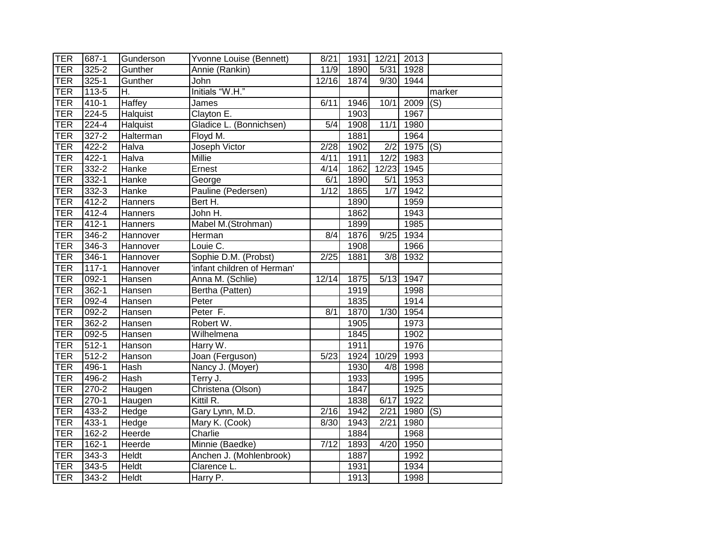| <b>TER</b> | 687-1     | Gunderson      | Yvonne Louise (Bennett)     | 8/21               | 1931 | 12/21 2013        |            |                           |
|------------|-----------|----------------|-----------------------------|--------------------|------|-------------------|------------|---------------------------|
| <b>TER</b> | $325 - 2$ | Gunther        | Annie (Rankin)              | 11/9               | 1890 | 5/31              | 1928       |                           |
| <b>TER</b> | $325 - 1$ | Gunther        | John                        | $\overline{12/16}$ | 1874 | 9/30              | 1944       |                           |
| <b>TER</b> | 113-5     | Η.             | Initials "W.H."             |                    |      |                   |            | marker                    |
| <b>TER</b> | $410-1$   | Haffey         | James                       | 6/11               | 1946 | 10/1              | 2009       | $\overline{(\mathsf{S})}$ |
| <b>TER</b> | $224 - 5$ | Halquist       | Clayton $E$ .               |                    | 1903 |                   | 1967       |                           |
| <b>TER</b> | 224-4     | Halquist       | Gladice L. (Bonnichsen)     | 5/4                | 1908 | 11/1              | 1980       |                           |
| <b>TER</b> | $327 - 2$ | Halterman      | Floyd M.                    |                    | 1881 |                   | 1964       |                           |
| <b>TER</b> | 422-2     | Halva          | Joseph Victor               | 2/28               | 1902 | 2/2               | $1975$ (S) |                           |
| <b>TER</b> | 422-1     | Halva          | Millie                      | 4/11               | 1911 | 12/2              | 1983       |                           |
| <b>TER</b> | 332-2     | Hanke          | Ernest                      | 4/14               | 1862 | 12/23             | 1945       |                           |
| <b>TER</b> | $332 - 1$ | Hanke          | George                      | 6/1                | 1890 | 5/1               | 1953       |                           |
| <b>TER</b> | 332-3     | Hanke          | Pauline (Pedersen)          | 1/12               | 1865 | 1/7               | 1942       |                           |
| <b>TER</b> | $412 - 2$ | Hanners        | Bert H.                     |                    | 1890 |                   | 1959       |                           |
| <b>TER</b> | 412-4     | Hanners        | John H.                     |                    | 1862 |                   | 1943       |                           |
| <b>TER</b> | $412 - 1$ | <b>Hanners</b> | Mabel M.(Strohman)          |                    | 1899 |                   | 1985       |                           |
| <b>TER</b> | $346 - 2$ | Hannover       | Herman                      | 8/4                | 1876 | 9/25              | 1934       |                           |
| <b>TER</b> | $346 - 3$ | Hannover       | Louie C.                    |                    | 1908 |                   | 1966       |                           |
| <b>TER</b> | $346 - 1$ | Hannover       | Sophie D.M. (Probst)        | $\sqrt{2/25}$      | 1881 | 3/8               | 1932       |                           |
| <b>TER</b> | $117 - 1$ | Hannover       | 'infant children of Herman' |                    |      |                   |            |                           |
| <b>TER</b> | $092-1$   | Hansen         | Anna M. (Schlie)            | 12/14              | 1875 | 5/13              | 1947       |                           |
| <b>TER</b> | $362 - 1$ | Hansen         | Bertha (Patten)             |                    | 1919 |                   | 1998       |                           |
| <b>TER</b> | 092-4     | Hansen         | Peter                       |                    | 1835 |                   | 1914       |                           |
| <b>TER</b> | 092-2     | Hansen         | Peter $\overline{F}$ .      | 8/1                | 1870 | $\overline{1}/30$ | 1954       |                           |
| <b>TER</b> | $362 - 2$ | Hansen         | Robert W.                   |                    | 1905 |                   | 1973       |                           |
| <b>TER</b> | $092 - 5$ | Hansen         | Wilhelmena                  |                    | 1845 |                   | 1902       |                           |
| <b>TER</b> | $512 - 1$ | Hanson         | Harry W.                    |                    | 1911 |                   | 1976       |                           |
| <b>TER</b> | $512 - 2$ | Hanson         | Joan (Ferguson)             | 5/23               | 1924 | 10/29             | 1993       |                           |
| <b>TER</b> | 496-1     | Hash           | Nancy J. (Moyer)            |                    | 1930 | 4/8               | 1998       |                           |
| <b>TER</b> | 496-2     | Hash           | Terry J.                    |                    | 1933 |                   | 1995       |                           |
| <b>TER</b> | 270-2     | Haugen         | Christena (Olson)           |                    | 1847 |                   | 1925       |                           |
| <b>TER</b> | $270-1$   | Haugen         | Kittil R.                   |                    | 1838 | 6/17              | 1922       |                           |
| <b>TER</b> | 433-2     | Hedge          | Gary Lynn, M.D.             | 2/16               | 1942 | 2/21              | 1980       | (S)                       |
| <b>TER</b> | $433 - 1$ | Hedge          | Mary K. (Cook)              | 8/30               | 1943 | 2/21              | 1980       |                           |
| <b>TER</b> | $162 - 2$ | Heerde         | Charlie                     |                    | 1884 |                   | 1968       |                           |
| <b>TER</b> | $162 - 1$ | Heerde         | Minnie (Baedke)             | $\overline{7/12}$  | 1893 | $\overline{4/20}$ | 1950       |                           |
| <b>TER</b> | 343-3     | <b>Heldt</b>   | Anchen J. (Mohlenbrook)     |                    | 1887 |                   | 1992       |                           |
| <b>TER</b> | $343 - 5$ | Heldt          | Clarence L.                 |                    | 1931 |                   | 1934       |                           |
| <b>TER</b> | 343-2     | Heldt          | Harry P.                    |                    | 1913 |                   | 1998       |                           |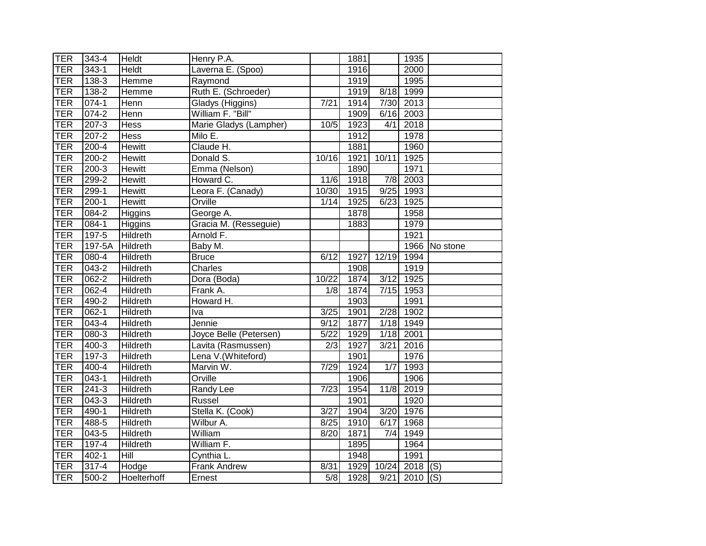| <b>TER</b> | $343 - 4$ | <b>Heldt</b>    | Henry P.A.             |                   | 1881 |       | 1935        |          |
|------------|-----------|-----------------|------------------------|-------------------|------|-------|-------------|----------|
| <b>TER</b> | $343 - 1$ | <b>Heldt</b>    | Laverna E. (Spoo)      |                   | 1916 |       | 2000        |          |
| <b>TER</b> | $138-3$   | Hemme           | Raymond                |                   | 1919 |       | 1995        |          |
| <b>TER</b> | $138 - 2$ | Hemme           | Ruth E. (Schroeder)    |                   | 1919 | 8/18  | 1999        |          |
| <b>TER</b> | $074 - 1$ | Henn            | Gladys (Higgins)       | $\overline{7/21}$ | 1914 | 7/30  | 2013        |          |
| <b>TER</b> | $074 - 2$ | Henn            | William F. "Bill"      |                   | 1909 | 6/16  | 2003        |          |
| <b>TER</b> | $207 - 3$ | Hess            | Marie Gladys (Lampher) | 10/5              | 1923 | 4/1   | 2018        |          |
| <b>TER</b> | $207 - 2$ | <b>Hess</b>     | Milo E.                |                   | 1912 |       | 1978        |          |
| <b>TER</b> | 200-4     | <b>Hewitt</b>   | Claude H.              |                   | 1881 |       | 1960        |          |
| <b>TER</b> | $200 - 2$ | Hewitt          | Donald S.              | 10/16             | 1921 | 10/11 | 1925        |          |
| <b>TER</b> | $200 - 3$ | Hewitt          | Emma (Nelson)          |                   | 1890 |       | 1971        |          |
| <b>TER</b> | 299-2     | Hewitt          | Howard C.              | 11/6              | 1918 | 7/8   | 2003        |          |
| <b>TER</b> | 299-1     | <b>Hewitt</b>   | Leora F. (Canady)      | 10/30             | 1915 | 9/25  | 1993        |          |
| <b>TER</b> | $200 - 1$ | Hewitt          | Orville                | 1/14              | 1925 | 6/23  | 1925        |          |
| <b>TER</b> | 084-2     | Higgins         | George A.              |                   | 1878 |       | 1958        |          |
| <b>TER</b> | $084 - 1$ | <b>Higgins</b>  | Gracia M. (Resseguie)  |                   | 1883 |       | 1979        |          |
| <b>TER</b> | 197-5     | Hildreth        | Arnold F.              |                   |      |       | 1921        |          |
| <b>TER</b> | 197-5A    | Hildreth        | Baby M.                |                   |      |       | 1966        | No stone |
| <b>TER</b> | $080 - 4$ | <b>Hildreth</b> | <b>Bruce</b>           | 6/12              | 1927 | 12/19 | 1994        |          |
| <b>TER</b> | $043 - 2$ | Hildreth        | <b>Charles</b>         |                   | 1908 |       | 1919        |          |
| <b>TER</b> | $062 - 2$ | Hildreth        | Dora (Boda)            | 10/22             | 1874 | 3/12  | 1925        |          |
| <b>TER</b> | $062 - 4$ | <b>Hildreth</b> | Frank A.               | $\overline{1/8}$  | 1874 | 7/15  | 1953        |          |
| <b>TER</b> | 490-2     | Hildreth        | Howard H.              |                   | 1903 |       | 1991        |          |
| <b>TER</b> | 062-1     | Hildreth        | <u>T</u> va            | 3/25              | 1901 | 2/28  | 1902        |          |
| <b>TER</b> | $043 - 4$ | Hildreth        | Jennie                 | 9/12              | 1877 | 1/18  | 1949        |          |
| <b>TER</b> | $080 - 3$ | <b>Hildreth</b> | Joyce Belle (Petersen) | 5/22              | 1929 | 1/18  | 2001        |          |
| <b>TER</b> | $400 - 3$ | Hildreth        | Lavita (Rasmussen)     | $\overline{2/3}$  | 1927 | 3/21  | 2016        |          |
| <b>TER</b> | $197 - 3$ | Hildreth        | Lena V. (Whiteford)    |                   | 1901 |       | 1976        |          |
| <b>TER</b> | 400-4     | Hildreth        | Marvin W.              | 7/29              | 1924 | 1/7   | 1993        |          |
| <b>TER</b> | $043 - 1$ | <b>Hildreth</b> | Orville                |                   | 1906 |       | 1906        |          |
| <b>TER</b> | $241 - 3$ | Hildreth        | Randy Lee              | $\overline{7/23}$ | 1954 | 11/8  | 2019        |          |
| <b>TER</b> | 043-3     | Hildreth        | Russel                 |                   | 1901 |       | 1920        |          |
| <b>TER</b> | $490 - 1$ | <b>Hildreth</b> | Stella K. (Cook)       | 3/27              | 1904 | 3/20  | 1976        |          |
| <b>TER</b> | 488-5     | <b>Hildreth</b> | Wilbur A.              | 8/25              | 1910 | 6/17  | 1968        |          |
| <b>TER</b> | 043-5     | Hildreth        | William                | $\overline{8}/20$ | 1871 | 7/4   | 1949        |          |
| <b>TER</b> | $197 - 4$ | Hildreth        | William F.             |                   | 1895 |       | 1964        |          |
| <b>TER</b> | $402 - 1$ | Hill            | Cynthia L.             |                   | 1948 |       | 1991        |          |
| <b>TER</b> | $317 - 4$ | Hodge           | <b>Frank Andrew</b>    | 8/31              | 1929 | 10/24 | 2018        | (S)      |
| TER        | $500 - 2$ | Hoelterhoff     | Ernest                 | $\overline{5/8}$  | 1928 |       | $9/21$ 2010 | (S)      |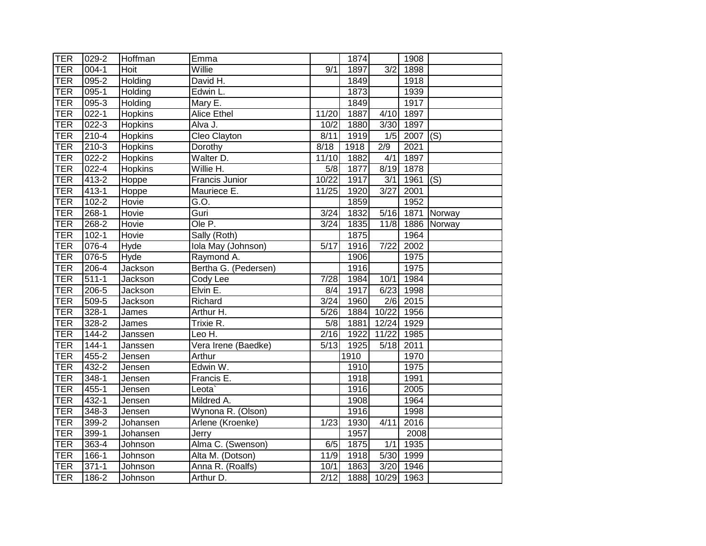| <b>TER</b> | 029-2     | Hoffman        | Emma                 |                   | 1874 |                  | 1908                  |             |
|------------|-----------|----------------|----------------------|-------------------|------|------------------|-----------------------|-------------|
| <b>TER</b> | $004 - 1$ | Hoit           | Willie               | 9/1               | 1897 | $\overline{3/2}$ | 1898                  |             |
| <b>TER</b> | $095 - 2$ | Holding        | David H.             |                   | 1849 |                  | 1918                  |             |
| <b>TER</b> | $095-1$   | Holding        | Edwin L.             |                   | 1873 |                  | 1939                  |             |
| <b>TER</b> | $095 - 3$ | Holding        | Mary E.              |                   | 1849 |                  | 1917                  |             |
| <b>TER</b> | $022 - 1$ | Hopkins        | <b>Alice Ethel</b>   | 11/20             | 1887 | 4/10             | 1897                  |             |
| <b>TER</b> | $022 - 3$ | <b>Hopkins</b> | Alva J.              | 10/2              | 1880 | 3/30             | 1897                  |             |
| <b>TER</b> | $210 - 4$ | <b>Hopkins</b> | Cleo Clayton         | 8/11              | 1919 | 1/5              | $\overline{2007}$ (S) |             |
| TER        | $210-3$   | <b>Hopkins</b> | Dorothy              | 8/18              | 1918 | 2/9              | 2021                  |             |
| <b>TER</b> | $022 - 2$ | <b>Hopkins</b> | Walter D.            | 11/10             | 1882 | 4/1              | 1897                  |             |
| TER        | $022 - 4$ | <b>Hopkins</b> | Willie H.            | 5/8               | 1877 | 8/19             | 1878                  |             |
| TER        | 413-2     | Hoppe          | Francis Junior       | 10/22             | 1917 | 3/1              | 1961                  | (S)         |
| TER        | $413 - 1$ | Hoppe          | Mauriece E.          | 11/25             | 1920 | 3/27             | 2001                  |             |
| <b>TER</b> | $102 - 2$ | Hovie          | $\overline{G}$ .O.   |                   | 1859 |                  | 1952                  |             |
| <b>TER</b> | 268-1     | Hovie          | Guri                 | 3/24              | 1832 | 5/16             | 1871                  | Norway      |
| <b>TER</b> | $268 - 2$ | Hovie          | Ole P.               | 3/24              | 1835 | 11/8             |                       | 1886 Norway |
| TER        | $102 - 1$ | Hovie          | Sally (Roth)         |                   | 1875 |                  | 1964                  |             |
| TER        | $076 - 4$ | Hyde           | Iola May (Johnson)   | $\sqrt{5/17}$     | 1916 | 7/22             | 2002                  |             |
| TER        | $076 - 5$ | Hyde           | Raymond A.           |                   | 1906 |                  | 1975                  |             |
| TER        | $206 - 4$ | Jackson        | Bertha G. (Pedersen) |                   | 1916 |                  | 1975                  |             |
| TER        | $511 - 1$ | Jackson        | Cody Lee             | 7/28              | 1984 | 10/1             | 1984                  |             |
| TER        | $206 - 5$ | Jackson        | Elvin E.             | 8/4               | 1917 | 6/23             | 1998                  |             |
| TER        | 509-5     | Jackson        | Richard              | 3/24              | 1960 | 2/6              | 2015                  |             |
| <b>TER</b> | $328-1$   | James          | Arthur H.            | $\overline{5/26}$ | 1884 | 10/22            | 1956                  |             |
| <b>TER</b> | $328 - 2$ | James          | Trixie R.            | 5/8               | 1881 | 12/24            | 1929                  |             |
| <b>TER</b> | 144-2     | Janssen        | Leo H.               | 2/16              | 1922 | 11/22            | 1985                  |             |
| TER        | $144 - 1$ | Janssen        | Vera Irene (Baedke)  | 5/13              | 1925 | 5/18             | 2011                  |             |
| <b>TER</b> | $455 - 2$ | Jensen         | Arthur               |                   | 1910 |                  | 1970                  |             |
| TER        | 432-2     | Jensen         | Edwin W.             |                   | 1910 |                  | 1975                  |             |
| <b>TER</b> | 348-1     | Jensen         | Francis E.           |                   | 1918 |                  | 1991                  |             |
| TER        | $455 - 1$ | Jensen         | Leota`               |                   | 1916 |                  | 2005                  |             |
| TER        | 432-1     | Jensen         | Mildred A.           |                   | 1908 |                  | 1964                  |             |
| <b>TER</b> | 348-3     | Jensen         | Wynona R. (Olson)    |                   | 1916 |                  | 1998                  |             |
| TER        | 399-2     | Johansen       | Arlene (Kroenke)     | 1/23              | 1930 | 4/11             | 2016                  |             |
| TER        | 399-1     | Johansen       | Jerry                |                   | 1957 |                  | 2008                  |             |
| TER        | 363-4     | Johnson        | Alma C. (Swenson)    | 6/5               | 1875 | 1/1              | 1935                  |             |
| <b>TER</b> | 166-1     | Johnson        | Alta M. (Dotson)     | $\overline{11}/9$ | 1918 | 5/30             | 1999                  |             |
| <b>TER</b> | $371 - 1$ | Johnson        | Anna R. (Roalfs)     | 10/1              | 1863 | 3/20             | 1946                  |             |
| <b>TER</b> | 186-2     | Johnson        | Arthur D.            | 2/12              | 1888 | 10/29 1963       |                       |             |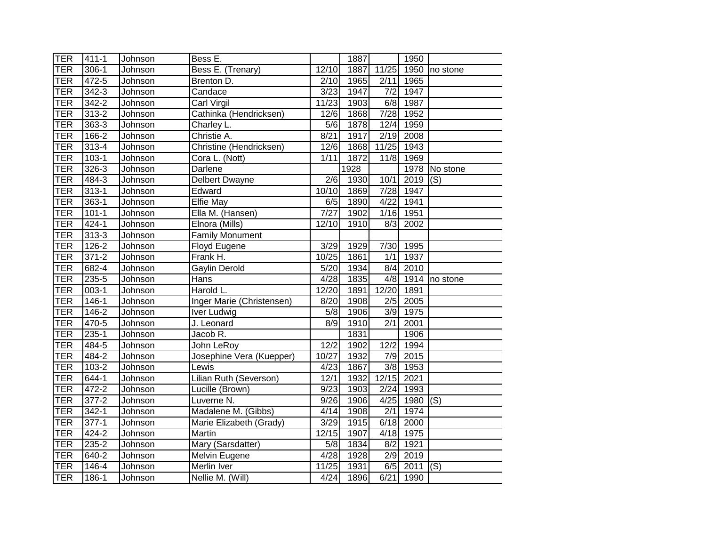| <b>TER</b> | $411 - 1$ | Johnson | Bess E.                   |                  | 1887 |                   | 1950      |                   |
|------------|-----------|---------|---------------------------|------------------|------|-------------------|-----------|-------------------|
| <b>TER</b> | $306-1$   | Johnson | Bess E. (Trenary)         | 12/10            | 1887 | 11/25             | 1950      | no stone          |
| <b>TER</b> | 472-5     | Johnson | Brenton D.                | 2/10             | 1965 | 2/11              | 1965      |                   |
| <b>TER</b> | $342 - 3$ | Johnson | Candace                   | 3/23             | 1947 | 7/2               | 1947      |                   |
| <b>TER</b> | $342 - 2$ | Johnson | Carl Virgil               | 11/23            | 1903 | $\frac{6}{8}$     | 1987      |                   |
| <b>TER</b> | 313-2     | Johnson | Cathinka (Hendricksen)    | 12/6             | 1868 | 7/28              | 1952      |                   |
| <b>TER</b> | 363-3     | Johnson | Charley L.                | 5/6              | 1878 | 12/4              | 1959      |                   |
| <b>TER</b> | 166-2     | Johnson | Christie A.               | 8/21             | 1917 | 2/19              | 2008      |                   |
| <b>TER</b> | 313-4     | Johnson | Christine (Hendricksen)   | 12/6             | 1868 | 11/25             | 1943      |                   |
| <b>TER</b> | $103 - 1$ | Johnson | Cora L. (Nott)            | 1/11             | 1872 | 11/8              | 1969      |                   |
| <b>TER</b> | 326-3     | Johnson | Darlene                   |                  | 1928 |                   |           | 1978 No stone     |
| <b>TER</b> | 484-3     | Johnson | Delbert Dwayne            | 2/6              | 1930 | 10/1              | 2019      | (S)               |
| <b>TER</b> | $313 - 1$ | Johnson | Edward                    | 10/10            | 1869 | 7/28              | 1947      |                   |
| <b>TER</b> | 363-1     | Johnson | Elfie May                 | 6/5              | 1890 | $\overline{4/22}$ | 1941      |                   |
| <b>TER</b> | $101 - 1$ | Johnson | Ella M. (Hansen)          | 7/27             | 1902 | 1/16              | 1951      |                   |
| <b>TER</b> | $424 - 1$ | Johnson | Elnora (Mills)            | 12/10            | 1910 | 8/3               | 2002      |                   |
| <b>TER</b> | $313 - 3$ | Johnson | <b>Family Monument</b>    |                  |      |                   |           |                   |
| <b>TER</b> | $126 - 2$ | Johnson | Floyd Eugene              | 3/29             | 1929 | 7/30              | 1995      |                   |
| <b>TER</b> | $371 - 2$ | Johnson | Frank H.                  | 10/25            | 1861 | 1/1               | 1937      |                   |
| <b>TER</b> | 682-4     | Johnson | Gaylin Derold             | 5/20             | 1934 | 8/4               | 2010      |                   |
| <b>TER</b> | $235 - 5$ | Johnson | Hans                      | 4/28             | 1835 | $\frac{4}{8}$     | 1914      | no stone          |
| <b>TER</b> | $003-1$   | Johnson | Harold L.                 | 12/20            | 1891 | 12/20             | 1891      |                   |
| <b>TER</b> | $146 - 1$ | Johnson | Inger Marie (Christensen) | 8/20             | 1908 | 2/5               | 2005      |                   |
| <b>TER</b> | $146 - 2$ | Johnson | Iver Ludwig               | 5/8              | 1906 | 3/9               | 1975      |                   |
| <b>TER</b> | 470-5     | Johnson | J. Leonard                | $\overline{8/9}$ | 1910 | $\overline{2/1}$  | 2001      |                   |
| <b>TER</b> | $235 - 1$ | Johnson | Jacob R.                  |                  | 1831 |                   | 1906      |                   |
| <b>TER</b> | 484-5     | Johnson | John LeRoy                | 12/2             | 1902 | 12/2              | 1994      |                   |
| <b>TER</b> | 484-2     | Johnson | Josephine Vera (Kuepper)  | 10/27            | 1932 | 7/9               | 2015      |                   |
| <b>TER</b> | 103-2     | Johnson | Lewis                     | 4/23             | 1867 | 3/8               | 1953      |                   |
| <b>TER</b> | $644 - 1$ | Johnson | Lilian Ruth (Severson)    | 12/1             | 1932 | 12/15             | 2021      |                   |
| <b>TER</b> | $472 - 2$ | Johnson | Lucille (Brown)           | 9/23             | 1903 | 2/24              | 1993      |                   |
| <b>TER</b> | $377 - 2$ | Johnson | Luverne N.                | 9/26             | 1906 | 4/25              | 1980      | (S)               |
| <b>TER</b> | $342 - 1$ | Johnson | Madalene M. (Gibbs)       | 4/14             | 1908 | $\overline{2/1}$  | 1974      |                   |
| <b>TER</b> | $377-1$   | Johnson | Marie Elizabeth (Grady)   | 3/29             | 1915 | 6/18              | 2000      |                   |
| <b>TER</b> | 424-2     | Johnson | Martin                    | 12/15            | 1907 | 4/18              | 1975      |                   |
| <b>TER</b> | 235-2     | Johnson | Mary (Sarsdatter)         | 5/8              | 1834 | 8/2               | 1921      |                   |
| <b>TER</b> | 640-2     | Johnson | Melvin Eugene             | 4/28             | 1928 | 2/9               | 2019      |                   |
| <b>TER</b> | $146 - 4$ | Johnson | Merlin Iver               | 11/25            | 1931 | 6/5               | 2011      | $\overline{S}(s)$ |
| TER        | 186-1     | Johnson | Nellie M. (Will)          | 4/24             | 1896 |                   | 6/21 1990 |                   |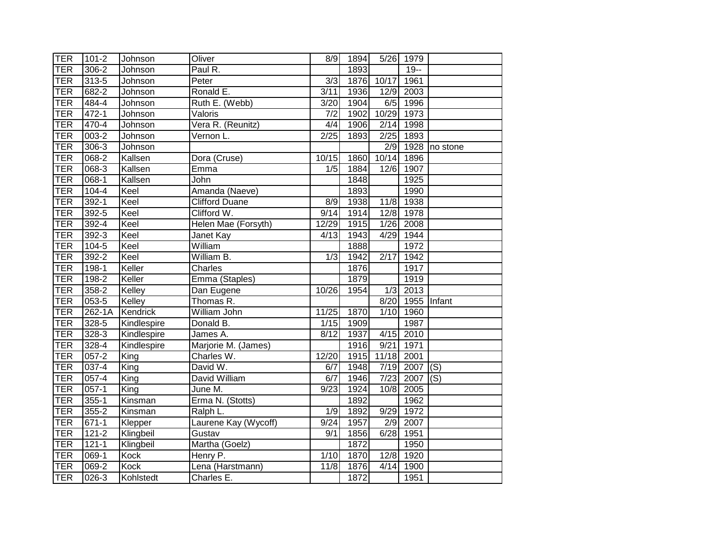| TER        | $101 - 2$            | Johnson     | Oliver                | 8/9              | 1894              |                   | 5/26 1979         |                           |
|------------|----------------------|-------------|-----------------------|------------------|-------------------|-------------------|-------------------|---------------------------|
| <b>TER</b> | $306 - 2$            | Johnson     | Paul R.               |                  | 1893              |                   | $19 -$            |                           |
| <b>TER</b> | $313 - 5$            | Johnson     | Peter                 | 3/3              | 1876              | 10/17             | 1961              |                           |
| <b>TER</b> | $682 - 2$            | Johnson     | Ronald E.             | 3/11             | 1936              | 12/9              | 2003              |                           |
| <b>TER</b> | 484-4                | Johnson     | Ruth E. (Webb)        | 3/20             | 1904              | 6/5               | 1996              |                           |
| <b>TER</b> | $472 - 1$            | Johnson     | Valoris               | $\overline{7/2}$ | 1902              | 10/29 1973        |                   |                           |
| <b>TER</b> | 470-4                | Johnson     | Vera R. (Reunitz)     | 4/4              | 1906              | 2/14              | 1998              |                           |
| <b>TER</b> | $003 - 2$            | Johnson     | Vernon L.             | 2/25             | 1893              | 2/25              | 1893              |                           |
| <b>TER</b> | $306 - 3$            | Johnson     |                       |                  |                   | 2/9               | 1928              | no stone                  |
| <b>TER</b> | $068 - 2$            | Kallsen     | Dora (Cruse)          | 10/15            | 1860              | 10/14             | 1896              |                           |
| <b>TER</b> | 068-3                | Kallsen     | Emma                  | 1/5              | 1884              | 12/6              | 1907              |                           |
| <b>TER</b> | $068 - 1$            | Kallsen     | John                  |                  | 1848              |                   | 1925              |                           |
| <b>TER</b> | $104 - 4$            | Keel        | Amanda (Naeve)        |                  | 1893              |                   | 1990              |                           |
| <b>TER</b> | 392-1                | Keel        | <b>Clifford Duane</b> | 8/9              | 1938              | 11/8              | 1938              |                           |
| <b>TER</b> | $392 - 5$            | Keel        | Clifford W.           | 9/14             | 1914              | 12/8              | 1978              |                           |
| <b>TER</b> | $392 - 4$            | Keel        | Helen Mae (Forsyth)   | 12/29            | 1915              | 1/26              | 2008              |                           |
| <b>TER</b> | $392 - 3$            | Keel        | Janet Kay             | 4/13             | 1943              | 4/29              | 1944              |                           |
| <b>TER</b> | $104 - 5$            | Keel        | William               |                  | 1888              |                   | 1972              |                           |
| <b>TER</b> | $392 - 2$            | Keel        | William B.            | 1/3              | 1942              | 2/17              | 1942              |                           |
| TER        | $198-1$              | Keller      | Charles               |                  | 1876              |                   | 1917              |                           |
| TER        | 198-2                | Keller      | Emma (Staples)        |                  | 1879              |                   | 1919              |                           |
| TER        | $358-2$              | Kelley      | Dan Eugene            | 10/26            | 1954              | 1/3               | 2013              |                           |
| <b>TER</b> | 053-5                | Kelley      | Thomas R.             |                  |                   | 8/20              | 1955              | Infant                    |
| <b>TER</b> | 262-1A               | Kendrick    | William John          | 11/25            | 1870              | $\overline{1}/10$ | 1960              |                           |
| <b>TER</b> | $328 - 5$            | Kindlespire | Donald B.             | 1/15             | 1909              |                   | 1987              |                           |
| <b>TER</b> | $328 - 3$            | Kindlespire | James A.              | 8/12             | 1937              | 4/15              | 2010              |                           |
| <b>TER</b> | $328 - 4$            | Kindlespire | Marjorie M. (James)   |                  | 1916              | 9/21              | 1971              |                           |
| <b>TER</b> | $057 - 2$            | King        | Charles W.            | 12/20            | 1915              | 11/18             | 2001              |                           |
| <b>TER</b> | $037 - 4$            | King        | David W.              | 6/7              | 1948              | 7/19              | 2007              | $\overline{(\mathsf{S})}$ |
| <b>TER</b> | $057 - 4$            | King        | David William         | 6/7              | 1946              | 7/23              | 2007              | (S)                       |
| <b>TER</b> | $057-1$              | King        | June M.               | 9/23             | 1924              | 10/8              | 2005              |                           |
| TER        | $355 - 1$            | Kinsman     | Erma N. (Stotts)      |                  | 1892              |                   | 1962              |                           |
| <b>TER</b> | $355 - 2$            | Kinsman     | Ralph L.              | 1/9              | 1892              | 9/29              | 1972              |                           |
| <b>TER</b> | $671 - 1$            | Klepper     | Laurene Kay (Wycoff)  | 9/24             | 1957              | 2/9               | $200\overline{7}$ |                           |
| <b>TER</b> | $121 - 2$            | Klingbeil   | Gustav                | 9/1              | 1856              | 6/28              | 1951              |                           |
| <b>TER</b> | $\overline{121} - 1$ | Klingbeil   | Martha (Goelz)        |                  | 1872              |                   | 1950              |                           |
| <b>TER</b> | 069-1                | Kock        | Henry P.              | 1/10             | $\overline{1870}$ | 12/8              | $\overline{19}20$ |                           |
| <b>TER</b> | $069 - 2$            | Kock        | Lena (Harstmann)      | 11/8             | 1876              | 4/14              | 1900              |                           |
| <b>TER</b> | 026-3                | Kohlstedt   | Charles E.            |                  | 1872              |                   | 1951              |                           |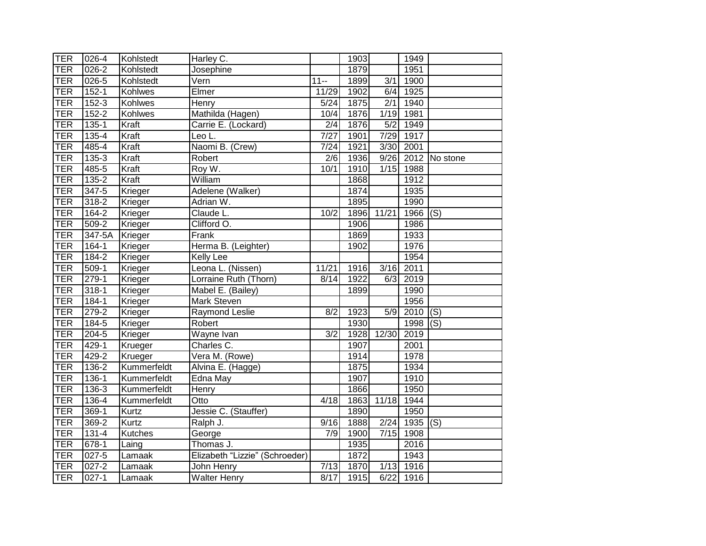| <b>TER</b> | 026-4     | Kohlstedt   | Harley C.                      |                  | 1903              |                  | 1949      |                           |
|------------|-----------|-------------|--------------------------------|------------------|-------------------|------------------|-----------|---------------------------|
| <b>TER</b> | $026 - 2$ | Kohlstedt   | Josephine                      |                  | $\overline{1879}$ |                  | 1951      |                           |
| <b>TER</b> | $026 - 5$ | Kohlstedt   | Vern                           | $11 -$           | 1899              | 3/1              | 1900      |                           |
| <b>TER</b> | $152 - 1$ | Kohlwes     | Elmer                          | 11/29            | 1902              | 6/4              | 1925      |                           |
| <b>TER</b> | $152 - 3$ | Kohlwes     | Henry                          | 5/24             | 1875              | $\overline{2/1}$ | 1940      |                           |
| <b>TER</b> | $152 - 2$ | Kohlwes     | Mathilda (Hagen)               | 10/4             | 1876              |                  | 1/19 1981 |                           |
| <b>TER</b> | $135 - 1$ | Kraft       | Carrie E. (Lockard)            | $\overline{2/4}$ | 1876              | 5/2              | 1949      |                           |
| <b>TER</b> | $135 - 4$ | Kraft       | Leo L.                         | 7/27             | 1901              | 7/29             | 1917      |                           |
| <b>TER</b> | 485-4     | Kraft       | Naomi B. (Crew)                | 7/24             | 1921              | 3/30             | 2001      |                           |
| <b>TER</b> | 135-3     | Kraft       | Robert                         | 2/6              | 1936              | 9/26             |           | 2012 No stone             |
| <b>TER</b> | 485-5     | Kraft       | Roy W.                         | 10/1             | 1910              | 1/15             | 1988      |                           |
| <b>TER</b> | $135 - 2$ | Kraft       | William                        |                  | 1868              |                  | 1912      |                           |
| <b>TER</b> | 347-5     | Krieger     | Adelene (Walker)               |                  | 1874              |                  | 1935      |                           |
| <b>TER</b> | $318 - 2$ | Krieger     | Adrian W.                      |                  | 1895              |                  | 1990      |                           |
| <b>TER</b> | 164-2     | Krieger     | Claude L.                      | 10/2             | 1896              | 11/21            | 1966      | (S)                       |
| <b>TER</b> | $509 - 2$ | Krieger     | Clifford O.                    |                  | 1906              |                  | 1986      |                           |
| <b>TER</b> | 347-5A    | Krieger     | Frank                          |                  | 1869              |                  | 1933      |                           |
| <b>TER</b> | $164-1$   | Krieger     | Herma B. (Leighter)            |                  | 1902              |                  | 1976      |                           |
| <b>TER</b> | $184 - 2$ | Krieger     | <b>Kelly Lee</b>               |                  |                   |                  | 1954      |                           |
| <b>TER</b> | $509-1$   | Krieger     | Leona L. (Nissen)              | 11/21            | 1916              | 3/16             | 2011      |                           |
| <b>TER</b> | $279-1$   | Krieger     | Lorraine Ruth (Thorn)          | 8/14             | 1922              | 6/3              | 2019      |                           |
| <b>TER</b> | $318 - 1$ | Krieger     | Mabel E. (Bailey)              |                  | 1899              |                  | 1990      |                           |
| <b>TER</b> | 184-1     | Krieger     | Mark Steven                    |                  |                   |                  | 1956      |                           |
| <b>TER</b> | 279-2     | Krieger     | Raymond Leslie                 | 8/2              | 1923              | 5/9              | 2010      | $\overline{(\mathsf{S})}$ |
| <b>TER</b> | $184 - 5$ | Krieger     | Robert                         |                  | 1930              |                  | 1998      | (S)                       |
| <b>TER</b> | $204 - 5$ | Krieger     | Wayne Ivan                     | 3/2              | 1928              | 12/30            | 2019      |                           |
| <b>TER</b> | $429 - 1$ | Krueger     | Charles C.                     |                  | 1907              |                  | 2001      |                           |
| <b>TER</b> | $429 - 2$ | Krueger     | Vera M. (Rowe)                 |                  | 1914              |                  | 1978      |                           |
| <b>TER</b> | 136-2     | Kummerfeldt | Alvina E. (Hagge)              |                  | 1875              |                  | 1934      |                           |
| <b>TER</b> | 136-1     | Kummerfeldt | Edna May                       |                  | 1907              |                  | 1910      |                           |
| <b>TER</b> | $136 - 3$ | Kummerfeldt | Henry                          |                  | 1866              |                  | 1950      |                           |
| <b>TER</b> | 136-4     | Kummerfeldt | Otto                           | 4/18             | 1863              | 11/18            | 1944      |                           |
| <b>TER</b> | 369-1     | Kurtz       | Jessie C. (Stauffer)           |                  | 1890              |                  | 1950      |                           |
| <b>TER</b> | 369-2     | Kurtz       | Ralph J.                       | 9/16             | 1888              | 2/24             | 1935      | (S)                       |
| <b>TER</b> | 131-4     | Kutches     | George                         | 7/9              | 1900              | $7/15$           | 1908      |                           |
| <b>TER</b> | 678-1     | Laing       | Thomas J.                      |                  | 1935              |                  | 2016      |                           |
| <b>TER</b> | $027 - 5$ | Lamaak      | Elizabeth "Lizzie" (Schroeder) |                  | 1872              |                  | 1943      |                           |
| <b>TER</b> | $027 - 2$ | Lamaak      | John Henry                     | 7/13             | 1870              | 1/13             | 1916      |                           |
| TER        | $027 - 1$ | Lamaak      | <b>Walter Henry</b>            | 8/17             | 1915              |                  | 6/22 1916 |                           |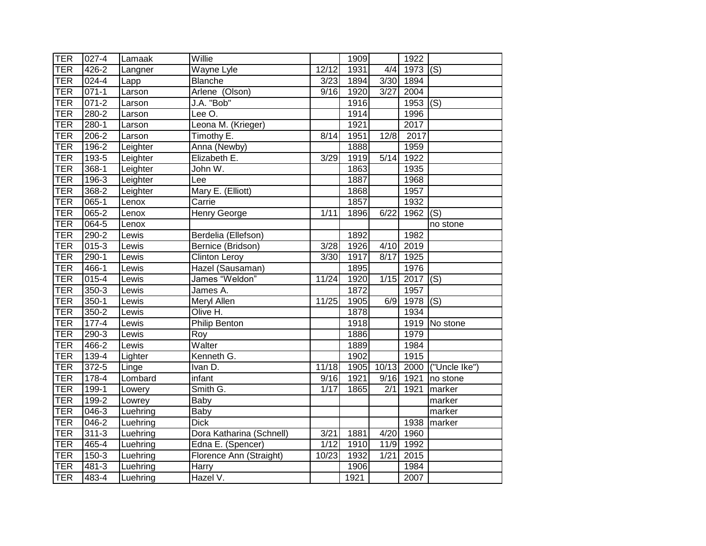| <b>TER</b> | 027-4     | Lamaak   | Willie                   |                   | 1909 |        | 1922 |                            |
|------------|-----------|----------|--------------------------|-------------------|------|--------|------|----------------------------|
| <b>TER</b> | $426 - 2$ | Langner  | Wayne Lyle               | 12/12             | 1931 | 4/4    | 1973 | $\overline{(S)}$           |
| <b>TER</b> | 024-4     | Lapp     | Blanche                  | 3/23              | 1894 | 3/30   | 1894 |                            |
| <b>TER</b> | $071 - 1$ | Larson   | Arlene (Olson)           | 9/16              | 1920 | 3/27   | 2004 |                            |
| <b>TER</b> | $071 - 2$ | Larson   | J.A. "Bob"               |                   | 1916 |        | 1953 | $\overline{(\mathsf{S})}$  |
| <b>TER</b> | $280 - 2$ | Larson   | Lee O.                   |                   | 1914 |        | 1996 |                            |
| <b>TER</b> | $280 - 1$ | Larson   | Leona M. (Krieger)       |                   | 1921 |        | 2017 |                            |
| <b>TER</b> | $206 - 2$ | Larson   | Timothy E.               | 8/14              | 1951 | 12/8   | 2017 |                            |
| <b>TER</b> | 196-2     | Leighter | Anna (Newby)             |                   | 1888 |        | 1959 |                            |
| <b>TER</b> | 193-5     | Leighter | Elizabeth E.             | 3/29              | 1919 | $5/14$ | 1922 |                            |
| <b>TER</b> | 368-1     | Leighter | John W.                  |                   | 1863 |        | 1935 |                            |
| <b>TER</b> | 196-3     | Leighter | Lee                      |                   | 1887 |        | 1968 |                            |
| <b>TER</b> | 368-2     | Leighter | Mary E. (Elliott)        |                   | 1868 |        | 1957 |                            |
| <b>TER</b> | $065 - 1$ | Lenox    | Carrie                   |                   | 1857 |        | 1932 |                            |
| <b>TER</b> | 065-2     | Lenox    | Henry George             | 1/11              | 1896 | 6/22   | 1962 | (S)                        |
| <b>TER</b> | $064 - 5$ | Lenox    |                          |                   |      |        |      | no stone                   |
| <b>TER</b> | $290 - 2$ | Lewis    | Berdelia (Ellefson)      |                   | 1892 |        | 1982 |                            |
| <b>TER</b> | $015 - 3$ | Lewis    | Bernice (Bridson)        | $\overline{3/28}$ | 1926 | 4/10   | 2019 |                            |
| <b>TER</b> | $290-1$   | Lewis    | <b>Clinton Leroy</b>     | 3/30              | 1917 | 8/17   | 1925 |                            |
| <b>TER</b> | 466-1     | Lewis    | Hazel (Sausaman)         |                   | 1895 |        | 1976 |                            |
| <b>TER</b> | $015 - 4$ | Lewis    | James "Weldon"           | 11/24             | 1920 | 1/15   | 2017 | (S)                        |
| <b>TER</b> | $350-3$   | Lewis    | James A.                 |                   | 1872 |        | 1957 |                            |
| <b>TER</b> | $350 - 1$ | Lewis    | Meryl Allen              | 11/25             | 1905 | 6/9    | 1978 | (S)                        |
| <b>TER</b> | 350-2     | Lewis    | Olive H.                 |                   | 1878 |        | 1934 |                            |
| <b>TER</b> | $177 - 4$ | Lewis    | Philip Benton            |                   | 1918 |        |      | 1919 No stone              |
| <b>TER</b> | $290-3$   | Lewis    | Roy                      |                   | 1886 |        | 1979 |                            |
| <b>TER</b> | 466-2     | Lewis    | Walter                   |                   | 1889 |        | 1984 |                            |
| <b>TER</b> | 139-4     | Lighter  | Kenneth G.               |                   | 1902 |        | 1915 |                            |
| <b>TER</b> | $372 - 5$ | Linge    | Ivan D.                  | 11/18             | 1905 | 10/13  | 2000 | $\overline{$ ("Uncle Ike") |
| <b>TER</b> | $178-4$   | Lombard  | infant                   | 9/16              | 1921 | 9/16   | 1921 | no stone                   |
| <b>TER</b> | 199-1     | Lowery   | Smith G.                 | 1/17              | 1865 | 2/1    | 1921 | marker                     |
| <b>TER</b> | 199-2     | Lowrey   | Baby                     |                   |      |        |      | marker                     |
| <b>TER</b> | $046 - 3$ | Luehring | Baby                     |                   |      |        |      | marker                     |
| <b>TER</b> | 046-2     | Luehring | <b>Dick</b>              |                   |      |        | 1938 | marker                     |
| <b>TER</b> | $311 - 3$ | Luehring | Dora Katharina (Schnell) | 3/21              | 1881 | 4/20   | 1960 |                            |
| <b>TER</b> | 465-4     | Luehring | Edna E. (Spencer)        | 1/12              | 1910 | 11/9   | 1992 |                            |
| <b>TER</b> | 150-3     | Luehring | Florence Ann (Straight)  | 10/23             | 1932 | 1/21   | 2015 |                            |
| <b>TER</b> | 481-3     | Luehring | Harry                    |                   | 1906 |        | 1984 |                            |
| TER        | 483-4     | Luehring | Hazel V.                 |                   | 1921 |        | 2007 |                            |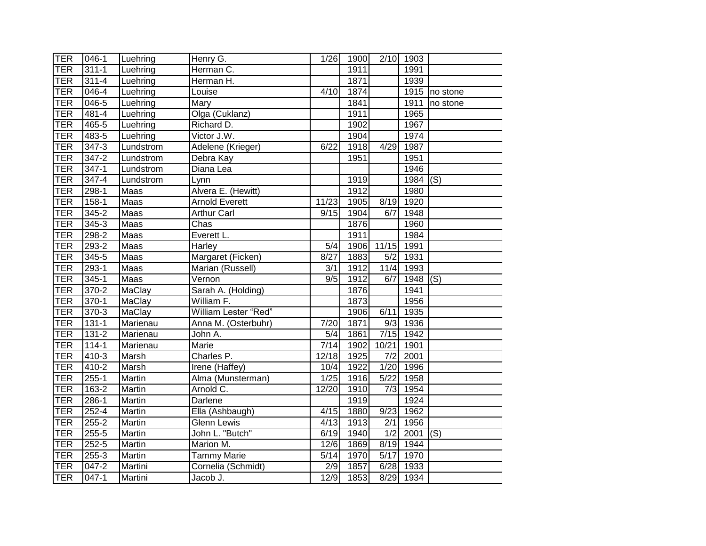| TER        | $046 - 1$ | Luehring      | Henry G.              | $\overline{1}/26$ | 1900 |                   | $2/10$ 1903 |                            |
|------------|-----------|---------------|-----------------------|-------------------|------|-------------------|-------------|----------------------------|
| <b>TER</b> | $311 - 1$ | Luehring      | Herman C.             |                   | 1911 |                   | 1991        |                            |
| <b>TER</b> | $311 - 4$ | Luehring      | Herman H.             |                   | 1871 |                   | 1939        |                            |
| <b>TER</b> | $046 - 4$ | Luehring      | Louise                | 4/10              | 1874 |                   |             | $\overline{19}15$ no stone |
| <b>TER</b> | $046 - 5$ | Luehring      | Mary                  |                   | 1841 |                   | 1911        | no stone                   |
| <b>TER</b> | 481-4     | Luehring      | Olga (Cuklanz)        |                   | 1911 |                   | 1965        |                            |
| <b>TER</b> | 465-5     | Luehring      | Richard D.            |                   | 1902 |                   | 1967        |                            |
| <b>TER</b> | 483-5     | Luehring      | Victor J.W.           |                   | 1904 |                   | 1974        |                            |
| <b>TER</b> | 347-3     | Lundstrom     | Adelene (Krieger)     | 6/22              | 1918 | 4/29              | 1987        |                            |
| <b>TER</b> | $347 - 2$ | Lundstrom     | Debra Kay             |                   | 1951 |                   | 1951        |                            |
| <b>TER</b> | $347 - 1$ | Lundstrom     | Diana Lea             |                   |      |                   | 1946        |                            |
| <b>TER</b> | 347-4     | Lundstrom     | Lynn                  |                   | 1919 |                   | 1984        | (S)                        |
| <b>TER</b> | 298-1     | Maas          | Alvera E. (Hewitt)    |                   | 1912 |                   | 1980        |                            |
| <b>TER</b> | $158-1$   | Maas          | <b>Arnold Everett</b> | 11/23             | 1905 | 8/19              | 1920        |                            |
| <b>TER</b> | 345-2     | Maas          | <b>Arthur Carl</b>    | 9/15              | 1904 | 6/7               | 1948        |                            |
| <b>TER</b> | $345 - 3$ | Maas          | Chas                  |                   | 1876 |                   | 1960        |                            |
| <b>TER</b> | $298-2$   | Maas          | Everett L.            |                   | 1911 |                   | 1984        |                            |
| <b>TER</b> | 293-2     | Maas          | Harley                | 5/4               | 1906 | 11/15             | 1991        |                            |
| <b>TER</b> | $345 - 5$ | Maas          | Margaret (Ficken)     | 8/27              | 1883 | $\overline{5/2}$  | 1931        |                            |
| TER        | $293 - 1$ | Maas          | Marian (Russell)      | $\overline{3/1}$  | 1912 | 11/4              | 1993        |                            |
| TER        | $345 - 1$ | Maas          | Vernon                | 9/5               | 1912 | 6/7               | 1948        | (S)                        |
| <b>TER</b> | $370 - 2$ | <b>MaClay</b> | Sarah A. (Holding)    |                   | 1876 |                   | 1941        |                            |
| <b>TER</b> | $370-1$   | MaClay        | William F.            |                   | 1873 |                   | 1956        |                            |
| <b>TER</b> | $370-3$   | MaClay        | William Lester "Red"  |                   | 1906 | 6/11              | 1935        |                            |
| <b>TER</b> | $131 - 1$ | Marienau      | Anna M. (Osterbuhr)   | 7/20              | 1871 |                   | 9/3 1936    |                            |
| <b>TER</b> | $131 - 2$ | Marienau      | John A.               | 5/4               | 1861 | 7/15              | 1942        |                            |
| <b>TER</b> | $114 - 1$ | Marienau      | Marie                 | 7/14              | 1902 | 10/21             | 1901        |                            |
| <b>TER</b> | 410-3     | Marsh         | Charles P.            | 12/18             | 1925 | 7/2               | 2001        |                            |
| <b>TER</b> | $410-2$   | Marsh         | Irene (Haffey)        | 10/4              | 1922 |                   | 1/20 1996   |                            |
| <b>TER</b> | $255 - 1$ | Martin        | Alma (Munsterman)     | $\overline{1}/25$ | 1916 | 5/22              | 1958        |                            |
| <b>TER</b> | 163-2     | Martin        | Arnold C.             | 12/20             | 1910 | 7/3               | 1954        |                            |
| TER        | $286 - 1$ | Martin        | Darlene               |                   | 1919 |                   | 1924        |                            |
| TER        | $252 - 4$ | Martin        | Ella (Ashbaugh)       | 4/15              | 1880 | 9/23              | 1962        |                            |
| <b>TER</b> | 255-2     | Martin        | <b>Glenn Lewis</b>    | 4/13              | 1913 | 2/1               | 1956        |                            |
| <b>TER</b> | 255-5     | Martin        | John L. "Butch"       | 6/19              | 1940 | $\overline{1/2}$  | 2001        | (S)                        |
| <b>TER</b> | $252 - 5$ | Martin        | Marion M.             | 12/6              | 1869 |                   | 8/19 1944   |                            |
| <b>TER</b> | 255-3     | Martin        | <b>Tammy Marie</b>    | 5/14              | 1970 | $\overline{5/17}$ | 1970        |                            |
| <b>TER</b> | 047-2     | Martini       | Cornelia (Schmidt)    | 2/9               | 1857 | 6/28              | 1933        |                            |
| <b>TER</b> | $047 - 1$ | Martini       | Jacob J.              | 12/9              | 1853 |                   | 8/29 1934   |                            |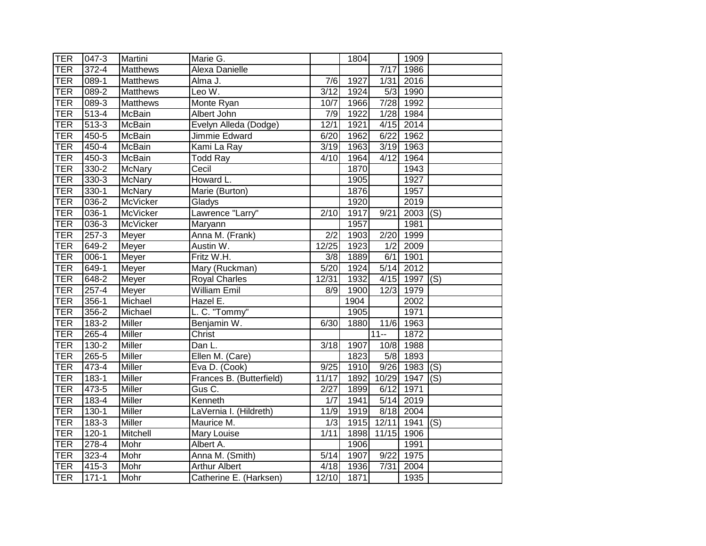| <b>TER</b> | 047-3     | Martini         | Marie G.                 |                   | 1804 |                   | 1909        |     |
|------------|-----------|-----------------|--------------------------|-------------------|------|-------------------|-------------|-----|
| <b>TER</b> | $372 - 4$ | <b>Matthews</b> | Alexa Danielle           |                   |      | $\overline{7/17}$ | 1986        |     |
| <b>TER</b> | 089-1     | <b>Matthews</b> | Alma J.                  | 7/6               | 1927 | 1/31              | 2016        |     |
| <b>TER</b> | $089 - 2$ | <b>Matthews</b> | Leo W.                   | $\overline{3/12}$ | 1924 | 5/3               | 1990        |     |
| TER        | $089-3$   | <b>Matthews</b> | Monte Ryan               | 10/7              | 1966 |                   | 7/28 1992   |     |
| <b>TER</b> | $513 - 4$ | McBain          | Albert John              | 7/9               | 1922 |                   | $1/28$ 1984 |     |
| <b>TER</b> | $513-3$   | <b>McBain</b>   | Evelyn Alleda (Dodge)    | 12/1              | 1921 |                   | $4/15$ 2014 |     |
| <b>TER</b> | 450-5     | <b>McBain</b>   | Jimmie Edward            | 6/20              | 1962 | 6/22              | 1962        |     |
| <b>TER</b> | 450-4     | McBain          | Kami La Ray              | 3/19              | 1963 |                   | $3/19$ 1963 |     |
| <b>TER</b> | 450-3     | <b>McBain</b>   | Todd Ray                 | 4/10              | 1964 | 4/12              | 1964        |     |
| <b>TER</b> | 330-2     | <b>McNary</b>   | Cecil                    |                   | 1870 |                   | 1943        |     |
| <b>TER</b> | 330-3     | <b>McNary</b>   | Howard L.                |                   | 1905 |                   | 1927        |     |
| <b>TER</b> | $330-1$   | <b>McNary</b>   | Marie (Burton)           |                   | 1876 |                   | 1957        |     |
| <b>TER</b> | $036 - 2$ | <b>McVicker</b> | Gladys                   |                   | 1920 |                   | 2019        |     |
| <b>TER</b> | $036-1$   | McVicker        | Lawrence "Larry"         | 2/10              | 1917 | 9/21              | 2003        | (S) |
| <b>TER</b> | $036 - 3$ | <b>McVicker</b> | Maryann                  |                   | 1957 |                   | 1981        |     |
| <b>TER</b> | $257 - 3$ | Meyer           | Anna M. (Frank)          | $\overline{2/2}$  | 1903 | 2/20              | 1999        |     |
| <b>TER</b> | 649-2     | Meyer           | Austin W.                | 12/25             | 1923 | $\overline{1/2}$  | 2009        |     |
| <b>TER</b> | $006 - 1$ | Meyer           | Fritz W.H.               | $\overline{3/8}$  | 1889 | 6/1               | 1901        |     |
| <b>TER</b> | $649-1$   | Meyer           | Mary (Ruckman)           | 5/20              | 1924 | 5/14              | 2012        |     |
| <b>TER</b> | 648-2     | Meyer           | <b>Royal Charles</b>     | 12/31             | 1932 | 4/15              | $1997$ (S)  |     |
| <b>TER</b> | $257 - 4$ | Meyer           | <b>William Emil</b>      | 8/9               | 1900 | 12/3              | 1979        |     |
| <b>TER</b> | 356-1     | Michael         | Hazel E.                 |                   | 1904 |                   | 2002        |     |
| <b>TER</b> | 356-2     | Michael         | L. C. "Tommy"            |                   | 1905 |                   | 1971        |     |
| <b>TER</b> | $183 - 2$ | <b>Miller</b>   | Benjamin W.              | 6/30              | 1880 |                   | 11/6 1963   |     |
| <b>TER</b> | $265 - 4$ | <b>Miller</b>   | Christ                   |                   |      | $11 -$            | 1872        |     |
| <b>TER</b> | $130 - 2$ | Miller          | Dan L.                   | 3/18              | 1907 | 10/8              | 1988        |     |
| <b>TER</b> | $265 - 5$ | <b>Miller</b>   | Ellen M. (Care)          |                   | 1823 |                   | 5/8 1893    |     |
| <b>TER</b> | 473-4     | Miller          | Eva D. (Cook)            | 9/25              | 1910 |                   | $9/26$ 1983 | (S) |
| <b>TER</b> | 183-1     | Miller          | Frances B. (Butterfield) | 11/17             | 1892 |                   | 10/29 1947  | (S) |
| <b>TER</b> | $473 - 5$ | <b>Miller</b>   | Gus C.                   | $\sqrt{2/27}$     | 1899 | 6/12              | 1971        |     |
| <b>TER</b> | 183-4     | <b>Miller</b>   | Kenneth                  | 1/7               | 1941 | 5/14              | 2019        |     |
| <b>TER</b> | $130 - 1$ | Miller          | LaVernia I. (Hildreth)   | 11/9              | 1919 | 8/18              | 2004        |     |
| <b>TER</b> | 183-3     | <b>Miller</b>   | Maurice M.               | 1/3               | 1915 | 12/11             | $1941$ (S)  |     |
| <b>TER</b> | $120 - 1$ | Mitchell        | Mary Louise              | 1/11              | 1898 | 11/15             | 1906        |     |
| <b>TER</b> | 278-4     | Mohr            | Albert A.                |                   | 1906 |                   | 1991        |     |
| <b>TER</b> | 323-4     | Mohr            | Anna M. (Smith)          | 5/14              | 1907 | 9/22              | 1975        |     |
| <b>TER</b> | 415-3     | Mohr            | <b>Arthur Albert</b>     | 4/18              | 1936 | 7/31              | 2004        |     |
| TER        | $171 - 1$ | Mohr            | Catherine E. (Harksen)   | 12/10             | 1871 |                   | 1935        |     |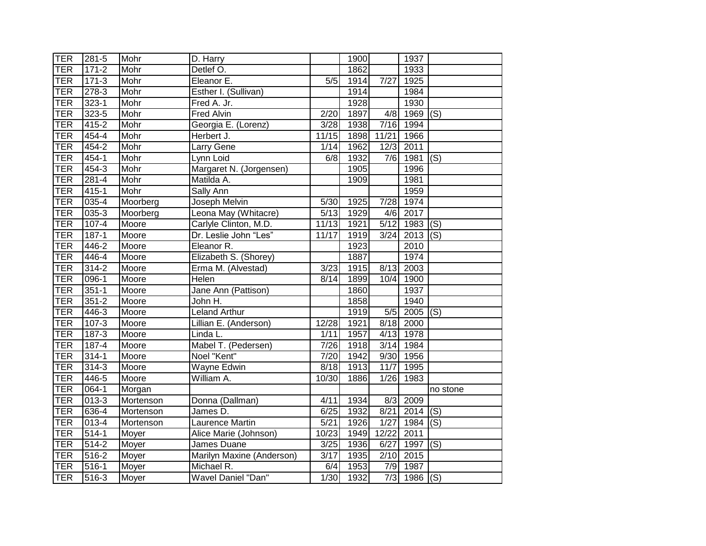| TER        | 281-5             | Mohr      | D. Harry                  |                           | 1900 |                | 1937           |          |
|------------|-------------------|-----------|---------------------------|---------------------------|------|----------------|----------------|----------|
| <b>TER</b> | $171 - 2$         | Mohr      | Detlef O.                 |                           | 1862 |                | 1933           |          |
| <b>TER</b> | $171-3$           | Mohr      | Eleanor <sub>E.</sub>     | 5/5                       | 1914 | $7/27$         | 1925           |          |
| <b>TER</b> | $278-3$           | Mohr      | Esther I. (Sullivan)      |                           | 1914 |                | 1984           |          |
| <b>TER</b> | $323 - 1$         | Mohr      | Fred A. Jr.               |                           | 1928 |                | 1930           |          |
| <b>TER</b> | 323-5             | Mohr      | Fred Alvin                | 2/20                      | 1897 | 4/8            | 1969           | (S)      |
| <b>TER</b> | $415 - 2$         | Mohr      | Georgia E. (Lorenz)       | $\overline{\frac{3}{28}}$ | 1938 | 7/16           | 1994           |          |
| <b>TER</b> | 454-4             | Mohr      | Herbert J.                | 11/15                     | 1898 | 11/21          | 1966           |          |
| <b>TER</b> | 454-2             | Mohr      | Larry Gene                | 1/14                      | 1962 | 12/3           | 2011           |          |
| <b>TER</b> | $454 - 1$         | Mohr      | Lynn Loid                 | 6/8                       | 1932 | 7/6            | 1981 (S)       |          |
| <b>TER</b> | 454-3             | Mohr      | Margaret N. (Jorgensen)   |                           | 1905 |                | 1996           |          |
| <b>TER</b> | $281 - 4$         | Mohr      | Matilda A.                |                           | 1909 |                | 1981           |          |
| <b>TER</b> | $415 - 1$         | Mohr      | Sally Ann                 |                           |      |                | 1959           |          |
| <b>TER</b> | $035 - 4$         | Moorberg  | Joseph Melvin             | 5/30                      | 1925 | 7/28           | 1974           |          |
| <b>TER</b> | $035 - 3$         | Moorberg  | Leona May (Whitacre)      | 5/13                      | 1929 | 4/6            | 2017           |          |
| <b>TER</b> | $107 - 4$         | Moore     | Carlyle Clinton, M.D.     | 11/13                     | 1921 | 5/12           | 1983           | (S)      |
| <b>TER</b> | $187 - 1$         | Moore     | Dr. Leslie John "Les"     | 11/17                     | 1919 | 3/24           | 2013           | (S)      |
| <b>TER</b> | 446-2             | Moore     | Eleanor R.                |                           | 1923 |                | 2010           |          |
| TER        | $446 - 4$         | Moore     | Elizabeth S. (Shorey)     |                           | 1887 |                | 1974           |          |
| <b>TER</b> | $314 - 2$         | Moore     | Erma M. (Alvestad)        | 3/23                      | 1915 | 8/13           | 2003           |          |
| <b>TER</b> | $096-1$           | Moore     | <b>Helen</b>              | 8/14                      | 1899 | 10/4           | 1900           |          |
| <b>TER</b> | $351 - 1$         | Moore     | Jane Ann (Pattison)       |                           | 1860 |                | 1937           |          |
| <b>TER</b> | $351 - 2$         | Moore     | John H.                   |                           | 1858 |                | 1940           |          |
| <b>TER</b> | 446-3             | Moore     | Leland Arthur             |                           | 1919 | 5/5            | $2005$ (S)     |          |
| <b>TER</b> | $107 - 3$         | Moore     | Lillian E. (Anderson)     | 12/28                     | 1921 | 8/18           | 2000           |          |
| <b>TER</b> | $187 - 3$         | Moore     | Linda L.                  | 1/11                      | 1957 |                | 4/13 1978      |          |
| <b>TER</b> | 187-4             | Moore     | Mabel T. (Pedersen)       | 7/26                      | 1918 | 3/14           | 1984           |          |
| <b>TER</b> | $314 - 1$         | Moore     | Noel "Kent"               | 7/20                      | 1942 |                | $9/30$ 1956    |          |
| <b>TER</b> | $314 - 3$         | Moore     | Wayne Edwin               | 8/18                      | 1913 | $\frac{11}{7}$ | 1995           |          |
| <b>TER</b> | 446-5             | Moore     | William A.                | 10/30                     | 1886 | 1/26           | 1983           |          |
| <b>TER</b> | $064 - 1$         | Morgan    |                           |                           |      |                |                | no stone |
| <b>TER</b> | $013 - 3$         | Mortenson | Donna (Dallman)           | 4/11                      | 1934 | 8/3            | 2009           |          |
| <b>TER</b> | 636-4             | Mortenson | James D.                  | 6/25                      | 1932 | 8/21           | $2014$ (S)     |          |
| <b>TER</b> | 013-4             | Mortenson | Laurence Martin           | 5/21                      | 1926 | 1/27           | 1984           | (S)      |
| <b>TER</b> | $514 - 1$         | Moyer     | Alice Marie (Johnson)     | 10/23                     | 1949 | 12/22          | 2011           |          |
| <b>TER</b> | 514-2             | Moyer     | James Duane               | 3/25                      | 1936 | 6/27           | 1997           | (S)      |
| <b>TER</b> | $516 - 2$         | Moyer     | Marilyn Maxine (Anderson) | $\overline{3/17}$         | 1935 | 2/10           | 2015           |          |
| <b>TER</b> | $516 - 1$         | Moyer     | Michael R.                | 6/4                       | 1953 | 7/9            | 1987           |          |
| <b>TER</b> | $\frac{1}{516-3}$ | Moyer     | Wavel Daniel "Dan"        | 1/30                      | 1932 |                | $7/3$ 1986 (S) |          |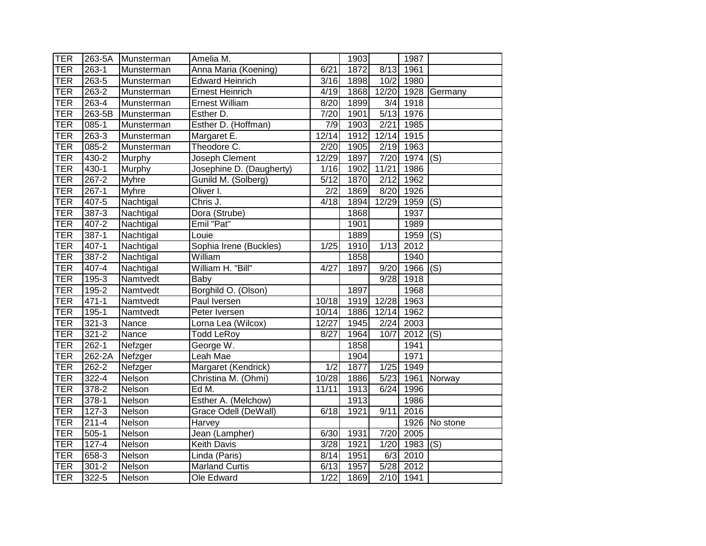| <b>TER</b> | 263-5A    | Munsterman   | Amelia M.                    |                   | 1903 |       | 1987      |                           |
|------------|-----------|--------------|------------------------------|-------------------|------|-------|-----------|---------------------------|
| TER        | $263 - 1$ | Munsterman   | Anna Maria (Koening)         | 6/21              | 1872 | 8/13  | 1961      |                           |
| <b>TER</b> | 263-5     | Munsterman   | <b>Edward Heinrich</b>       | $\overline{3}/16$ | 1898 | 10/2  | 1980      |                           |
| <b>TER</b> | 263-2     | Munsterman   | <b>Ernest Heinrich</b>       | 4/19              | 1868 | 12/20 | 1928      | Germany                   |
| <b>TER</b> | 263-4     | Munsterman   | <b>Ernest William</b>        | 8/20              | 1899 | 3/4   | 1918      |                           |
| <b>TER</b> | 263-5B    | Munsterman   | Esther D.                    | 7/20              | 1901 | 5/13  | 1976      |                           |
| <b>TER</b> | $085-1$   | Munsterman   | Esther D. (Hoffman)          | 7/9               | 1903 | 2/21  | 1985      |                           |
| <b>TER</b> | $263-3$   | Munsterman   | Margaret E.                  | 12/14             | 1912 | 12/14 | 1915      |                           |
| <b>TER</b> | 085-2     | Munsterman   | Theodore C.                  | $\overline{2}/20$ | 1905 | 2/19  | 1963      |                           |
| TER        | 430-2     | Murphy       | Joseph Clement               | 12/29             | 1897 | 7/20  | 1974      | (S)                       |
| TER        | 430-1     | Murphy       | Josephine D. (Daugherty)     | 1/16              | 1902 | 11/21 | 1986      |                           |
| TER        | 267-2     | <b>Myhre</b> | Gunild M. (Solberg)          | 5/12              | 1870 | 2/12  | 1962      |                           |
| TER        | $267 - 1$ | <b>Myhre</b> | Oliver I.                    | 2/2               | 1869 | 8/20  | 1926      |                           |
| <b>TER</b> | $407 - 5$ | Nachtigal    | $\overline{\text{Chris}}$ J. | 4/18              | 1894 | 12/29 | 1959      | (S)                       |
| <b>TER</b> | 387-3     | Nachtigal    | Dora (Strube)                |                   | 1868 |       | 1937      |                           |
| TER        | $407 - 2$ | Nachtigal    | Emil "Pat"                   |                   | 1901 |       | 1989      |                           |
| TER        | $387 - 1$ | Nachtigal    | Louie                        |                   | 1889 |       | 1959      | (S)                       |
| TER        | $407 - 1$ | Nachtigal    | Sophia Irene (Buckles)       | 1/25              | 1910 | 1/13  | 2012      |                           |
| TER        | $387 - 2$ | Nachtigal    | William                      |                   | 1858 |       | 1940      |                           |
| TER        | $407 - 4$ | Nachtigal    | William H. "Bill"            | 4/27              | 1897 | 9/20  | 1966      | $\overline{(\mathsf{S})}$ |
| TER        | 195-3     | Namtvedt     | Baby                         |                   |      | 9/28  | 1918      |                           |
| TER        | $195 - 2$ | Namtvedt     | Borghild O. (Olson)          |                   | 1897 |       | 1968      |                           |
| TER        | $471 - 1$ | Namtvedt     | Paul Iversen                 | 10/18             | 1919 | 12/28 | 1963      |                           |
| TER        | $195 - 1$ | Namtvedt     | Peter Iversen                | 10/14             | 1886 | 12/14 | 1962      |                           |
| <b>TER</b> | $321 - 3$ | Nance        | Lorna Lea (Wilcox)           | 12/27             | 1945 | 2/24  | 2003      |                           |
| <b>TER</b> | $321 - 2$ | Nance        | <b>Todd LeRoy</b>            | 8/27              | 1964 | 10/7  | 2012      | $\overline{(\mathsf{S})}$ |
| <b>TER</b> | $262 - 1$ | Nefzger      | George W.                    |                   | 1858 |       | 1941      |                           |
| <b>TER</b> | 262-2A    | Nefzger      | Leah Mae                     |                   | 1904 |       | 1971      |                           |
| TER        | 262-2     | Nefzger      | Margaret (Kendrick)          | $\overline{1/2}$  | 1877 | 1/25  | 1949      |                           |
| TER        | $322 - 4$ | Nelson       | Christina M. (Ohmi)          | 10/28             | 1886 | 5/23  | 1961      | Norway                    |
| TER        | 378-2     | Nelson       | Ed M.                        | 11/11             | 1913 | 6/24  | 1996      |                           |
| <b>TER</b> | 378-1     | Nelson       | Esther A. (Melchow)          |                   | 1913 |       | 1986      |                           |
| TER        | $127 - 3$ | Nelson       | Grace Odell (DeWall)         | 6/18              | 1921 | 9/11  | 2016      |                           |
| TER        | $211 - 4$ | Nelson       | Harvey                       |                   |      |       |           | 1926 No stone             |
| TER        | $505-1$   | Nelson       | Jean (Lampher)               | 6/30              | 1931 | 7/20  | 2005      |                           |
| TER        | $127 - 4$ | Nelson       | Keith Davis                  | $\overline{3/28}$ | 1921 | 1/20  | 1983      | (S)                       |
| <b>TER</b> | 658-3     | Nelson       | Linda (Paris)                | 8/14              | 1951 | 6/3   | 2010      |                           |
| TER        | $301 - 2$ | Nelson       | <b>Marland Curtis</b>        | 6/13              | 1957 | 5/28  | 2012      |                           |
| <b>TER</b> | 322-5     | Nelson       | Ole Edward                   | 1/22              | 1869 |       | 2/10 1941 |                           |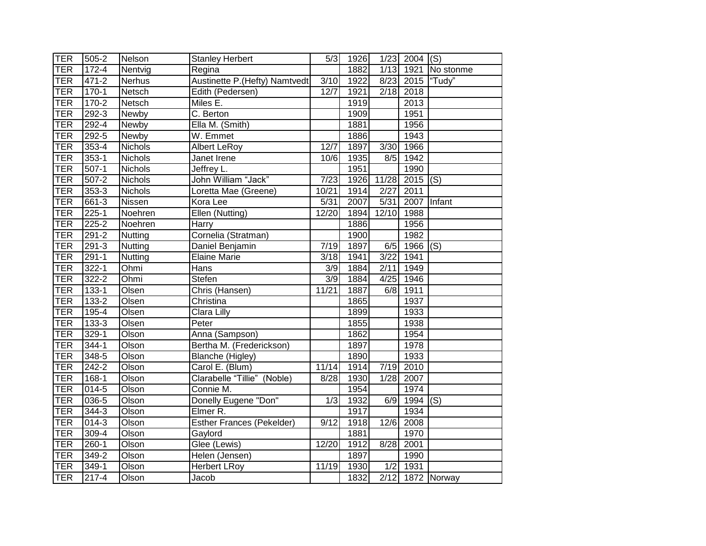| TER        | 505-2     | Nelson         | <b>Stanley Herbert</b>           | 5/3               | 1926 |                  | $1/23$ 2004 (S) |                           |
|------------|-----------|----------------|----------------------------------|-------------------|------|------------------|-----------------|---------------------------|
| <b>TER</b> | $172 - 4$ | Nentvig        | Regina                           |                   | 1882 | 1/13             | 1921            | No stonme                 |
| <b>TER</b> | 471-2     | <b>Nerhus</b>  | Austinette P.(Hefty) Namtvedt    | 3/10              | 1922 | 8/23             | 2015            | "Tudy"                    |
| <b>TER</b> | $170-1$   | Netsch         | Edith (Pedersen)                 | 12/7              | 1921 | 2/18             | 2018            |                           |
| <b>TER</b> | $170-2$   | Netsch         | $\overline{\mathsf{M}}$ iles E.  |                   | 1919 |                  | 2013            |                           |
| <b>TER</b> | $292 - 3$ | Newby          | C. Berton                        |                   | 1909 |                  | 1951            |                           |
| <b>TER</b> | $292 - 4$ | Newby          | Ella M. (Smith)                  |                   | 1881 |                  | 1956            |                           |
| <b>TER</b> | 292-5     | Newby          | W. Emmet                         |                   | 1886 |                  | 1943            |                           |
| <b>TER</b> | $353 - 4$ | Nichols        | <b>Albert LeRoy</b>              | 12/7              | 1897 | 3/30             | 1966            |                           |
| <b>TER</b> | $353-1$   | <b>Nichols</b> | Janet Irene                      | 10/6              | 1935 | 8/5              | 1942            |                           |
| <b>TER</b> | $507-1$   | <b>Nichols</b> | Jeffrey L.                       |                   | 1951 |                  | 1990            |                           |
| <b>TER</b> | $507 - 2$ | Nichols        | John William "Jack"              | 7/23              | 1926 | 11/28            | 2015            | (S)                       |
| <b>TER</b> | 353-3     | Nichols        | Loretta Mae (Greene)             | 10/21             | 1914 | 2/27             | 2011            |                           |
| <b>TER</b> | 661-3     | Nissen         | Kora Lee                         | $\overline{5}/31$ | 2007 | 5/31             | 2007            | Infant                    |
| <b>TER</b> | $225 - 1$ | Noehren        | Ellen (Nutting)                  | 12/20             | 1894 | 12/10            | 1988            |                           |
| <b>TER</b> | $225 - 2$ | Noehren        | <b>Harry</b>                     |                   | 1886 |                  | 1956            |                           |
| <b>TER</b> | $291 - 2$ | Nutting        | Cornelia (Stratman)              |                   | 1900 |                  | 1982            |                           |
| <b>TER</b> | $291 - 3$ | Nutting        | Daniel Benjamin                  | 7/19              | 1897 | 6/5              | 1966            | $\overline{(\mathsf{S})}$ |
| <b>TER</b> | $291 - 1$ | <b>Nutting</b> | <b>Elaine Marie</b>              | 3/18              | 1941 | 3/22             | 1941            |                           |
| TER        | $322 - 1$ | Ohmi           | Hans                             | $\overline{3/9}$  | 1884 | 2/11             | 1949            |                           |
| <b>TER</b> | $322 - 2$ | Ohmi           | Stefen                           | $\overline{3/9}$  | 1884 | 4/25             | 1946            |                           |
| <b>TER</b> | $133 - 1$ | Olsen          | Chris (Hansen)                   | 11/21             | 1887 | 6/8              | 1911            |                           |
| <b>TER</b> | 133-2     | Olsen          | Christina                        |                   | 1865 |                  | 1937            |                           |
| <b>TER</b> | 195-4     | Olsen          | Clara Lilly                      |                   | 1899 |                  | 1933            |                           |
| <b>TER</b> | $133 - 3$ | Olsen          | Peter                            |                   | 1855 |                  | 1938            |                           |
| <b>TER</b> | $329 - 1$ | Olson          | Anna (Sampson)                   |                   | 1862 |                  | 1954            |                           |
| <b>TER</b> | 344-1     | Olson          | Bertha M. (Frederickson)         |                   | 1897 |                  | 1978            |                           |
| <b>TER</b> | $348 - 5$ | Olson          | Blanche (Higley)                 |                   | 1890 |                  | 1933            |                           |
| <b>TER</b> | $242 - 2$ | Olson          | Carol E. (Blum)                  | 11/14             | 1914 | 7/19             | 2010            |                           |
| <b>TER</b> | 168-1     | Olson          | Clarabelle "Tillie" (Noble)      | 8/28              | 1930 | 1/28             | 2007            |                           |
| <b>TER</b> | $014 - 5$ | Olson          | Connie M.                        |                   | 1954 |                  | 1974            |                           |
| <b>TER</b> | $036 - 5$ | Olson          | Donelly Eugene "Don"             | 1/3               | 1932 | 6/9              | 1994            | (S)                       |
| <b>TER</b> | 344-3     | Olson          | Elmer R.                         |                   | 1917 |                  | 1934            |                           |
| <b>TER</b> | $014 - 3$ | Olson          | <b>Esther Frances (Pekelder)</b> | 9/12              | 1918 | 12/6             | 2008            |                           |
| <b>TER</b> | 309-4     | Olson          | Gaylord                          |                   | 1881 |                  | 1970            |                           |
| <b>TER</b> | $260 - 1$ | Olson          | Glee (Lewis)                     | 12/20             | 1912 | 8/28             | 2001            |                           |
| <b>TER</b> | 349-2     | Olson          | Helen (Jensen)                   |                   | 1897 |                  | 1990            |                           |
| <b>TER</b> | $349-1$   | Olson          | <b>Herbert LRoy</b>              | 11/19             | 1930 | $\overline{1/2}$ | 1931            |                           |
| TER        | $217 - 4$ | Olson          | Jacob                            |                   | 1832 |                  |                 | 2/12 1872 Norway          |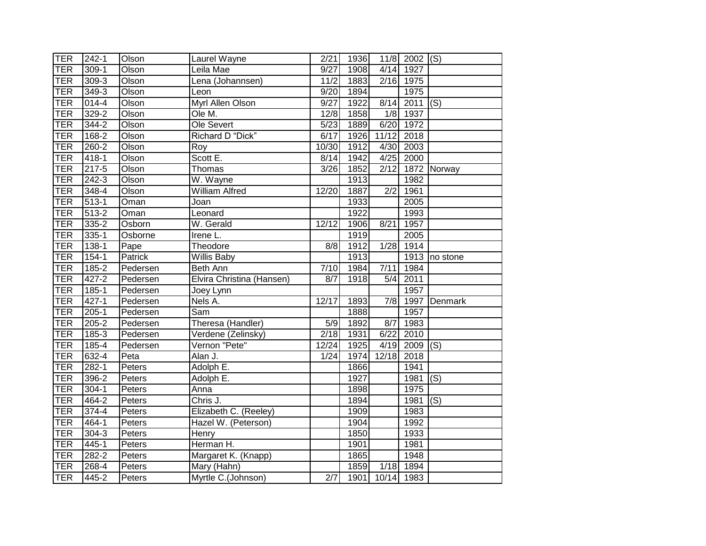| TER        | $242 - 1$ | Olson          | Laurel Wayne              | 2/21             | 1936 |                  | $11/8$ 2002 (S)   |                           |
|------------|-----------|----------------|---------------------------|------------------|------|------------------|-------------------|---------------------------|
| <b>TER</b> | $309-1$   | <b>Olson</b>   | Leila Mae                 | 9/27             | 1908 | 4/14             | 1927              |                           |
| <b>TER</b> | $309-3$   | Olson          | Lena (Johannsen)          | 11/2             | 1883 | 2/16             | 1975              |                           |
| <b>TER</b> | $349-3$   | Olson          | Leon                      | 9/20             | 1894 |                  | 1975              |                           |
| <b>TER</b> | $014 - 4$ | Olson          | <b>Myrl Allen Olson</b>   | 9/27             | 1922 | 8/14             | 2011              | (S)                       |
| <b>TER</b> | $329 - 2$ | Olson          | Ole M.                    | 12/8             | 1858 |                  | 1/8 1937          |                           |
| <b>TER</b> | $344 - 2$ | Olson          | Ole Severt                | 5/23             | 1889 |                  | 6/20 1972         |                           |
| <b>TER</b> | 168-2     | Olson          | Richard D "Dick"          | 6/17             | 1926 | 11/12            | 2018              |                           |
| <b>TER</b> | 260-2     | Olson          | Roy                       | 10/30            | 1912 | 4/30             | 2003              |                           |
| <b>TER</b> | 418-1     | Olson          | Scott E.                  | 8/14             | 1942 | 4/25             | 2000              |                           |
| <b>TER</b> | 217-5     | Olson          | Thomas                    | 3/26             | 1852 | 2/12             |                   | 1872 Norway               |
| <b>TER</b> | 242-3     | Olson          | W. Wayne                  |                  | 1913 |                  | 1982              |                           |
| <b>TER</b> | $348 - 4$ | Olson          | <b>William Alfred</b>     | 12/20            | 1887 | $\overline{2/2}$ | 1961              |                           |
| <b>TER</b> | $513 - 1$ | Oman           | Joan                      |                  | 1933 |                  | $\overline{2005}$ |                           |
| <b>TER</b> | $513 - 2$ | Oman           | Leonard                   |                  | 1922 |                  | 1993              |                           |
| <b>TER</b> | $335 - 2$ | Osborn         | W. Gerald                 | 12/12            | 1906 | 8/21             | 1957              |                           |
| <b>TER</b> | $335 - 1$ | Osborne        | Irene L.                  |                  | 1919 |                  | 2005              |                           |
| <b>TER</b> | $138 - 1$ | Pape           | Theodore                  | 8/8              | 1912 | 1/28             | 1914              |                           |
| <b>TER</b> | $154-1$   | <b>Patrick</b> | <b>Willis Baby</b>        |                  | 1913 |                  | 1913              | no stone                  |
| <b>TER</b> | $185 - 2$ | Pedersen       | Beth Ann                  | 7/10             | 1984 | 7/11             | 1984              |                           |
| <b>TER</b> | $427 - 2$ | Pedersen       | Elvira Christina (Hansen) | 8/7              | 1918 | 5/4              | 2011              |                           |
| <b>TER</b> | $185 - 1$ | Pedersen       | Joey Lynn                 |                  |      |                  | 1957              |                           |
| <b>TER</b> | $427 - 1$ | Pedersen       | Nels A.                   | 12/17            | 1893 | 7/8              |                   | 1997 Denmark              |
| <b>TER</b> | $205-1$   | Pedersen       | Sam                       |                  | 1888 |                  | 1957              |                           |
| <b>TER</b> | $205 - 2$ | Pedersen       | Theresa (Handler)         | $\overline{5/9}$ | 1892 | 8/7              | 1983              |                           |
| <b>TER</b> | $185 - 3$ | Pedersen       | Verdene (Zelinsky)        | 2/18             | 1931 | 6/22             | 2010              |                           |
| <b>TER</b> | 185-4     | Pedersen       | Vernon "Pete"             | 12/24            | 1925 | 4/19             | 2009              | $\overline{(\mathsf{S})}$ |
| <b>TER</b> | $632 - 4$ | Peta           | Alan J.                   | 1/24             | 1974 | 12/18            | 2018              |                           |
| <b>TER</b> | $282 - 1$ | Peters         | Adolph E.                 |                  | 1866 |                  | 1941              |                           |
| <b>TER</b> | 396-2     | Peters         | Adolph E.                 |                  | 1927 |                  | 1981              | $\overline{(\mathsf{S})}$ |
| <b>TER</b> | $304 - 1$ | Peters         | Anna                      |                  | 1898 |                  | 1975              |                           |
| <b>TER</b> | 464-2     | Peters         | Chris J.                  |                  | 1894 |                  | 1981              | (S)                       |
| <b>TER</b> | $374 - 4$ | Peters         | Elizabeth C. (Reeley)     |                  | 1909 |                  | 1983              |                           |
| <b>TER</b> | 464-1     | Peters         | Hazel W. (Peterson)       |                  | 1904 |                  | 1992              |                           |
| <b>TER</b> | 304-3     | Peters         | Henry                     |                  | 1850 |                  | 1933              |                           |
| <b>TER</b> | 445-1     | Peters         | Herman H.                 |                  | 1901 |                  | 1981              |                           |
| <b>TER</b> | 282-2     | Peters         | Margaret K. (Knapp)       |                  | 1865 |                  | 1948              |                           |
| <b>TER</b> | 268-4     | Peters         | Mary (Hahn)               |                  | 1859 | 1/18             | 1894              |                           |
| <b>TER</b> | 445-2     | Peters         | Myrtle C.(Johnson)        | 2/7              | 1901 | 10/14 1983       |                   |                           |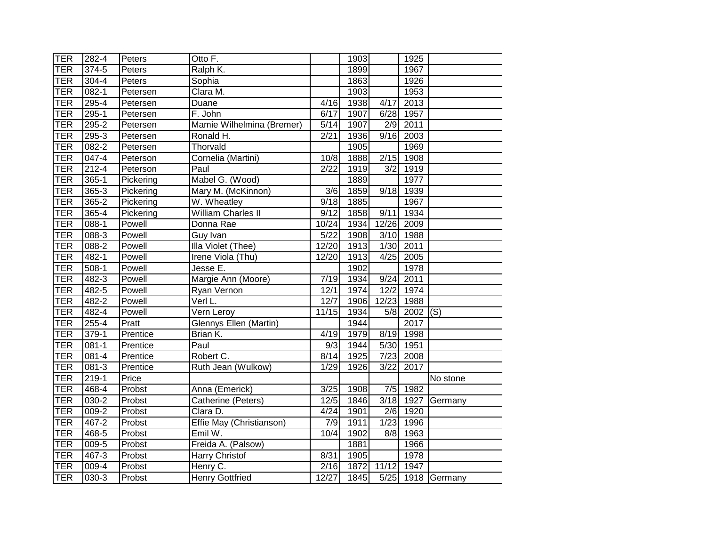| <b>TER</b> | 282-4     | Peters    | Otto F.                   |                   | 1903 |                  | 1925 |                   |
|------------|-----------|-----------|---------------------------|-------------------|------|------------------|------|-------------------|
| <b>TER</b> | $374 - 5$ | Peters    | Ralph K.                  |                   | 1899 |                  | 1967 |                   |
| <b>TER</b> | 304-4     | Peters    | Sophia                    |                   | 1863 |                  | 1926 |                   |
| <b>TER</b> | $082 - 1$ | Petersen  | Clara M.                  |                   | 1903 |                  | 1953 |                   |
| <b>TER</b> | $295 - 4$ | Petersen  | Duane                     | 4/16              | 1938 | 4/17             | 2013 |                   |
| <b>TER</b> | 295-1     | Petersen  | F. John                   | $\overline{6/17}$ | 1907 | 6/28             | 1957 |                   |
| <b>TER</b> | 295-2     | Petersen  | Mamie Wilhelmina (Bremer) | 5/14              | 1907 | $\overline{2/9}$ | 2011 |                   |
| <b>TER</b> | $295-3$   | Petersen  | Ronald H.                 | 2/21              | 1936 | 9/16             | 2003 |                   |
| <b>TER</b> | $082 - 2$ | Petersen  | Thorvald                  |                   | 1905 |                  | 1969 |                   |
| <b>TER</b> | $047 - 4$ | Peterson  | Cornelia (Martini)        | 10/8              | 1888 | 2/15             | 1908 |                   |
| <b>TER</b> | $212 - 4$ | Peterson  | Paul                      | 2/22              | 1919 | 3/2              | 1919 |                   |
| TER        | $365 - 1$ | Pickering | Mabel G. (Wood)           |                   | 1889 |                  | 1977 |                   |
| TER        | 365-3     | Pickering | Mary M. (McKinnon)        | 3/6               | 1859 | 9/18             | 1939 |                   |
| <b>TER</b> | $365 - 2$ | Pickering | W. Wheatley               | 9/18              | 1885 |                  | 1967 |                   |
| <b>TER</b> | $365 - 4$ | Pickering | William Charles II        | 9/12              | 1858 | 9/11             | 1934 |                   |
| TER        | $088-1$   | Powell    | Donna Rae                 | 10/24             | 1934 | 12/26            | 2009 |                   |
| TER        | $088-3$   | Powell    | Guy Ivan                  | 5/22              | 1908 | 3/10             | 1988 |                   |
| TER        | $088 - 2$ | Powell    | Illa Violet (Thee)        | 12/20             | 1913 | 1/30             | 2011 |                   |
| TER        | $482 - 1$ | Powell    | Irene Viola (Thu)         | 12/20             | 1913 | 4/25             | 2005 |                   |
| TER        | $508-1$   | Powell    | Jesse E.                  |                   | 1902 |                  | 1978 |                   |
| TER        | $482 - 3$ | Powell    | Margie Ann (Moore)        | 7/19              | 1934 | 9/24             | 2011 |                   |
| TER        | 482-5     | Powell    | Ryan Vernon               | 12/1              | 1974 | 12/2             | 1974 |                   |
| TER        | 482-2     | Powell    | Verl L.                   | 12/7              | 1906 | 12/23            | 1988 |                   |
| TER        | 482-4     | Powell    | Vern Leroy                | 11/15             | 1934 | 5/8              | 2002 | (S)               |
| TER        | 255-4     | Pratt     | Glennys Ellen (Martin)    |                   | 1944 |                  | 2017 |                   |
| TER        | $379-1$   | Prentice  | Brian K.                  | 4/19              | 1979 | 8/19             | 1998 |                   |
| <b>TER</b> | $081 - 1$ | Prentice  | Paul                      | $\overline{9}/3$  | 1944 | 5/30             | 1951 |                   |
| <b>TER</b> | 081-4     | Prentice  | Robert C.                 | 8/14              | 1925 | 7/23             | 2008 |                   |
| TER        | 081-3     | Prentice  | Ruth Jean (Wulkow)        | 1/29              | 1926 | 3/22             | 2017 |                   |
| <b>TER</b> | $219-1$   | Price     |                           |                   |      |                  |      | No stone          |
| <b>TER</b> | 468-4     | Probst    | Anna (Emerick)            | 3/25              | 1908 | 7/5              | 1982 |                   |
| TER        | 030-2     | Probst    | Catherine (Peters)        | 12/5              | 1846 | 3/18             | 1927 | Germany           |
| TER        | $009 - 2$ | Probst    | Clara D.                  | 4/24              | 1901 | $\frac{2}{6}$    | 1920 |                   |
| TER        | 467-2     | Probst    | Effie May (Christianson)  | 7/9               | 1911 | 1/23             | 1996 |                   |
| TER        | 468-5     | Probst    | Emil W.                   | 10/4              | 1902 | 8/8              | 1963 |                   |
| TER        | 009-5     | Probst    | Freida A. (Palsow)        |                   | 1881 |                  | 1966 |                   |
| <b>TER</b> | $467-3$   | Probst    | Harry Christof            | 8/31              | 1905 |                  | 1978 |                   |
| TER        | 009-4     | Probst    | Henry C.                  | $\frac{2}{16}$    | 1872 | 11/12            | 1947 |                   |
| <b>TER</b> | $030-3$   | Probst    | <b>Henry Gottfried</b>    | 12/27             | 1845 |                  |      | 5/25 1918 Germany |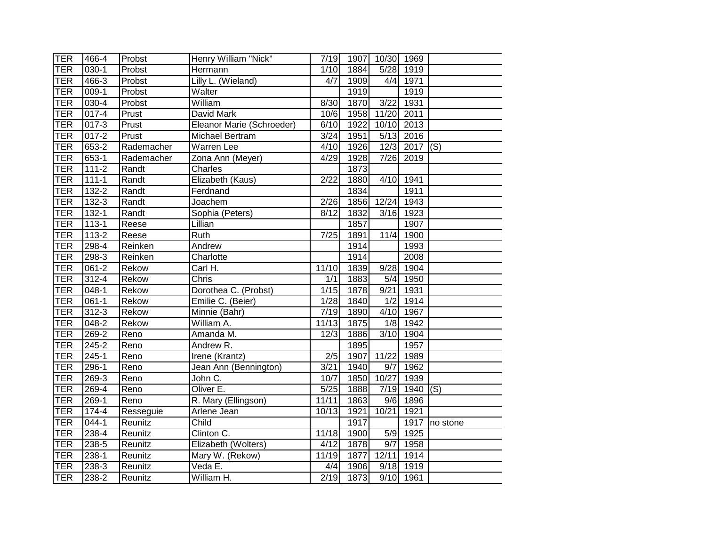| <b>TER</b> | 466-4              | Probst     | Henry William "Nick"      | 7/19              |      | 1907 10/30 1969 |           |          |
|------------|--------------------|------------|---------------------------|-------------------|------|-----------------|-----------|----------|
| <b>TER</b> | $030-1$            | Probst     | Hermann                   | $\frac{1}{1}$ /10 | 1884 | 5/28            | 1919      |          |
| <b>TER</b> | 466-3              | Probst     | Lilly L. (Wieland)        | 4/7               | 1909 |                 | 4/4 1971  |          |
| <b>TER</b> | $\overline{0}09-1$ | Probst     | Walter                    |                   | 1919 |                 | 1919      |          |
| <b>TER</b> | $030 - 4$          | Probst     | William                   | 8/30              | 1870 | 3/22            | 1931      |          |
| <b>TER</b> | $017 - 4$          | Prust      | David Mark                | 10/6              | 1958 | 11/20           | 2011      |          |
| <b>TER</b> | $017 - 3$          | Prust      | Eleanor Marie (Schroeder) | 6/10              | 1922 | 10/10           | 2013      |          |
| <b>TER</b> | $017 - 2$          | Prust      | Michael Bertram           | 3/24              | 1951 | 5/13            | 2016      |          |
| <b>TER</b> | $653 - 2$          | Rademacher | Warren Lee                | 4/10              | 1926 | 12/3            | 2017      | (S)      |
| <b>TER</b> | 653-1              | Rademacher | Zona Ann (Meyer)          | 4/29              | 1928 | 7/26            | 2019      |          |
| <b>TER</b> | $111 - 2$          | Randt      | Charles                   |                   | 1873 |                 |           |          |
| <b>TER</b> | $111 - 1$          | Randt      | Elizabeth (Kaus)          | 2/22              | 1880 | 4/10            | 1941      |          |
| <b>TER</b> | 132-2              | Randt      | Ferdnand                  |                   | 1834 |                 | 1911      |          |
| <b>TER</b> | $132 - 3$          | Randt      | Joachem                   | 2/26              | 1856 | 12/24           | 1943      |          |
| <b>TER</b> | $132 - 1$          | Randt      | Sophia (Peters)           | 8/12              | 1832 | 3/16            | 1923      |          |
| <b>TER</b> | $113 - 1$          | Reese      | Lillian                   |                   | 1857 |                 | 1907      |          |
| <b>TER</b> | $113 - 2$          | Reese      | Ruth                      | $\overline{7/25}$ | 1891 | 11/4            | 1900      |          |
| <b>TER</b> | $298-4$            | Reinken    | Andrew                    |                   | 1914 |                 | 1993      |          |
| TER        | $298-3$            | Reinken    | Charlotte                 |                   | 1914 |                 | 2008      |          |
| TER        | $061 - 2$          | Rekow      | Carl H.                   | 11/10             | 1839 | 9/28            | 1904      |          |
| <b>TER</b> | $312 - 4$          | Rekow      | Chris                     | 1/1               | 1883 | 5/4             | 1950      |          |
| <b>TER</b> | $048 - 1$          | Rekow      | Dorothea C. (Probst)      | 1/15              | 1878 | 9/21            | 1931      |          |
| <b>TER</b> | $061 - 1$          | Rekow      | Emilie C. (Beier)         | 1/28              | 1840 | 1/2             | 1914      |          |
| <b>TER</b> | $312 - 3$          | Rekow      | Minnie (Bahr)             | 7/19              | 1890 | 4/10            | 1967      |          |
| <b>TER</b> | $048 - 2$          | Rekow      | William A.                | 11/13             | 1875 | 1/8             | 1942      |          |
| <b>TER</b> | $269 - 2$          | Reno       | Amanda M.                 | 12/3              | 1886 | 3/10            | 1904      |          |
| <b>TER</b> | 245-2              | Reno       | Andrew R.                 |                   | 1895 |                 | 1957      |          |
| <b>TER</b> | $245 - 1$          | Reno       | Irene (Krantz)            | $\overline{2/5}$  | 1907 | 11/22           | 1989      |          |
| <b>TER</b> | $296-1$            | Reno       | Jean Ann (Bennington)     | 3/21              | 1940 | 9/7             | 1962      |          |
| <b>TER</b> | 269-3              | Reno       | John C.                   | 10/7              | 1850 | 10/27           | 1939      |          |
| <b>TER</b> | 269-4              | Reno       | Oliver E.                 | 5/25              | 1888 | 7/19            | 1940      | (S)      |
| TER        | $269-1$            | Reno       | R. Mary (Ellingson)       | 11/11             | 1863 | $\frac{9}{6}$   | 1896      |          |
| <b>TER</b> | 174-4              | Resseguie  | Arlene Jean               | 10/13             | 1921 | 10/21           | 1921      |          |
| <b>TER</b> | $044 - 1$          | Reunitz    | Child                     |                   | 1917 |                 | 1917      | no stone |
| <b>TER</b> | $238 - 4$          | Reunitz    | Clinton C.                | 11/18             | 1900 | 5/9             | 1925      |          |
| <b>TER</b> | $238 - 5$          | Reunitz    | Elizabeth (Wolters)       | 4/12              | 1878 | 9/7             | 1958      |          |
| <b>TER</b> | 238-1              | Reunitz    | Mary W. (Rekow)           | 11/19             | 1877 | 12/11           | 1914      |          |
| <b>TER</b> | $238 - 3$          | Reunitz    | Veda E.                   | 4/4               | 1906 | 9/18            | 1919      |          |
| <b>TER</b> | 238-2              | Reunitz    | William H.                | 2/19              | 1873 |                 | 9/10 1961 |          |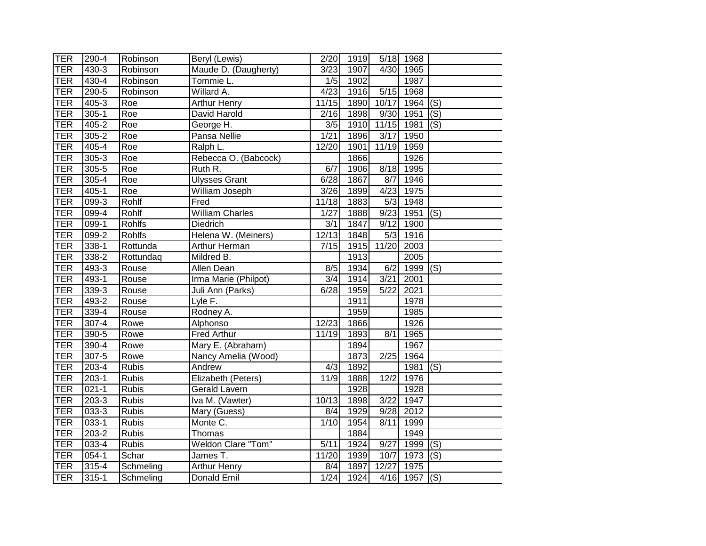| <b>TER</b> | 290-4     | Robinson      | Beryl (Lewis)          | 2/20              | 1919 |                   | 5/18 1968 |                           |
|------------|-----------|---------------|------------------------|-------------------|------|-------------------|-----------|---------------------------|
| <b>TER</b> | $430 - 3$ | Robinson      | Maude D. (Daugherty)   | $\overline{3/23}$ | 1907 | 4/30              | 1965      |                           |
| <b>TER</b> | 430-4     | Robinson      | Tommie L.              | 1/5               | 1902 |                   | 1987      |                           |
| <b>TER</b> | 290-5     | Robinson      | Willard A.             | 4/23              | 1916 | 5/15              | 1968      |                           |
| TER        | $405 - 3$ | Roe           | <b>Arthur Henry</b>    | 11/15             | 1890 | 10/17             | 1964      | (S)                       |
| <b>TER</b> | $305 - 1$ | Roe           | David Harold           | 2/16              | 1898 | 9/30              | 1951      | $\overline{(S)}$          |
| <b>TER</b> | 405-2     | Roe           | George H.              | 3/5               | 1910 | 11/15 1981        |           | (S)                       |
| <b>TER</b> | $305 - 2$ | Roe           | Pansa Nellie           | 1/21              | 1896 | 3/17              | 1950      |                           |
| <b>TER</b> | 405-4     | Roe           | Ralph L.               | 12/20             | 1901 | 11/19             | 1959      |                           |
| <b>TER</b> | $305 - 3$ | Roe           | Rebecca O. (Babcock)   |                   | 1866 |                   | 1926      |                           |
| <b>TER</b> | $305 - 5$ | Roe           | Ruth R.                | 6/7               | 1906 | 8/18              | 1995      |                           |
| <b>TER</b> | 305-4     | Roe           | <b>Ulysses Grant</b>   | 6/28              | 1867 | 8/7               | 1946      |                           |
| <b>TER</b> | $405 - 1$ | Roe           | William Joseph         | $\overline{3}/26$ | 1899 | $\overline{4/23}$ | 1975      |                           |
| <b>TER</b> | $099-3$   | Rohlf         | Fred                   | 11/18             | 1883 | 5/3               | 1948      |                           |
| <b>TER</b> | $099 - 4$ | Rohlf         | <b>William Charles</b> | 1/27              | 1888 | 9/23              | 1951      | (S)                       |
| TER        | $099-1$   | <b>Rohlfs</b> | Diedrich               | $\overline{3/1}$  | 1847 | 9/12              | 1900      |                           |
| <b>TER</b> | $099 - 2$ | <b>Rohlfs</b> | Helena W. (Meiners)    | 12/13             | 1848 | 5/3               | 1916      |                           |
| <b>TER</b> | $338-1$   | Rottunda      | <b>Arthur Herman</b>   | 7/15              |      | 1915 11/20        | 2003      |                           |
| TER        | $338 - 2$ | Rottundaq     | Mildred B.             |                   | 1913 |                   | 2005      |                           |
| <b>TER</b> | 493-3     | Rouse         | <b>Allen Dean</b>      | 8/5               | 1934 | 6/2               | 1999      | (S)                       |
| <b>TER</b> | 493-1     | Rouse         | Irma Marie (Philpot)   | 3/4               | 1914 | 3/21              | 2001      |                           |
| <b>TER</b> | $339 - 3$ | Rouse         | Juli Ann (Parks)       | 6/28              | 1959 | 5/22              | 2021      |                           |
| <b>TER</b> | 493-2     | Rouse         | Lyle F.                |                   | 1911 |                   | 1978      |                           |
| <b>TER</b> | 339-4     | Rouse         | Rodney A.              |                   | 1959 |                   | 1985      |                           |
| <b>TER</b> | 307-4     | Rowe          | Alphonso               | 12/23             | 1866 |                   | 1926      |                           |
| <b>TER</b> | $390 - 5$ | Rowe          | <b>Fred Arthur</b>     | 11/19             | 1893 | 8/1               | 1965      |                           |
| <b>TER</b> | 390-4     | Rowe          | Mary E. (Abraham)      |                   | 1894 |                   | 1967      |                           |
| <b>TER</b> | $307 - 5$ | Rowe          | Nancy Amelia (Wood)    |                   | 1873 | 2/25              | 1964      |                           |
| <b>TER</b> | $203 - 4$ | <b>Rubis</b>  | Andrew                 | 4/3               | 1892 |                   | 1981      | $\overline{(\mathsf{S})}$ |
| <b>TER</b> | $203 - 1$ | <b>Rubis</b>  | Elizabeth (Peters)     | 11/9              | 1888 | 12/2              | 1976      |                           |
| <b>TER</b> | $021 - 1$ | <b>Rubis</b>  | <b>Gerald Lavern</b>   |                   | 1928 |                   | 1928      |                           |
| <b>TER</b> | 203-3     | <b>Rubis</b>  | Iva M. (Vawter)        | 10/13             | 1898 | 3/22              | 1947      |                           |
| <b>TER</b> | $033-3$   | <b>Rubis</b>  | Mary (Guess)           | 8/4               | 1929 | 9/28              | 2012      |                           |
| <b>TER</b> | 033-1     | <b>Rubis</b>  | Monte C.               | 1/10              | 1954 | 8/11              | 1999      |                           |
| <b>TER</b> | $203 - 2$ | <b>Rubis</b>  | <b>Thomas</b>          |                   | 1884 |                   | 1949      |                           |
| <b>TER</b> | 033-4     | <b>Rubis</b>  | Weldon Clare "Tom"     | 5/11              | 1924 | 9/27              | 1999      | $\overline{(\mathsf{S})}$ |
| <b>TER</b> | 054-1     | Schar         | James T.               | 11/20             | 1939 | 10/7              | 1973      | $\overline{(\mathsf{S})}$ |
| <b>TER</b> | $315 - 4$ | Schmeling     | <b>Arthur Henry</b>    | 8/4               | 1897 | 12/27             | 1975      |                           |
| TER        | $315 - 1$ | Schmeling     | Donald Emil            | 1/24              | 1924 |                   | 4/16 1957 | (S)                       |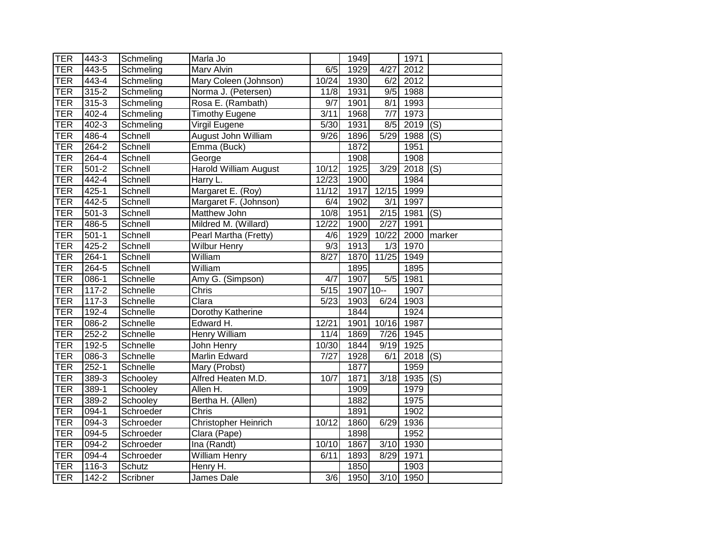| <b>TER</b> | 443-3                | Schmeling      | Marla Jo                   |                   | 1949       |            | 1971              |                           |
|------------|----------------------|----------------|----------------------------|-------------------|------------|------------|-------------------|---------------------------|
| <b>TER</b> | 443-5                | Schmeling      | Marv Alvin                 | 6/5               | 1929       | 4/27       | $\overline{2012}$ |                           |
| <b>TER</b> | 443-4                | Schmeling      | Mary Coleen (Johnson)      | 10/24             | 1930       | 6/2        | 2012              |                           |
| <b>TER</b> | $315 - 2$            | Schmeling      | Norma J. (Petersen)        | 11/8              | 1931       |            | 9/5 1988          |                           |
| <b>TER</b> | $315 - 3$            | Schmeling      | Rosa E. (Rambath)          | 9/7               | 1901       | 8/1        | 1993              |                           |
| <b>TER</b> | 402-4                | Schmeling      | <b>Timothy Eugene</b>      | 3/11              | 1968       | 7/7        | 1973              |                           |
| <b>TER</b> | $402 - 3$            | Schmeling      | Virgil Eugene              | $\frac{1}{5}{30}$ | 1931       | 8/5        | 2019              | $\overline{(\mathsf{S})}$ |
| <b>TER</b> | 486-4                | Schnell        | <b>August John William</b> | 9/26              | 1896       |            | 5/29 1988         | (S)                       |
| <b>TER</b> | $264 - 2$            | Schnell        | Emma (Buck)                |                   | 1872       |            | 1951              |                           |
| <b>TER</b> | $264 - 4$            | Schnell        | George                     |                   | 1908       |            | 1908              |                           |
| <b>TER</b> | $501 - 2$            | Schnell        | Harold William August      | 10/12             | 1925       | 3/29       | $2018$ (S)        |                           |
| <b>TER</b> | 442-4                | <b>Schnell</b> | Harry L.                   | 12/23             | 1900       |            | 1984              |                           |
| <b>TER</b> | 425-1                | Schnell        | Margaret E. (Roy)          | 11/12             | 1917       | 12/15      | 1999              |                           |
| <b>TER</b> | 442-5                | Schnell        | Margaret F. (Johnson)      | 6/4               | 1902       | 3/1        | 1997              |                           |
| <b>TER</b> | $501 - 3$            | Schnell        | Matthew John               | 10/8              | 1951       | 2/15       | 1981              | (S)                       |
| <b>TER</b> | 486-5                | Schnell        | Mildred M. (Willard)       | 12/22             | 1900       | 2/27       | 1991              |                           |
| <b>TER</b> | $501 - 1$            | Schnell        | Pearl Martha (Fretty)      | 4/6               | 1929       | 10/22      | 2000              | marker                    |
| <b>TER</b> | $425 - 2$            | Schnell        | <b>Wilbur Henry</b>        | 9/3               | 1913       |            | $1/3$ 1970        |                           |
| <b>TER</b> | $264 - 1$            | Schnell        | William                    | 8/27              |            | 1870 11/25 | 1949              |                           |
| <b>TER</b> | 264-5                | Schnell        | William                    |                   | 1895       |            | 1895              |                           |
| <b>TER</b> | $086 - 1$            | Schnelle       | Amy G. (Simpson)           | 4/7               | 1907       | 5/5        | 1981              |                           |
| <b>TER</b> | $117 - 2$            | Schnelle       | Chris                      | $\overline{5/15}$ | 1907 10 -- |            | 1907              |                           |
| <b>TER</b> | $117-3$              | Schnelle       | Clara                      | 5/23              | 1903       | 6/24       | 1903              |                           |
| <b>TER</b> | 192-4                | Schnelle       | Dorothy Katherine          |                   | 1844       |            | 1924              |                           |
| <b>TER</b> | 086-2                | Schnelle       | Edward H.                  | 12/21             | 1901       | 10/16      | 1987              |                           |
| <b>TER</b> | $252 - 2$            | Schnelle       | Henry William              | 11/4              | 1869       | 7/26       | 1945              |                           |
| <b>TER</b> | 192-5                | Schnelle       | John Henry                 | 10/30             | 1844       | 9/19       | 1925              |                           |
| <b>TER</b> | 086-3                | Schnelle       | Marlin Edward              | 7/27              | 1928       | 6/1        | 2018              | $\overline{(\mathsf{S})}$ |
| <b>TER</b> | $252 - 1$            | Schnelle       | Mary (Probst)              |                   | 1877       |            | 1959              |                           |
| <b>TER</b> | 389-3                | Schooley       | Alfred Heaten M.D.         | 10/7              | 1871       |            | 3/18 1935         | (S)                       |
| <b>TER</b> | $389-1$              | Schooley       | Allen H.                   |                   | 1909       |            | 1979              |                           |
| <b>TER</b> | $389-2$              | Schooley       | Bertha H. (Allen)          |                   | 1882       |            | 1975              |                           |
| <b>TER</b> | $\overline{094} - 1$ | Schroeder      | Chris                      |                   | 1891       |            | 1902              |                           |
| <b>TER</b> | $094 - 3$            | Schroeder      | Christopher Heinrich       | 10/12             | 1860       | 6/29       | 1936              |                           |
| <b>TER</b> | 094-5                | Schroeder      | Clara (Pape)               |                   | 1898       |            | 1952              |                           |
| <b>TER</b> | 094-2                | Schroeder      | Ina (Randt)                | 10/10             | 1867       | 3/10       | 7930              |                           |
| <b>TER</b> | 094-4                | Schroeder      | <b>William Henry</b>       | 6/11              | 1893       | 8/29       | 1971              |                           |
| <b>TER</b> | 116-3                | Schutz         | Henry H.                   |                   | 1850       |            | 1903              |                           |
| TER        | $142 - 2$            | Scribner       | James Dale                 | $\overline{3/6}$  | 1950       |            | 3/10 1950         |                           |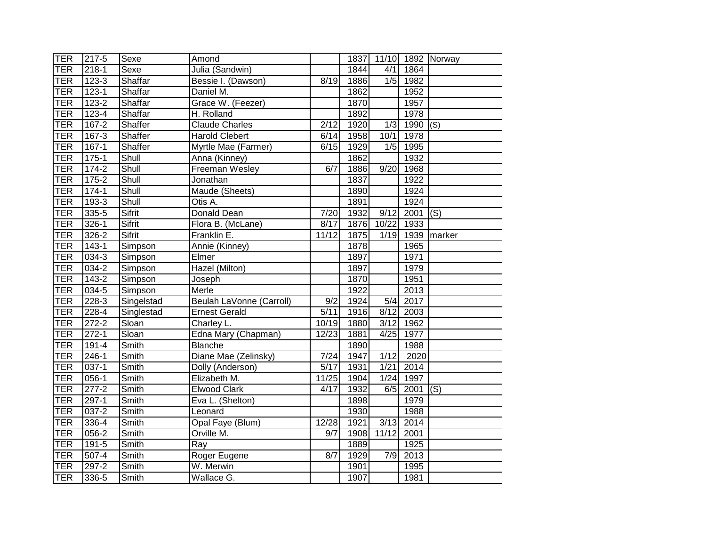| <b>TER</b> | 217-5     | Sexe          | Amond                    |       |      |                   |            | 1837 11/10 1892 Norway |
|------------|-----------|---------------|--------------------------|-------|------|-------------------|------------|------------------------|
| <b>TER</b> | $218 - 1$ | Sexe          | Julia (Sandwin)          |       | 1844 | 4/1               | 1864       |                        |
| <b>TER</b> | $123 - 3$ | Shaffar       | Bessie I. (Dawson)       | 8/19  | 1886 |                   | $1/5$ 1982 |                        |
| <b>TER</b> | $123 - 1$ | Shaffar       | Daniel M.                |       | 1862 |                   | 1952       |                        |
| <b>TER</b> | $123 - 2$ | Shaffar       | Grace W. (Feezer)        |       | 1870 |                   | 1957       |                        |
| <b>TER</b> | $123 - 4$ | Shaffar       | H. Rolland               |       | 1892 |                   | 1978       |                        |
| <b>TER</b> | $167 - 2$ | Shaffer       | <b>Claude Charles</b>    | 2/12  | 1920 | 1/3               | 1990       | (S)                    |
| <b>TER</b> | 167-3     | Shaffer       | <b>Harold Clebert</b>    | 6/14  | 1958 | 10/1              | 1978       |                        |
| TER        | $167 - 1$ | Shaffer       | Myrtle Mae (Farmer)      | 6/15  | 1929 | 1/5               | 1995       |                        |
| TER        | $175-1$   | Shull         | Anna (Kinney)            |       | 1862 |                   | 1932       |                        |
| <b>TER</b> | $174-2$   | Shull         | Freeman Wesley           | 6/7   | 1886 | $\overline{9}/20$ | 1968       |                        |
| <b>TER</b> | 175-2     | Shull         | Jonathan                 |       | 1837 |                   | 1922       |                        |
| <b>TER</b> | $174-1$   | Shull         | Maude (Sheets)           |       | 1890 |                   | 1924       |                        |
| <b>TER</b> | 193-3     | Shull         | Otis A.                  |       | 1891 |                   | 1924       |                        |
| <b>TER</b> | $335 - 5$ | Sifrit        | <b>Donald Dean</b>       | 7/20  | 1932 | 9/12              | 2001       | (S)                    |
| <b>TER</b> | $326 - 1$ | Sifrit        | Flora B. (McLane)        | 8/17  | 1876 | 10/22             | 1933       |                        |
| <b>TER</b> | $326 - 2$ | <b>Sifrit</b> | Franklin E.              | 11/12 | 1875 | 1/19              | 1939       | marker                 |
| <b>TER</b> | $143 - 1$ | Simpson       | Annie (Kinney)           |       | 1878 |                   | 1965       |                        |
| <b>TER</b> | $034 - 3$ | Simpson       | Elmer                    |       | 1897 |                   | 1971       |                        |
| TER        | $034 - 2$ | Simpson       | Hazel (Milton)           |       | 1897 |                   | 1979       |                        |
| TER        | $143 - 2$ | Simpson       | Joseph                   |       | 1870 |                   | 1951       |                        |
| TER        | $034-5$   | Simpson       | Merle                    |       | 1922 |                   | 2013       |                        |
| <b>TER</b> | $228-3$   | Singelstad    | Beulah LaVonne (Carroll) | 9/2   | 1924 | 5/4               | 2017       |                        |
| <b>TER</b> | 228-4     | Singlestad    | <b>Ernest Gerald</b>     | 5/11  | 1916 | 8/12              | 2003       |                        |
| <b>TER</b> | $272 - 2$ | Sloan         | Charley L.               | 10/19 | 1880 | $\overline{3/12}$ | 1962       |                        |
| <b>TER</b> | $272 - 1$ | Sloan         | Edna Mary (Chapman)      | 12/23 | 1881 | 4/25              | 1977       |                        |
| <b>TER</b> | $191 - 4$ | Smith         | <b>Blanche</b>           |       | 1890 |                   | 1988       |                        |
| <b>TER</b> | $246 - 1$ | Smith         | Diane Mae (Zelinsky)     | 7/24  | 1947 | 1/12              | 2020       |                        |
| <b>TER</b> | $037-1$   | Smith         | Dolly (Anderson)         | 5/17  | 1931 | $1/21$            | 2014       |                        |
| <b>TER</b> | $056 - 1$ | Smith         | Elizabeth M.             | 11/25 | 1904 | 1/24              | 1997       |                        |
| <b>TER</b> | $277-2$   | Smith         | <b>Elwood Clark</b>      | 4/17  | 1932 | 6/5               | 2001       | $\overline{(S)}$       |
| TER        | $297-1$   | Smith         | Eva L. (Shelton)         |       | 1898 |                   | 1979       |                        |
| TER        | $037 - 2$ | Smith         | Leonard                  |       | 1930 |                   | 1988       |                        |
| <b>TER</b> | 336-4     | Smith         | Opal Faye (Blum)         | 12/28 | 1921 | 3/13              | 2014       |                        |
| <b>TER</b> | 056-2     | Smith         | Orville M.               | 9/7   | 1908 | 11/12             | 2001       |                        |
| <b>TER</b> | 191-5     | Smith         | Ray                      |       | 1889 |                   | 1925       |                        |
| <b>TER</b> | $507 - 4$ | Smith         | Roger Eugene             | 8/7   | 1929 | 7/9               | 2013       |                        |
| <b>TER</b> | $297 - 2$ | Smith         | W. Merwin                |       | 1901 |                   | 1995       |                        |
| <b>TER</b> | 336-5     | Smith         | Wallace G.               |       | 1907 |                   | 1981       |                        |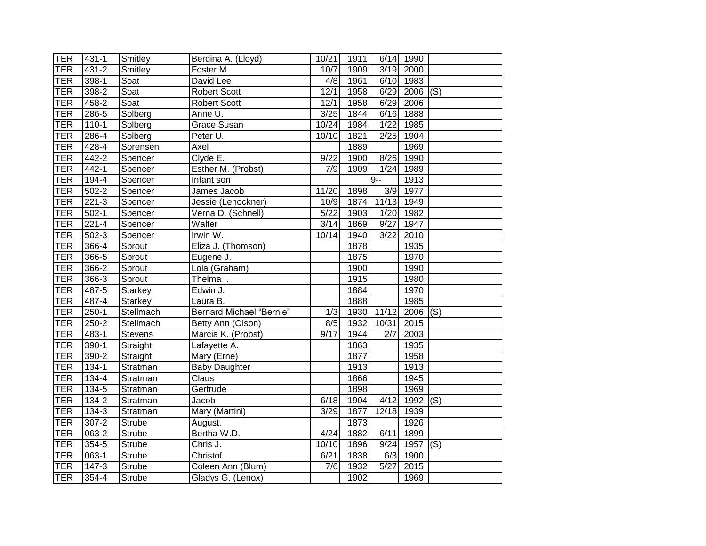| TER        | $431 - 1$ | Smitley        | Berdina A. (Lloyd)              | 10/21 | 1911 |       | 6/14 1990   |                           |
|------------|-----------|----------------|---------------------------------|-------|------|-------|-------------|---------------------------|
| <b>TER</b> | $431 - 2$ | Smitley        | Foster M.                       | 10/7  | 1909 | 3/19  | 2000        |                           |
| <b>TER</b> | 398-1     | Soat           | David Lee                       | 4/8   | 1961 |       | 6/10 1983   |                           |
| <b>TER</b> | 398-2     | Soat           | <b>Robert Scott</b>             | 12/1  | 1958 |       | $6/29$ 2006 | $\overline{(\mathsf{S})}$ |
| <b>TER</b> | $458 - 2$ | Soat           | <b>Robert Scott</b>             | 12/1  | 1958 |       | 6/29 2006   |                           |
| <b>TER</b> | 286-5     | Solberg        | Anne U.                         | 3/25  | 1844 |       | 6/16 1888   |                           |
| <b>TER</b> | $110-1$   | Solberg        | <b>Grace Susan</b>              | 10/24 | 1984 | 1/22  | 1985        |                           |
| <b>TER</b> | 286-4     | Solberg        | Peter U.                        | 10/10 | 1821 | 2/25  | 1904        |                           |
| <b>TER</b> | 428-4     | Sorensen       | Axel                            |       | 1889 |       | 1969        |                           |
| <b>TER</b> | 442-2     | Spencer        | Clyde E.                        | 9/22  | 1900 | 8/26  | 1990        |                           |
| <b>TER</b> | 442-1     | Spencer        | Esther M. (Probst)              | 7/9   | 1909 | 1/24  | 1989        |                           |
| <b>TER</b> | $194 - 4$ | Spencer        | Infant son                      |       |      | $9 -$ | 1913        |                           |
| <b>TER</b> | $502 - 2$ | Spencer        | James Jacob                     | 11/20 | 1898 | 3/9   | 1977        |                           |
| <b>TER</b> | $221 - 3$ | Spencer        | Jessie (Lenockner)              | 10/9  | 1874 | 11/13 | 1949        |                           |
| <b>TER</b> | $502-1$   | Spencer        | Verna D. (Schnell)              | 5/22  | 1903 | 1/20  | 1982        |                           |
| <b>TER</b> | $221 - 4$ | Spencer        | Walter                          | 3/14  | 1869 | 9/27  | 1947        |                           |
| <b>TER</b> | $502-3$   | Spencer        | Irwin W.                        | 10/14 | 1940 | 3/22  | 2010        |                           |
| <b>TER</b> | $366 - 4$ | Sprout         | Eliza J. (Thomson)              |       | 1878 |       | 1935        |                           |
| <b>TER</b> | 366-5     | Sprout         | Eugene J.                       |       | 1875 |       | 1970        |                           |
| <b>TER</b> | 366-2     | Sprout         | Lola (Graham)                   |       | 1900 |       | 1990        |                           |
| <b>TER</b> | $366-3$   | Sprout         | Thelma I.                       |       | 1915 |       | 1980        |                           |
| <b>TER</b> | 487-5     | Starkey        | Edwin J.                        |       | 1884 |       | 1970        |                           |
| <b>TER</b> | 487-4     | Starkey        | Laura B.                        |       | 1888 |       | 1985        |                           |
| <b>TER</b> | $250 - 1$ | Stellmach      | <b>Bernard Michael "Bernie"</b> | 1/3   | 1930 | 11/12 | 2006        | (S)                       |
| <b>TER</b> | $250 - 2$ | Stellmach      | Betty Ann (Olson)               | 8/5   | 1932 | 10/31 | 2015        |                           |
| <b>TER</b> | 483-1     | <b>Stevens</b> | Marcia K. (Probst)              | 9/17  | 1944 | 2/7   | 2003        |                           |
| <b>TER</b> | 390-1     | Straight       | Lafayette A.                    |       | 1863 |       | 1935        |                           |
| <b>TER</b> | $390 - 2$ | Straight       | Mary (Erne)                     |       | 1877 |       | 1958        |                           |
| <b>TER</b> | $134 - 1$ | Stratman       | <b>Baby Daughter</b>            |       | 1913 |       | 1913        |                           |
| <b>TER</b> | 134-4     | Stratman       | Claus                           |       | 1866 |       | 1945        |                           |
| TER        | $134 - 5$ | Stratman       | Gertrude                        |       | 1898 |       | 1969        |                           |
| <b>TER</b> | 134-2     | Stratman       | Jacob                           | 6/18  | 1904 | 4/12  | 1992        | (S)                       |
| <b>TER</b> | 134-3     | Stratman       | Mary (Martini)                  | 3/29  | 1877 | 12/18 | 1939        |                           |
| <b>TER</b> | $307 - 2$ | <b>Strube</b>  | August.                         |       | 1873 |       | 1926        |                           |
| <b>TER</b> | 063-2     | <b>Strube</b>  | Bertha W.D.                     | 4/24  | 1882 | 6/11  | 1899        |                           |
| <b>TER</b> | 354-5     | <b>Strube</b>  | Chris J.                        | 10/10 | 1896 | 9/24  | 1957        | (S)                       |
| <b>TER</b> | $063-1$   | <b>Strube</b>  | Christof                        | 6/21  | 1838 | 6/3   | 1900        |                           |
| <b>TER</b> | $147 - 3$ | <b>Strube</b>  | Coleen Ann (Blum)               | 7/6   | 1932 | 5/27  | 2015        |                           |
| <b>TER</b> | 354-4     | Strube         | Gladys G. (Lenox)               |       | 1902 |       | 1969        |                           |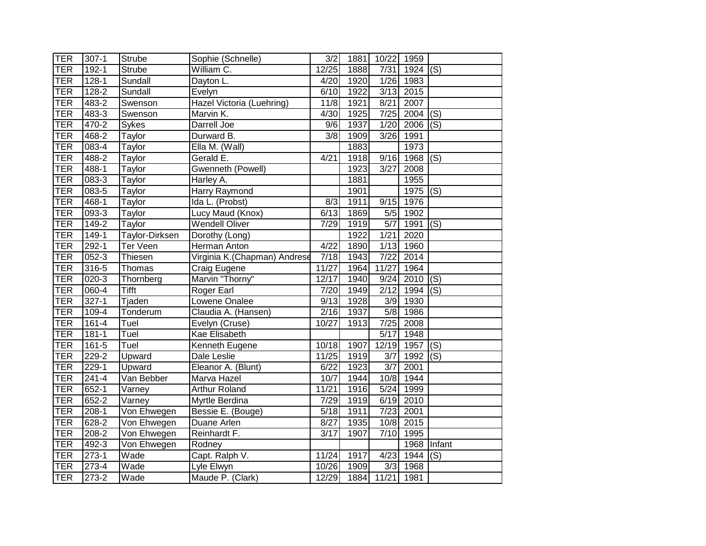| TER        | $307-1$   | Strube                | Sophie (Schnelle)            | 3/2               | 1881 | 10/22             | 1959 |                           |
|------------|-----------|-----------------------|------------------------------|-------------------|------|-------------------|------|---------------------------|
| <b>TER</b> | $192 - 1$ | <b>Strube</b>         | William C.                   | 12/25             | 1888 | 7/31              | 1924 | (S)                       |
| <b>TER</b> | $128 - 1$ | Sundall               | Dayton L.                    | 4/20              | 1920 | 1/26              | 1983 |                           |
| <b>TER</b> | $128 - 2$ | Sundall               | Evelyn                       | 6/10              | 1922 | 3/13              | 2015 |                           |
| <b>TER</b> | 483-2     | Swenson               | Hazel Victoria (Luehring)    | 11/8              | 1921 | 8/21              | 2007 |                           |
| <b>TER</b> | 483-3     | Swenson               | Marvin K.                    | 4/30              | 1925 | 7/25              | 2004 | $\overline{(\mathsf{S})}$ |
| <b>TER</b> | 470-2     | Sykes                 | Darrell Joe                  | 9/6               | 1937 | 1/20              | 2006 | (S)                       |
| <b>TER</b> | 468-2     | Taylor                | Durward B.                   | 3/8               | 1909 | 3/26              | 1991 |                           |
| TER        | $083 - 4$ | Taylor                | Ella M. (Wall)               |                   | 1883 |                   | 1973 |                           |
| <b>TER</b> | 488-2     | Taylor                | Gerald E.                    | 4/21              | 1918 | 9/16              | 1968 | (S)                       |
| <b>TER</b> | 488-1     | Taylor                | Gwenneth (Powell)            |                   | 1923 | 3/27              | 2008 |                           |
| <b>TER</b> | 083-3     | Taylor                | Harley A.                    |                   | 1881 |                   | 1955 |                           |
| TER        | 083-5     | Taylor                | Harry Raymond                |                   | 1901 |                   | 1975 | (S)                       |
| <b>TER</b> | 468-1     | Taylor                | Ida L. (Probst)              | 8/3               | 1911 | 9/15              | 1976 |                           |
| <b>TER</b> | $093 - 3$ | Taylor                | Lucy Maud (Knox)             | 6/13              | 1869 | 5/5               | 1902 |                           |
| <b>TER</b> | $149 - 2$ | Taylor                | <b>Wendell Oliver</b>        | 7/29              | 1919 | $\overline{5/7}$  | 1991 | (S)                       |
| <b>TER</b> | $149-1$   | <b>Taylor-Dirksen</b> | Dorothy (Long)               |                   | 1922 | 1/21              | 2020 |                           |
| <b>TER</b> | $292 - 1$ | <b>Ter Veen</b>       | <b>Herman Anton</b>          | 4/22              | 1890 | 1/13              | 1960 |                           |
| TER        | $052 - 3$ | Thiesen               | Virginia K.(Chapman) Andrese | 7/18              | 1943 | $\overline{7/22}$ | 2014 |                           |
| TER        | $316 - 5$ | Thomas                | Craig Eugene                 | 11/27             | 1964 | 11/27             | 1964 |                           |
| TER        | $020 - 3$ | Thornberg             | Marvin "Thorny"              | 12/17             | 1940 | 9/24              | 2010 | (S)                       |
| TER        | $060 - 4$ | Tifft                 | <b>Roger Earl</b>            | 7/20              | 1949 | 2/12              | 1994 | (S)                       |
| <b>TER</b> | $327 - 1$ | Tjaden                | Lowene Onalee                | 9/13              | 1928 | 3/9               | 1930 |                           |
| <b>TER</b> | 109-4     | Tonderum              | Claudia A. (Hansen)          | $\overline{2}/16$ | 1937 | 5/8               | 1986 |                           |
| <b>TER</b> | 161-4     | Tuel                  | Evelyn (Cruse)               | 10/27             | 1913 | 7/25              | 2008 |                           |
| <b>TER</b> | $181 - 1$ | Tuel                  | <b>Kae Elisabeth</b>         |                   |      | $\overline{5/17}$ | 1948 |                           |
| <b>TER</b> | $161 - 5$ | Tuel                  | Kenneth Eugene               | 10/18             | 1907 | 12/19             | 1957 | (S)                       |
| <b>TER</b> | $229 - 2$ | Upward                | Dale Leslie                  | 11/25             | 1919 | $\overline{3/7}$  | 1992 | (S)                       |
| <b>TER</b> | $229-1$   | Upward                | Eleanor A. (Blunt)           | 6/22              | 1923 | $\overline{3/7}$  | 2001 |                           |
| <b>TER</b> | $241 - 4$ | Van Bebber            | Marva Hazel                  | 10/7              | 1944 | 10/8              | 1944 |                           |
| <b>TER</b> | $652 - 1$ | Varney                | <b>Arthur Roland</b>         | 11/21             | 1916 | 5/24              | 1999 |                           |
| <b>TER</b> | 652-2     | Varney                | Myrtle Berdina               | 7/29              | 1919 | 6/19              | 2010 |                           |
| <b>TER</b> | $208-1$   | Von Ehwegen           | Bessie E. (Bouge)            | 5/18              | 1911 | 7/23              | 2001 |                           |
| <b>TER</b> | 628-2     | Von Ehwegen           | Duane Arlen                  | 8/27              | 1935 | 10/8              | 2015 |                           |
| TER        | 208-2     | Von Ehwegen           | Reinhardt F.                 | $\overline{3}/17$ | 1907 | 7/10              | 1995 |                           |
| <b>TER</b> | 492-3     | Von Ehwegen           | Rodney                       |                   |      |                   | 1968 | Infant                    |
| TER        | $273-1$   | Wade                  | Capt. Ralph V.               | 11/24             | 1917 | 4/23              | 1944 | $\overline{(\mathsf{S})}$ |
| <b>TER</b> | 273-4     | Wade                  | Lyle Elwyn                   | 10/26             | 1909 | 3/3               | 1968 |                           |
| <b>TER</b> | $273-2$   | Wade                  | Maude P. (Clark)             | 12/29             | 1884 | 11/21             | 1981 |                           |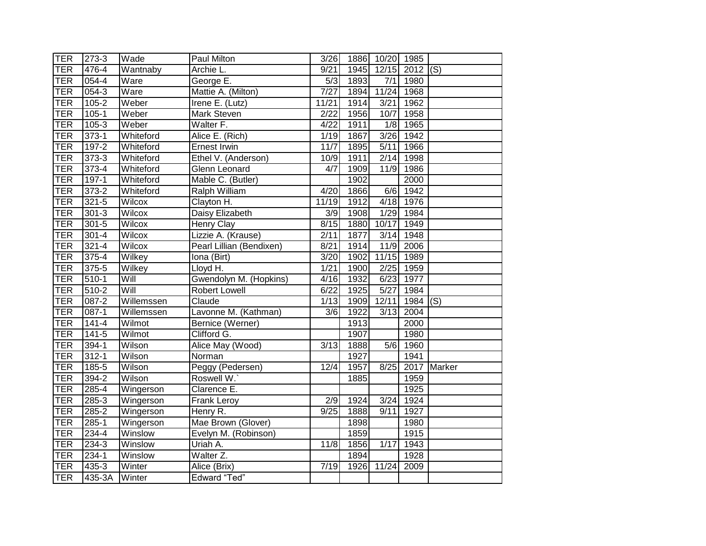| <b>TER</b> | 273-3     | Wade       | Paul Milton              | 3/26  |                   | 1886 10/20 1985   |      |             |
|------------|-----------|------------|--------------------------|-------|-------------------|-------------------|------|-------------|
| <b>TER</b> | 476-4     | Wantnaby   | Archie L.                | 9/21  | 1945              | 12/15             | 2012 | (S)         |
| <b>TER</b> | 054-4     | Ware       | George E.                | 5/3   | 1893              | 7/1               | 1980 |             |
| <b>TER</b> | $054 - 3$ | Ware       | Mattie A. (Milton)       | 7/27  | 1894              | 11/24 1968        |      |             |
| <b>TER</b> | 105-2     | Weber      | Irene E. (Lutz)          | 11/21 | 1914              | 3/21              | 1962 |             |
| <b>TER</b> | $105 - 1$ | Weber      | Mark Steven              | 2/22  | 1956              | 10/7              | 1958 |             |
| <b>TER</b> | $105 - 3$ | Weber      | Walter F.                | 4/22  | 1911              | 1/8               | 1965 |             |
| <b>TER</b> | $373-1$   | Whiteford  | Alice E. (Rich)          | 1/19  | 1867              | 3/26              | 1942 |             |
| <b>TER</b> | $197 - 2$ | Whiteford  | <b>Ernest Irwin</b>      | 11/7  | 1895              | 5/11              | 1966 |             |
| <b>TER</b> | $373-3$   | Whiteford  | Ethel V. (Anderson)      | 10/9  | 1911              | 2/14              | 1998 |             |
| <b>TER</b> | $373-4$   | Whiteford  | Glenn Leonard            | 4/7   | 1909              | 11/9              | 1986 |             |
| <b>TER</b> | $197-1$   | Whiteford  | Mable C. (Butler)        |       | 1902              |                   | 2000 |             |
| <b>TER</b> | 373-2     | Whiteford  | Ralph William            | 4/20  | 1866              | 6/6               | 1942 |             |
| <b>TER</b> | $321 - 5$ | Wilcox     | Clayton H.               | 11/19 | 1912              | 4/18              | 1976 |             |
| <b>TER</b> | $301 - 3$ | Wilcox     | Daisy Elizabeth          | 3/9   | 1908              | 1/29              | 1984 |             |
| <b>TER</b> | $301 - 5$ | Wilcox     | Henry Clay               | 8/15  | 1880              | 10/17             | 1949 |             |
| <b>TER</b> | $301 - 4$ | Wilcox     | Lizzie A. (Krause)       | 2/11  | 1877              | 3/14              | 1948 |             |
| <b>TER</b> | $321 - 4$ | Wilcox     | Pearl Lillian (Bendixen) | 8/21  | 1914              | 11/9              | 2006 |             |
| <b>TER</b> | $375 - 4$ | Wilkey     | Iona (Birt)              | 3/20  | 1902              | 11/15             | 1989 |             |
| <b>TER</b> | $375 - 5$ | Wilkey     | Lloyd H.                 | 1/21  | 1900              | 2/25              | 1959 |             |
| <b>TER</b> | $510-1$   | Will       | Gwendolyn M. (Hopkins)   | 4/16  | 1932              | 6/23              | 1977 |             |
| <b>TER</b> | $510 - 2$ | Will       | Robert Lowell            | 6/22  | 1925              | $\overline{5/27}$ | 1984 |             |
| <b>TER</b> | $087 - 2$ | Willemssen | Claude                   | 1/13  | 1909              | 12/11             | 1984 | (S)         |
| <b>TER</b> | 087-1     | Willemssen | Lavonne M. (Kathman)     | 3/6   | 1922              | 3/13              | 2004 |             |
| <b>TER</b> | $141 - 4$ | Wilmot     | Bernice (Werner)         |       | $\overline{1913}$ |                   | 2000 |             |
| <b>TER</b> | $141 - 5$ | Wilmot     | Clifford G.              |       | 1907              |                   | 1980 |             |
| <b>TER</b> | 394-1     | Wilson     | Alice May (Wood)         | 3/13  | 1888              | 5/6               | 1960 |             |
| <b>TER</b> | $312 - 1$ | Wilson     | Norman                   |       | 1927              |                   | 1941 |             |
| <b>TER</b> | $185 - 5$ | Wilson     | Peggy (Pedersen)         | 12/4  | 1957              | 8/25              |      | 2017 Marker |
| <b>TER</b> | $394-2$   | Wilson     | Roswell W.               |       | 1885              |                   | 1959 |             |
| <b>TER</b> | $285 - 4$ | Wingerson  | Clarence E.              |       |                   |                   | 1925 |             |
| <b>TER</b> | 285-3     | Wingerson  | Frank Leroy              | 2/9   | 1924              | 3/24              | 1924 |             |
| <b>TER</b> | $285 - 2$ | Wingerson  | Henry R.                 | 9/25  | 1888              | 9/11              | 1927 |             |
| <b>TER</b> | $285 - 1$ | Wingerson  | Mae Brown (Glover)       |       | 1898              |                   | 1980 |             |
| <b>TER</b> | 234-4     | Winslow    | Evelyn M. (Robinson)     |       | 1859              |                   | 1915 |             |
| <b>TER</b> | 234-3     | Winslow    | Uriah A.                 | 11/8  | 1856              | 1/17              | 1943 |             |
| <b>TER</b> | $234-1$   | Winslow    | Walter $\overline{Z}$ .  |       | 1894              |                   | 1928 |             |
| <b>TER</b> | 435-3     | Winter     | Alice (Brix)             | 7/19  | 1926              | 11/24             | 2009 |             |
| TER        | 435-3A    | Winter     | <b>Edward "Ted"</b>      |       |                   |                   |      |             |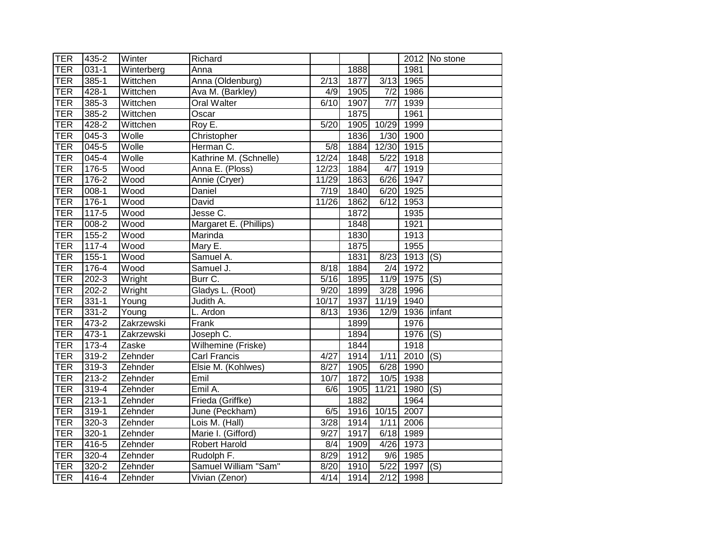| TER        | 435-2     | Winter                 | Richard                |                   |      |                   |             | $\overline{2012}$ No stone |
|------------|-----------|------------------------|------------------------|-------------------|------|-------------------|-------------|----------------------------|
| <b>TER</b> | $031 - 1$ | Winterberg             | Anna                   |                   | 1888 |                   | 1981        |                            |
| <b>TER</b> | $385 - 1$ | Wittchen               | Anna (Oldenburg)       | 2/13              | 1877 | 3/13              | 1965        |                            |
| <b>TER</b> | 428-1     | Wittchen               | Ava M. (Barkley)       | 4/9               | 1905 | 7/2               | 1986        |                            |
| <b>TER</b> | $385 - 3$ | $\overline{W}$ ittchen | Oral Walter            | 6/10              | 1907 | 7/7               | 1939        |                            |
| <b>TER</b> | $385 - 2$ | Wittchen               | Oscar                  |                   | 1875 |                   | 1961        |                            |
| <b>TER</b> | $428 - 2$ | Wittchen               | Roy E.                 | $\overline{5/20}$ | 1905 | 10/29             | 1999        |                            |
| <b>TER</b> | 045-3     | Wolle                  | Christopher            |                   | 1836 | 1/30              | 1900        |                            |
| <b>TER</b> | $045 - 5$ | Wolle                  | Herman C.              | 5/8               | 1884 | 12/30             | 1915        |                            |
| <b>TER</b> | $045 - 4$ | Wolle                  | Kathrine M. (Schnelle) | 12/24             | 1848 | 5/22              | 1918        |                            |
| <b>TER</b> | 176-5     | Wood                   | Anna E. (Ploss)        | 12/23             | 1884 | 4/7               | 1919        |                            |
| <b>TER</b> | $176 - 2$ | Wood                   | Annie (Cryer)          | 11/29             | 1863 | 6/26              | 1947        |                            |
| <b>TER</b> | $008-1$   | Wood                   | Daniel                 | 7/19              | 1840 | 6/20              | 1925        |                            |
| <b>TER</b> | $176 - 1$ | Wood                   | David                  | 11/26             | 1862 | $\overline{6}/12$ | 1953        |                            |
| <b>TER</b> | $117 - 5$ | Wood                   | Jesse C.               |                   | 1872 |                   | 1935        |                            |
| <b>TER</b> | $008 - 2$ | Wood                   | Margaret E. (Phillips) |                   | 1848 |                   | 1921        |                            |
| <b>TER</b> | $155 - 2$ | Wood                   | Marinda                |                   | 1830 |                   | 1913        |                            |
| <b>TER</b> | $117 - 4$ | Wood                   | Mary E.                |                   | 1875 |                   | 1955        |                            |
| <b>TER</b> | $155 - 1$ | Wood                   | Samuel A.              |                   | 1831 | 8/23              | $1913$ (S)  |                            |
| TER        | $176 - 4$ | Wood                   | Samuel J.              | 8/18              | 1884 | 2/4               | 1972        |                            |
| <b>TER</b> | $202-3$   | Wright                 | Burr C.                | 5/16              | 1895 | 11/9              | $1975$ (S)  |                            |
| TER        | $202 - 2$ | Wright                 | Gladys L. (Root)       | 9/20              | 1899 | 3/28              | 1996        |                            |
| <b>TER</b> | $331 - 1$ | Young                  | Judith A.              | 10/17             | 1937 | 11/19             | 1940        |                            |
| <b>TER</b> | $331 - 2$ | Young                  | L. Ardon               | 8/13              | 1936 | 12/9              | 1936 infant |                            |
| <b>TER</b> | 473-2     | Zakrzewski             | Frank                  |                   | 1899 |                   | 1976        |                            |
| <b>TER</b> | $473-1$   | Zakrzewski             | Joseph C.              |                   | 1894 |                   | 1976        | (S)                        |
| <b>TER</b> | 173-4     | Zaske                  | Wilhemine (Friske)     |                   | 1844 |                   | 1918        |                            |
| <b>TER</b> | $319 - 2$ | Zehnder                | <b>Carl Francis</b>    | 4/27              | 1914 | 1/11              | $2010$ (S)  |                            |
| <b>TER</b> | $319-3$   | Zehnder                | Elsie M. (Kohlwes)     | 8/27              | 1905 |                   | 6/28 1990   |                            |
| <b>TER</b> | $213 - 2$ | Zehnder                | Emil                   | 10/7              | 1872 | 10/5              | 1938        |                            |
| <b>TER</b> | $319 - 4$ | Zehnder                | Emil A.                | 6/6               | 1905 | 11/21             | $1980$ (S)  |                            |
| <b>TER</b> | $213 - 1$ | Zehnder                | Frieda (Griffke)       |                   | 1882 |                   | 1964        |                            |
| <b>TER</b> | $319-1$   | Zehnder                | June (Peckham)         | 6/5               | 1916 | 10/15             | 2007        |                            |
| <b>TER</b> | 320-3     | Zehnder                | Lois M. (Hall)         | 3/28              | 1914 | 1/11              | 2006        |                            |
| <b>TER</b> | $320 - 1$ | Zehnder                | Marie I. (Gifford)     | 9/27              | 1917 | 6/18              | 1989        |                            |
| <b>TER</b> | 416-5     | Zehnder                | Robert Harold          | 8/4               | 1909 | 4/26              | 1973        |                            |
| <b>TER</b> | 320-4     | Zehnder                | Rudolph F.             | 8/29              | 1912 | 9/6               | 1985        |                            |
| <b>TER</b> | $320 - 2$ | Zehnder                | Samuel William "Sam"   | 8/20              | 1910 | 5/22              | 1997        | (S)                        |
| <b>TER</b> | 416-4     | Zehnder                | Vivian (Zenor)         | 4/14              | 1914 |                   | 2/12 1998   |                            |